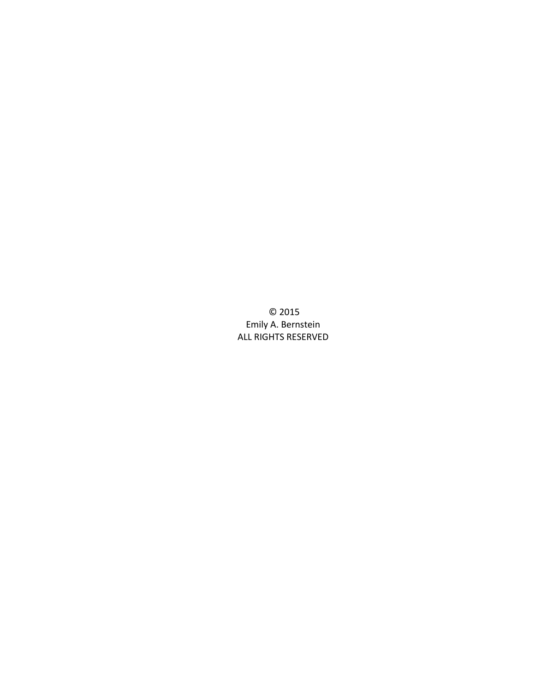© 2015 Emily A. Bernstein ALL RIGHTS RESERVED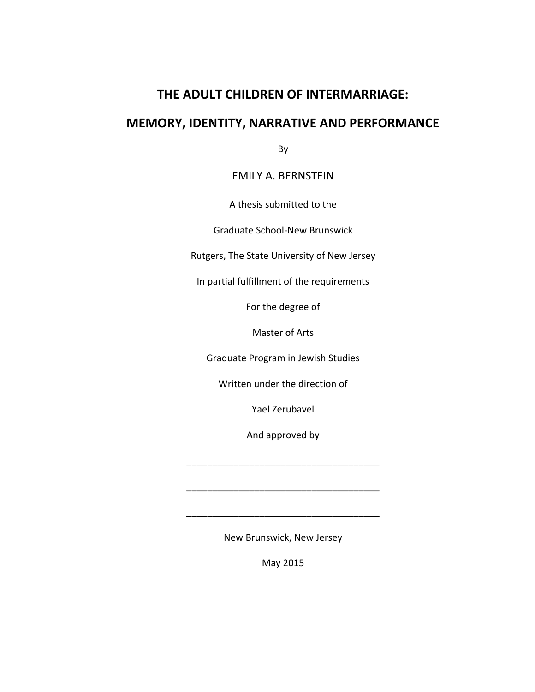# **THE ADULT CHILDREN OF INTERMARRIAGE:**

# **MEMORY, IDENTITY, NARRATIVE AND PERFORMANCE**

By

### EMILY A. BERNSTEIN

A thesis submitted to the

Graduate School-New Brunswick

Rutgers, The State University of New Jersey

In partial fulfillment of the requirements

For the degree of

Master of Arts

Graduate Program in Jewish Studies

Written under the direction of

Yael Zerubavel

And approved by

\_\_\_\_\_\_\_\_\_\_\_\_\_\_\_\_\_\_\_\_\_\_\_\_\_\_\_\_\_\_\_\_\_\_\_\_\_

\_\_\_\_\_\_\_\_\_\_\_\_\_\_\_\_\_\_\_\_\_\_\_\_\_\_\_\_\_\_\_\_\_\_\_\_\_

\_\_\_\_\_\_\_\_\_\_\_\_\_\_\_\_\_\_\_\_\_\_\_\_\_\_\_\_\_\_\_\_\_\_\_\_\_

New Brunswick, New Jersey

May 2015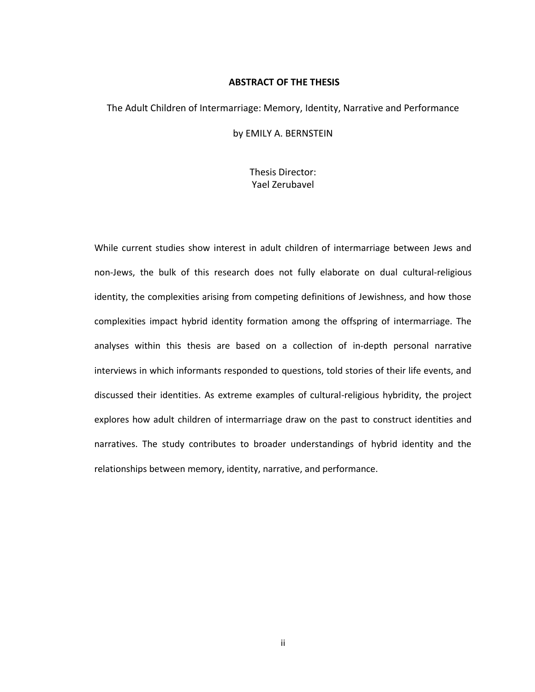#### **ABSTRACT OF THE THESIS**

#### The Adult Children of Intermarriage: Memory, Identity, Narrative and Performance

by EMILY A. BERNSTEIN

Thesis Director: Yael Zerubavel

While current studies show interest in adult children of intermarriage between Jews and non-Jews, the bulk of this research does not fully elaborate on dual cultural-religious identity, the complexities arising from competing definitions of Jewishness, and how those complexities impact hybrid identity formation among the offspring of intermarriage. The analyses within this thesis are based on a collection of in-depth personal narrative interviews in which informants responded to questions, told stories of their life events, and discussed their identities. As extreme examples of cultural-religious hybridity, the project explores how adult children of intermarriage draw on the past to construct identities and narratives. The study contributes to broader understandings of hybrid identity and the relationships between memory, identity, narrative, and performance.

ii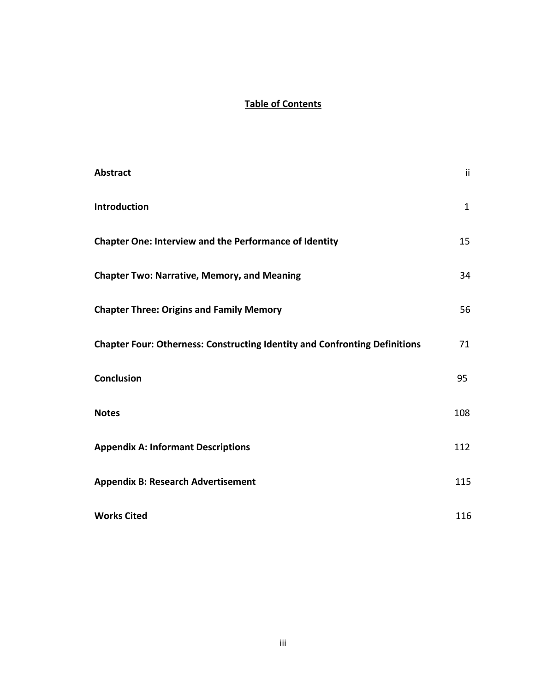## **Table of Contents**

| <b>Abstract</b>                                                                   | ii.          |
|-----------------------------------------------------------------------------------|--------------|
| Introduction                                                                      | $\mathbf{1}$ |
| <b>Chapter One: Interview and the Performance of Identity</b>                     | 15           |
| <b>Chapter Two: Narrative, Memory, and Meaning</b>                                | 34           |
| <b>Chapter Three: Origins and Family Memory</b>                                   | 56           |
| <b>Chapter Four: Otherness: Constructing Identity and Confronting Definitions</b> | 71           |
| <b>Conclusion</b>                                                                 | 95           |
| <b>Notes</b>                                                                      | 108          |
| <b>Appendix A: Informant Descriptions</b>                                         | 112          |
| <b>Appendix B: Research Advertisement</b>                                         | 115          |
| <b>Works Cited</b>                                                                | 116          |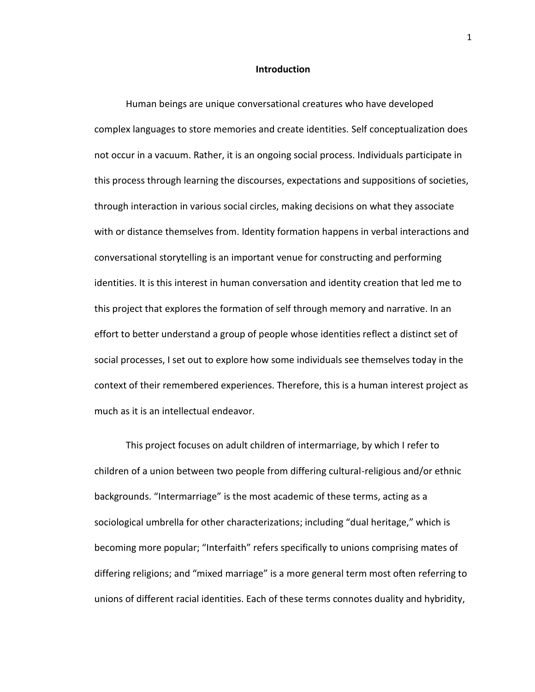#### **Introduction**

Human beings are unique conversational creatures who have developed complex languages to store memories and create identities. Self conceptualization does not occur in a vacuum. Rather, it is an ongoing social process. Individuals participate in this process through learning the discourses, expectations and suppositions of societies, through interaction in various social circles, making decisions on what they associate with or distance themselves from. Identity formation happens in verbal interactions and conversational storytelling is an important venue for constructing and performing identities. It is this interest in human conversation and identity creation that led me to this project that explores the formation of self through memory and narrative. In an effort to better understand a group of people whose identities reflect a distinct set of social processes, I set out to explore how some individuals see themselves today in the context of their remembered experiences. Therefore, this is a human interest project as much as it is an intellectual endeavor.

This project focuses on adult children of intermarriage, by which I refer to children of a union between two people from differing cultural-religious and/or ethnic backgrounds. "Intermarriage" is the most academic of these terms, acting as a sociological umbrella for other characterizations; including "dual heritage," which is becoming more popular; "Interfaith" refers specifically to unions comprising mates of differing religions; and "mixed marriage" is a more general term most often referring to unions of different racial identities. Each of these terms connotes duality and hybridity,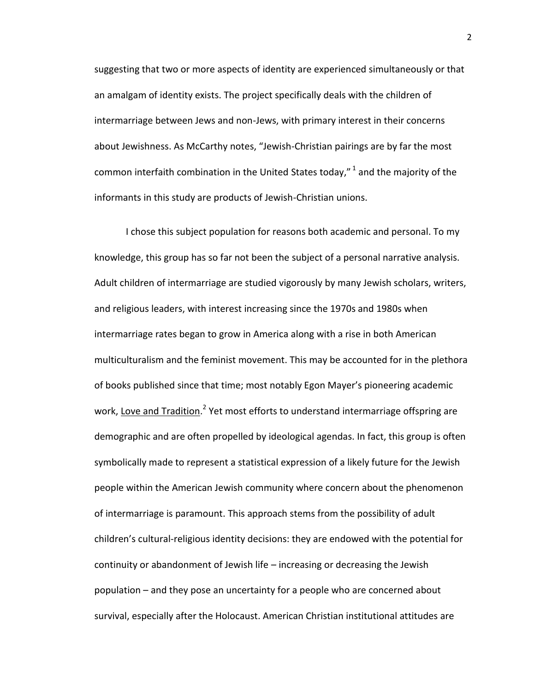suggesting that two or more aspects of identity are experienced simultaneously or that an amalgam of identity exists. The project specifically deals with the children of intermarriage between Jews and non-Jews, with primary interest in their concerns about Jewishness. As McCarthy notes, "Jewish-Christian pairings are by far the most common interfaith combination in the United States today,"  $^1$  and the majority of the informants in this study are products of Jewish-Christian unions.

I chose this subject population for reasons both academic and personal. To my knowledge, this group has so far not been the subject of a personal narrative analysis. Adult children of intermarriage are studied vigorously by many Jewish scholars, writers, and religious leaders, with interest increasing since the 1970s and 1980s when intermarriage rates began to grow in America along with a rise in both American multiculturalism and the feminist movement. This may be accounted for in the plethora of books published since that time; most notably Egon Mayer's pioneering academic work, Love and Tradition.<sup>2</sup> Yet most efforts to understand intermarriage offspring are demographic and are often propelled by ideological agendas. In fact, this group is often symbolically made to represent a statistical expression of a likely future for the Jewish people within the American Jewish community where concern about the phenomenon of intermarriage is paramount. This approach stems from the possibility of adult children's cultural-religious identity decisions: they are endowed with the potential for continuity or abandonment of Jewish life – increasing or decreasing the Jewish population – and they pose an uncertainty for a people who are concerned about survival, especially after the Holocaust. American Christian institutional attitudes are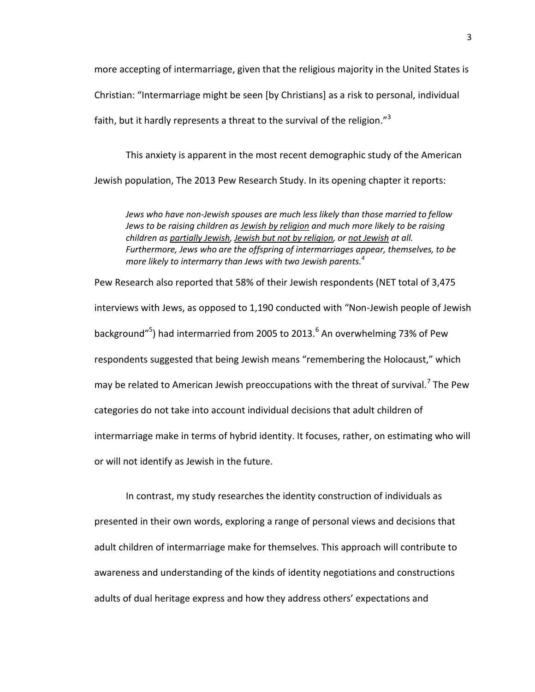more accepting of intermarriage, given that the religious majority in the United States is Christian: "Intermarriage might be seen [by Christians] as a risk to personal, individual faith, but it hardly represents a threat to the survival of the religion." $3$ 

This anxiety is apparent in the most recent demographic study of the American Jewish population, The 2013 Pew Research Study. In its opening chapter it reports:

*Jews who have non-Jewish spouses are much less likely than those married to fellow Jews to be raising children as Jewish by religion and much more likely to be raising children as partially Jewish, Jewish but not by religion, or not Jewish at all. Furthermore, Jews who are the offspring of intermarriages appear, themselves, to be more likely to intermarry than Jews with two Jewish parents.<sup>4</sup>*

Pew Research also reported that 58% of their Jewish respondents (NET total of 3,475 interviews with Jews, as opposed to 1,190 conducted with "Non-Jewish people of Jewish background"<sup>5</sup>) had intermarried from 2005 to 2013.<sup>6</sup> An overwhelming 73% of Pew respondents suggested that being Jewish means "remembering the Holocaust," which may be related to American Jewish preoccupations with the threat of survival.<sup>7</sup> The Pew categories do not take into account individual decisions that adult children of intermarriage make in terms of hybrid identity. It focuses, rather, on estimating who will or will not identify as Jewish in the future.

In contrast, my study researches the identity construction of individuals as presented in their own words, exploring a range of personal views and decisions that adult children of intermarriage make for themselves. This approach will contribute to awareness and understanding of the kinds of identity negotiations and constructions adults of dual heritage express and how they address others' expectations and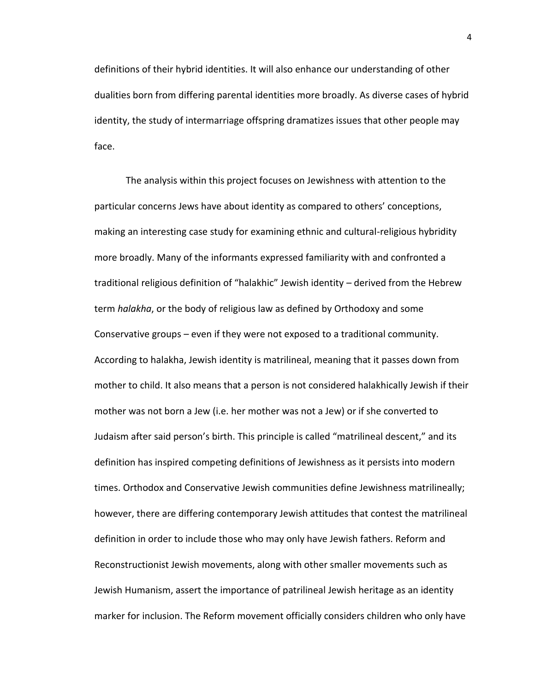definitions of their hybrid identities. It will also enhance our understanding of other dualities born from differing parental identities more broadly. As diverse cases of hybrid identity, the study of intermarriage offspring dramatizes issues that other people may face.

The analysis within this project focuses on Jewishness with attention to the particular concerns Jews have about identity as compared to others' conceptions, making an interesting case study for examining ethnic and cultural-religious hybridity more broadly. Many of the informants expressed familiarity with and confronted a traditional religious definition of "halakhic" Jewish identity – derived from the Hebrew term *halakha*, or the body of religious law as defined by Orthodoxy and some Conservative groups – even if they were not exposed to a traditional community. According to halakha, Jewish identity is matrilineal, meaning that it passes down from mother to child. It also means that a person is not considered halakhically Jewish if their mother was not born a Jew (i.e. her mother was not a Jew) or if she converted to Judaism after said person's birth. This principle is called "matrilineal descent," and its definition has inspired competing definitions of Jewishness as it persists into modern times. Orthodox and Conservative Jewish communities define Jewishness matrilineally; however, there are differing contemporary Jewish attitudes that contest the matrilineal definition in order to include those who may only have Jewish fathers. Reform and Reconstructionist Jewish movements, along with other smaller movements such as Jewish Humanism, assert the importance of patrilineal Jewish heritage as an identity marker for inclusion. The Reform movement officially considers children who only have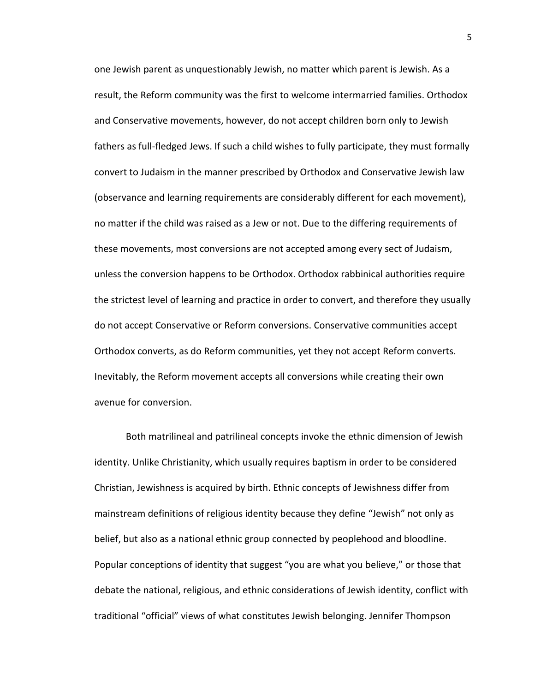one Jewish parent as unquestionably Jewish, no matter which parent is Jewish. As a result, the Reform community was the first to welcome intermarried families. Orthodox and Conservative movements, however, do not accept children born only to Jewish fathers as full-fledged Jews. If such a child wishes to fully participate, they must formally convert to Judaism in the manner prescribed by Orthodox and Conservative Jewish law (observance and learning requirements are considerably different for each movement), no matter if the child was raised as a Jew or not. Due to the differing requirements of these movements, most conversions are not accepted among every sect of Judaism, unless the conversion happens to be Orthodox. Orthodox rabbinical authorities require the strictest level of learning and practice in order to convert, and therefore they usually do not accept Conservative or Reform conversions. Conservative communities accept Orthodox converts, as do Reform communities, yet they not accept Reform converts. Inevitably, the Reform movement accepts all conversions while creating their own avenue for conversion.

Both matrilineal and patrilineal concepts invoke the ethnic dimension of Jewish identity. Unlike Christianity, which usually requires baptism in order to be considered Christian, Jewishness is acquired by birth. Ethnic concepts of Jewishness differ from mainstream definitions of religious identity because they define "Jewish" not only as belief, but also as a national ethnic group connected by peoplehood and bloodline. Popular conceptions of identity that suggest "you are what you believe," or those that debate the national, religious, and ethnic considerations of Jewish identity, conflict with traditional "official" views of what constitutes Jewish belonging. Jennifer Thompson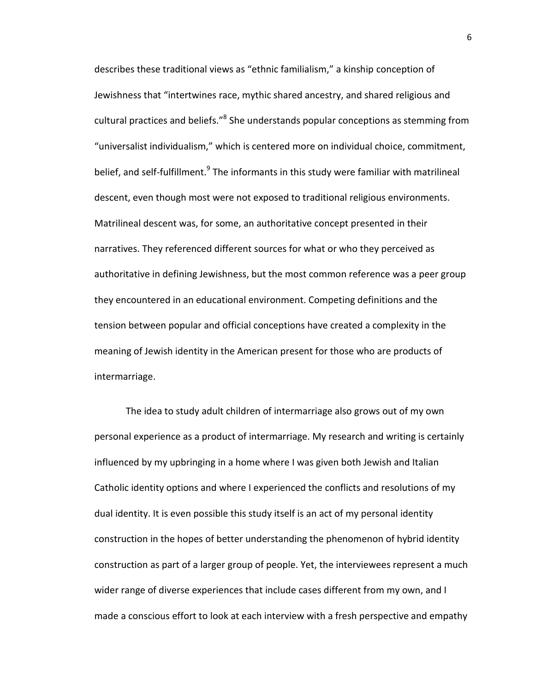describes these traditional views as "ethnic familialism," a kinship conception of Jewishness that "intertwines race, mythic shared ancestry, and shared religious and cultural practices and beliefs."<sup>8</sup> She understands popular conceptions as stemming from "universalist individualism," which is centered more on individual choice, commitment, belief, and self-fulfillment.<sup>9</sup> The informants in this study were familiar with matrilineal descent, even though most were not exposed to traditional religious environments. Matrilineal descent was, for some, an authoritative concept presented in their narratives. They referenced different sources for what or who they perceived as authoritative in defining Jewishness, but the most common reference was a peer group they encountered in an educational environment. Competing definitions and the tension between popular and official conceptions have created a complexity in the meaning of Jewish identity in the American present for those who are products of intermarriage.

The idea to study adult children of intermarriage also grows out of my own personal experience as a product of intermarriage. My research and writing is certainly influenced by my upbringing in a home where I was given both Jewish and Italian Catholic identity options and where I experienced the conflicts and resolutions of my dual identity. It is even possible this study itself is an act of my personal identity construction in the hopes of better understanding the phenomenon of hybrid identity construction as part of a larger group of people. Yet, the interviewees represent a much wider range of diverse experiences that include cases different from my own, and I made a conscious effort to look at each interview with a fresh perspective and empathy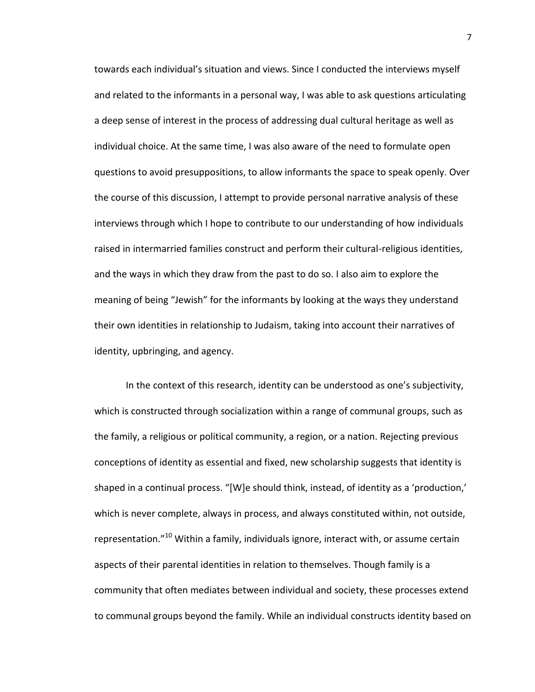towards each individual's situation and views. Since I conducted the interviews myself and related to the informants in a personal way, I was able to ask questions articulating a deep sense of interest in the process of addressing dual cultural heritage as well as individual choice. At the same time, I was also aware of the need to formulate open questions to avoid presuppositions, to allow informants the space to speak openly. Over the course of this discussion, I attempt to provide personal narrative analysis of these interviews through which I hope to contribute to our understanding of how individuals raised in intermarried families construct and perform their cultural-religious identities, and the ways in which they draw from the past to do so. I also aim to explore the meaning of being "Jewish" for the informants by looking at the ways they understand their own identities in relationship to Judaism, taking into account their narratives of identity, upbringing, and agency.

In the context of this research, identity can be understood as one's subjectivity, which is constructed through socialization within a range of communal groups, such as the family, a religious or political community, a region, or a nation. Rejecting previous conceptions of identity as essential and fixed, new scholarship suggests that identity is shaped in a continual process. "[W]e should think, instead, of identity as a 'production,' which is never complete, always in process, and always constituted within, not outside, representation."<sup>10</sup> Within a family, individuals ignore, interact with, or assume certain aspects of their parental identities in relation to themselves. Though family is a community that often mediates between individual and society, these processes extend to communal groups beyond the family. While an individual constructs identity based on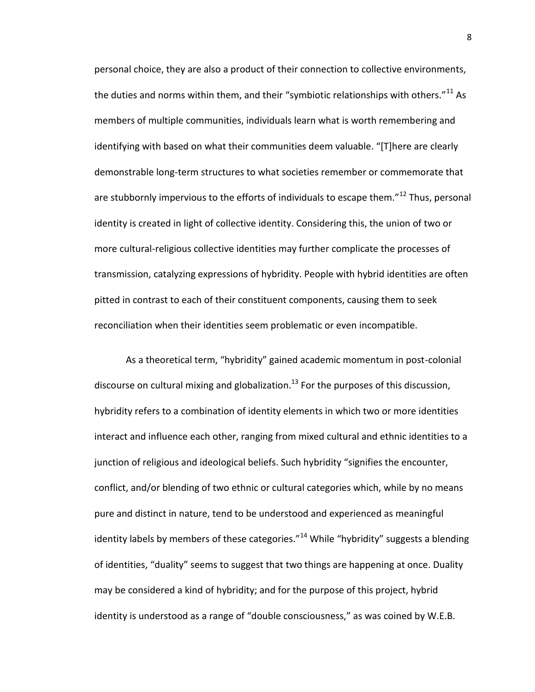personal choice, they are also a product of their connection to collective environments, the duties and norms within them, and their "symbiotic relationships with others." $^{11}$  As members of multiple communities, individuals learn what is worth remembering and identifying with based on what their communities deem valuable. "[T]here are clearly demonstrable long-term structures to what societies remember or commemorate that are stubbornly impervious to the efforts of individuals to escape them."<sup>12</sup> Thus, personal identity is created in light of collective identity. Considering this, the union of two or more cultural-religious collective identities may further complicate the processes of transmission, catalyzing expressions of hybridity. People with hybrid identities are often pitted in contrast to each of their constituent components, causing them to seek reconciliation when their identities seem problematic or even incompatible.

As a theoretical term, "hybridity" gained academic momentum in post-colonial discourse on cultural mixing and globalization.<sup>13</sup> For the purposes of this discussion, hybridity refers to a combination of identity elements in which two or more identities interact and influence each other, ranging from mixed cultural and ethnic identities to a junction of religious and ideological beliefs. Such hybridity "signifies the encounter, conflict, and/or blending of two ethnic or cultural categories which, while by no means pure and distinct in nature, tend to be understood and experienced as meaningful identity labels by members of these categories."<sup>14</sup> While "hybridity" suggests a blending of identities, "duality" seems to suggest that two things are happening at once. Duality may be considered a kind of hybridity; and for the purpose of this project, hybrid identity is understood as a range of "double consciousness," as was coined by W.E.B.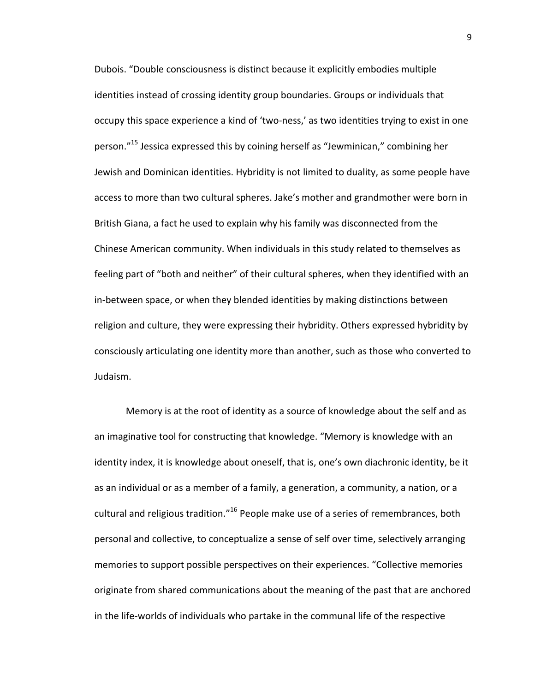Dubois. "Double consciousness is distinct because it explicitly embodies multiple identities instead of crossing identity group boundaries. Groups or individuals that occupy this space experience a kind of 'two-ness,' as two identities trying to exist in one person."<sup>15</sup> Jessica expressed this by coining herself as "Jewminican," combining her Jewish and Dominican identities. Hybridity is not limited to duality, as some people have access to more than two cultural spheres. Jake's mother and grandmother were born in British Giana, a fact he used to explain why his family was disconnected from the Chinese American community. When individuals in this study related to themselves as feeling part of "both and neither" of their cultural spheres, when they identified with an in-between space, or when they blended identities by making distinctions between religion and culture, they were expressing their hybridity. Others expressed hybridity by consciously articulating one identity more than another, such as those who converted to Judaism.

Memory is at the root of identity as a source of knowledge about the self and as an imaginative tool for constructing that knowledge. "Memory is knowledge with an identity index, it is knowledge about oneself, that is, one's own diachronic identity, be it as an individual or as a member of a family, a generation, a community, a nation, or a cultural and religious tradition."<sup>16</sup> People make use of a series of remembrances, both personal and collective, to conceptualize a sense of self over time, selectively arranging memories to support possible perspectives on their experiences. "Collective memories originate from shared communications about the meaning of the past that are anchored in the life-worlds of individuals who partake in the communal life of the respective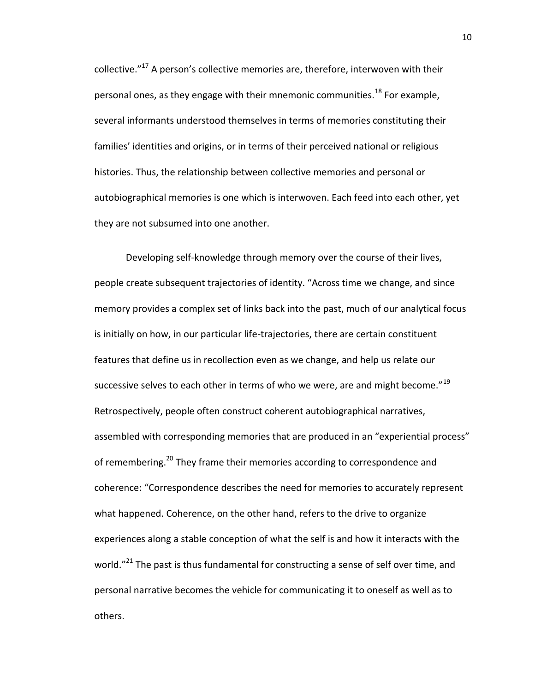collective."<sup>17</sup> A person's collective memories are, therefore, interwoven with their personal ones, as they engage with their mnemonic communities. $^{18}$  For example, several informants understood themselves in terms of memories constituting their families' identities and origins, or in terms of their perceived national or religious histories. Thus, the relationship between collective memories and personal or autobiographical memories is one which is interwoven. Each feed into each other, yet they are not subsumed into one another.

Developing self-knowledge through memory over the course of their lives, people create subsequent trajectories of identity. "Across time we change, and since memory provides a complex set of links back into the past, much of our analytical focus is initially on how, in our particular life-trajectories, there are certain constituent features that define us in recollection even as we change, and help us relate our successive selves to each other in terms of who we were, are and might become." $^{19}$ Retrospectively, people often construct coherent autobiographical narratives, assembled with corresponding memories that are produced in an "experiential process" of remembering.<sup>20</sup> They frame their memories according to correspondence and coherence: "Correspondence describes the need for memories to accurately represent what happened. Coherence, on the other hand, refers to the drive to organize experiences along a stable conception of what the self is and how it interacts with the world."<sup>21</sup> The past is thus fundamental for constructing a sense of self over time, and personal narrative becomes the vehicle for communicating it to oneself as well as to others.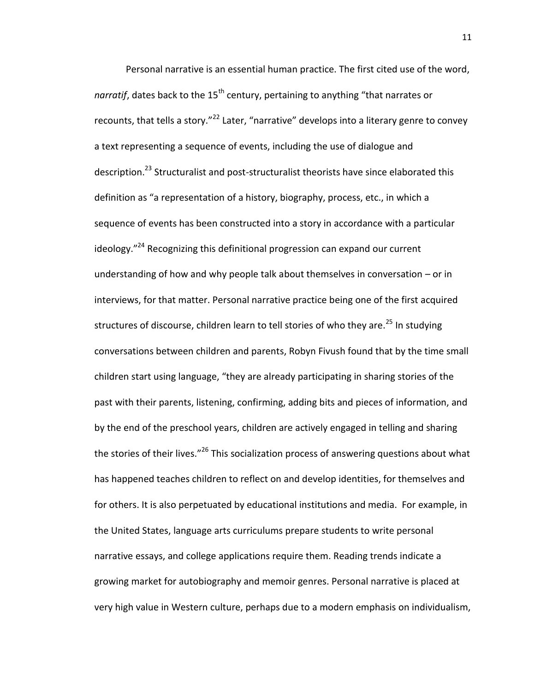Personal narrative is an essential human practice. The first cited use of the word, narratif, dates back to the 15<sup>th</sup> century, pertaining to anything "that narrates or recounts, that tells a story."<sup>22</sup> Later, "narrative" develops into a literary genre to convey a text representing a sequence of events, including the use of dialogue and description.<sup>23</sup> Structuralist and post-structuralist theorists have since elaborated this definition as "a representation of a history, biography, process, etc., in which a sequence of events has been constructed into a story in accordance with a particular ideology."<sup>24</sup> Recognizing this definitional progression can expand our current understanding of how and why people talk about themselves in conversation – or in interviews, for that matter. Personal narrative practice being one of the first acquired structures of discourse, children learn to tell stories of who they are.<sup>25</sup> In studying conversations between children and parents, Robyn Fivush found that by the time small children start using language, "they are already participating in sharing stories of the past with their parents, listening, confirming, adding bits and pieces of information, and by the end of the preschool years, children are actively engaged in telling and sharing the stories of their lives."<sup>26</sup> This socialization process of answering questions about what has happened teaches children to reflect on and develop identities, for themselves and for others. It is also perpetuated by educational institutions and media. For example, in the United States, language arts curriculums prepare students to write personal narrative essays, and college applications require them. Reading trends indicate a growing market for autobiography and memoir genres. Personal narrative is placed at very high value in Western culture, perhaps due to a modern emphasis on individualism,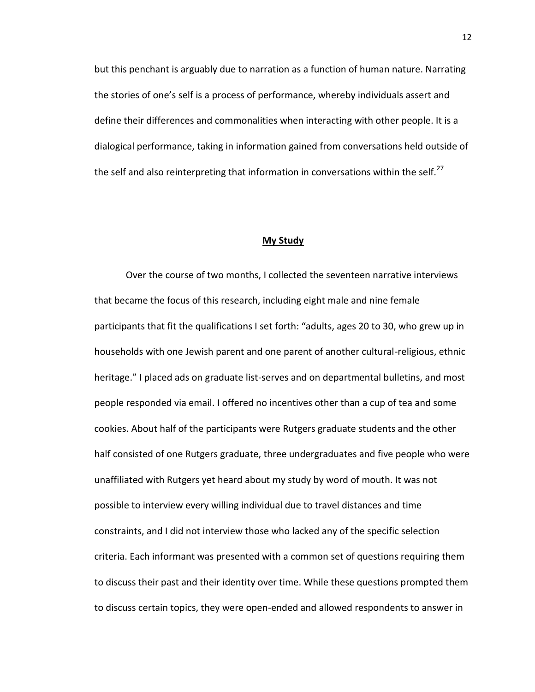but this penchant is arguably due to narration as a function of human nature. Narrating the stories of one's self is a process of performance, whereby individuals assert and define their differences and commonalities when interacting with other people. It is a dialogical performance, taking in information gained from conversations held outside of the self and also reinterpreting that information in conversations within the self.<sup>27</sup>

#### **My Study**

Over the course of two months, I collected the seventeen narrative interviews that became the focus of this research, including eight male and nine female participants that fit the qualifications I set forth: "adults, ages 20 to 30, who grew up in households with one Jewish parent and one parent of another cultural-religious, ethnic heritage." I placed ads on graduate list-serves and on departmental bulletins, and most people responded via email. I offered no incentives other than a cup of tea and some cookies. About half of the participants were Rutgers graduate students and the other half consisted of one Rutgers graduate, three undergraduates and five people who were unaffiliated with Rutgers yet heard about my study by word of mouth. It was not possible to interview every willing individual due to travel distances and time constraints, and I did not interview those who lacked any of the specific selection criteria. Each informant was presented with a common set of questions requiring them to discuss their past and their identity over time. While these questions prompted them to discuss certain topics, they were open-ended and allowed respondents to answer in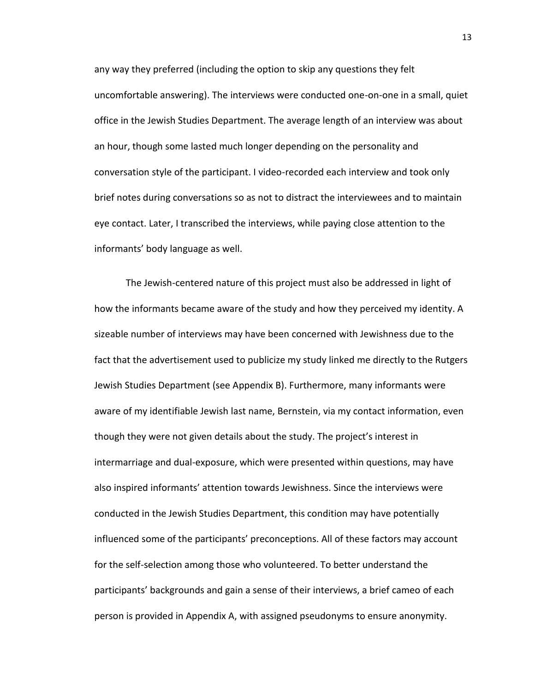any way they preferred (including the option to skip any questions they felt uncomfortable answering). The interviews were conducted one-on-one in a small, quiet office in the Jewish Studies Department. The average length of an interview was about an hour, though some lasted much longer depending on the personality and conversation style of the participant. I video-recorded each interview and took only brief notes during conversations so as not to distract the interviewees and to maintain eye contact. Later, I transcribed the interviews, while paying close attention to the informants' body language as well.

The Jewish-centered nature of this project must also be addressed in light of how the informants became aware of the study and how they perceived my identity. A sizeable number of interviews may have been concerned with Jewishness due to the fact that the advertisement used to publicize my study linked me directly to the Rutgers Jewish Studies Department (see Appendix B). Furthermore, many informants were aware of my identifiable Jewish last name, Bernstein, via my contact information, even though they were not given details about the study. The project's interest in intermarriage and dual-exposure, which were presented within questions, may have also inspired informants' attention towards Jewishness. Since the interviews were conducted in the Jewish Studies Department, this condition may have potentially influenced some of the participants' preconceptions. All of these factors may account for the self-selection among those who volunteered. To better understand the participants' backgrounds and gain a sense of their interviews, a brief cameo of each person is provided in Appendix A, with assigned pseudonyms to ensure anonymity.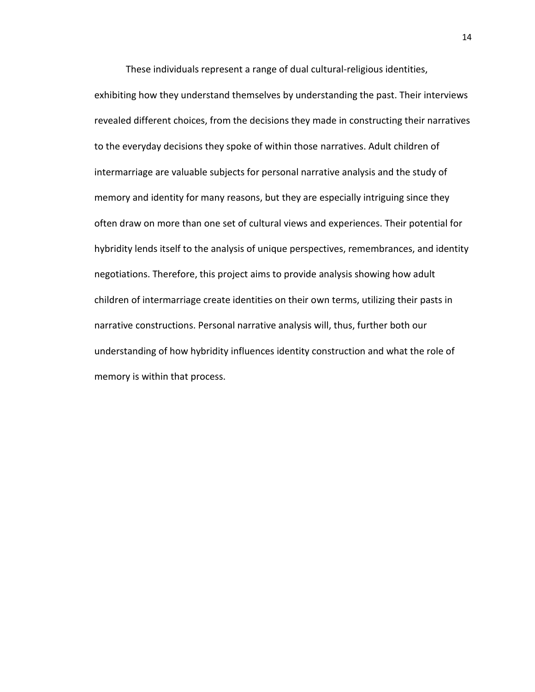These individuals represent a range of dual cultural-religious identities,

exhibiting how they understand themselves by understanding the past. Their interviews revealed different choices, from the decisions they made in constructing their narratives to the everyday decisions they spoke of within those narratives. Adult children of intermarriage are valuable subjects for personal narrative analysis and the study of memory and identity for many reasons, but they are especially intriguing since they often draw on more than one set of cultural views and experiences. Their potential for hybridity lends itself to the analysis of unique perspectives, remembrances, and identity negotiations. Therefore, this project aims to provide analysis showing how adult children of intermarriage create identities on their own terms, utilizing their pasts in narrative constructions. Personal narrative analysis will, thus, further both our understanding of how hybridity influences identity construction and what the role of memory is within that process.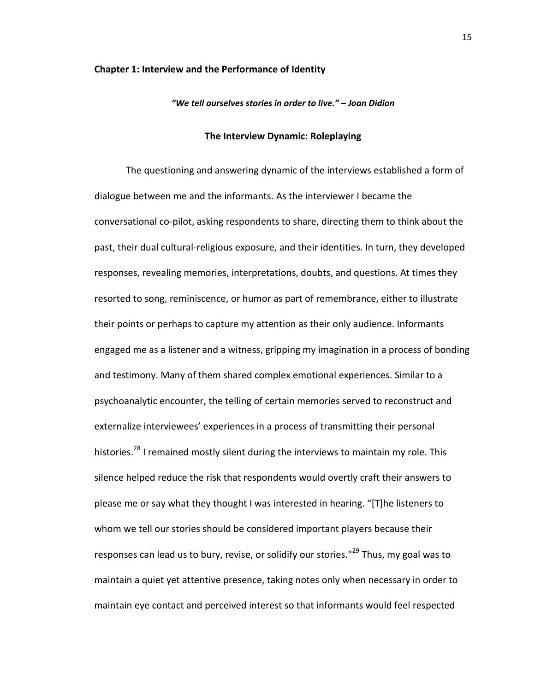#### **Chapter 1: Interview and the Performance of Identity**

### *"We tell ourselves stories in order to live." – Joan Didion*

#### **The Interview Dynamic: Roleplaying**

The questioning and answering dynamic of the interviews established a form of dialogue between me and the informants. As the interviewer I became the conversational co-pilot, asking respondents to share, directing them to think about the past, their dual cultural-religious exposure, and their identities. In turn, they developed responses, revealing memories, interpretations, doubts, and questions. At times they resorted to song, reminiscence, or humor as part of remembrance, either to illustrate their points or perhaps to capture my attention as their only audience. Informants engaged me as a listener and a witness, gripping my imagination in a process of bonding and testimony. Many of them shared complex emotional experiences. Similar to a psychoanalytic encounter, the telling of certain memories served to reconstruct and externalize interviewees' experiences in a process of transmitting their personal histories.<sup>28</sup> I remained mostly silent during the interviews to maintain my role. This silence helped reduce the risk that respondents would overtly craft their answers to please me or say what they thought I was interested in hearing. "[T]he listeners to whom we tell our stories should be considered important players because their responses can lead us to bury, revise, or solidify our stories."<sup>29</sup> Thus, my goal was to maintain a quiet yet attentive presence, taking notes only when necessary in order to maintain eye contact and perceived interest so that informants would feel respected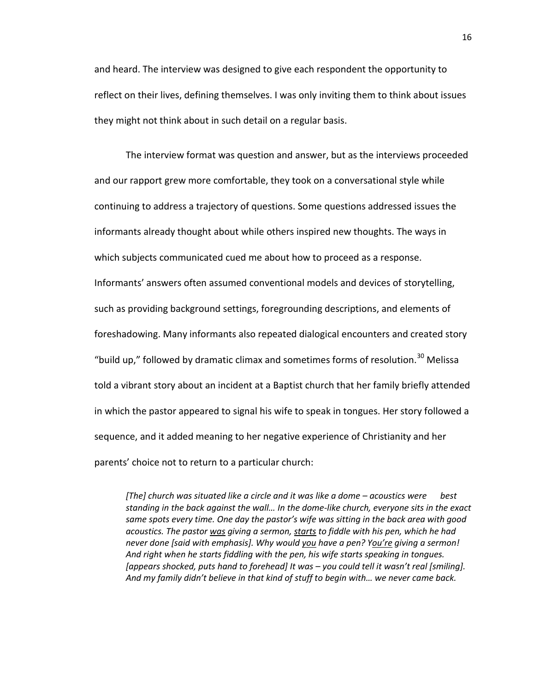and heard. The interview was designed to give each respondent the opportunity to reflect on their lives, defining themselves. I was only inviting them to think about issues they might not think about in such detail on a regular basis.

The interview format was question and answer, but as the interviews proceeded and our rapport grew more comfortable, they took on a conversational style while continuing to address a trajectory of questions. Some questions addressed issues the informants already thought about while others inspired new thoughts. The ways in which subjects communicated cued me about how to proceed as a response. Informants' answers often assumed conventional models and devices of storytelling, such as providing background settings, foregrounding descriptions, and elements of foreshadowing. Many informants also repeated dialogical encounters and created story "build up," followed by dramatic climax and sometimes forms of resolution.<sup>30</sup> Melissa told a vibrant story about an incident at a Baptist church that her family briefly attended in which the pastor appeared to signal his wife to speak in tongues. Her story followed a sequence, and it added meaning to her negative experience of Christianity and her parents' choice not to return to a particular church:

*[The] church was situated like a circle and it was like a dome – acoustics were best standing in the back against the wall… In the dome-like church, everyone sits in the exact same spots every time. One day the pastor's wife was sitting in the back area with good acoustics. The pastor was giving a sermon, starts to fiddle with his pen, which he had never done [said with emphasis]. Why would you have a pen? You're giving a sermon! And right when he starts fiddling with the pen, his wife starts speaking in tongues. [appears shocked, puts hand to forehead] It was – you could tell it wasn't real [smiling]. And my family didn't believe in that kind of stuff to begin with… we never came back.*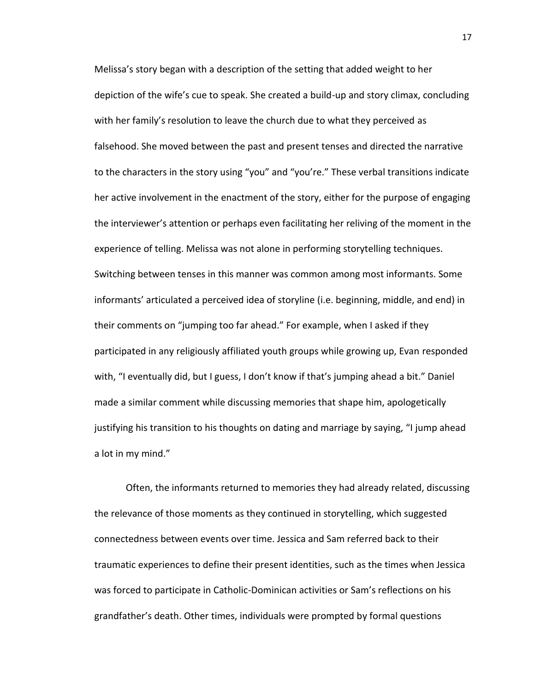Melissa's story began with a description of the setting that added weight to her depiction of the wife's cue to speak. She created a build-up and story climax, concluding with her family's resolution to leave the church due to what they perceived as falsehood. She moved between the past and present tenses and directed the narrative to the characters in the story using "you" and "you're." These verbal transitions indicate her active involvement in the enactment of the story, either for the purpose of engaging the interviewer's attention or perhaps even facilitating her reliving of the moment in the experience of telling. Melissa was not alone in performing storytelling techniques. Switching between tenses in this manner was common among most informants. Some informants' articulated a perceived idea of storyline (i.e. beginning, middle, and end) in their comments on "jumping too far ahead." For example, when I asked if they participated in any religiously affiliated youth groups while growing up, Evan responded with, "I eventually did, but I guess, I don't know if that's jumping ahead a bit." Daniel made a similar comment while discussing memories that shape him, apologetically justifying his transition to his thoughts on dating and marriage by saying, "I jump ahead a lot in my mind."

Often, the informants returned to memories they had already related, discussing the relevance of those moments as they continued in storytelling, which suggested connectedness between events over time. Jessica and Sam referred back to their traumatic experiences to define their present identities, such as the times when Jessica was forced to participate in Catholic-Dominican activities or Sam's reflections on his grandfather's death. Other times, individuals were prompted by formal questions

17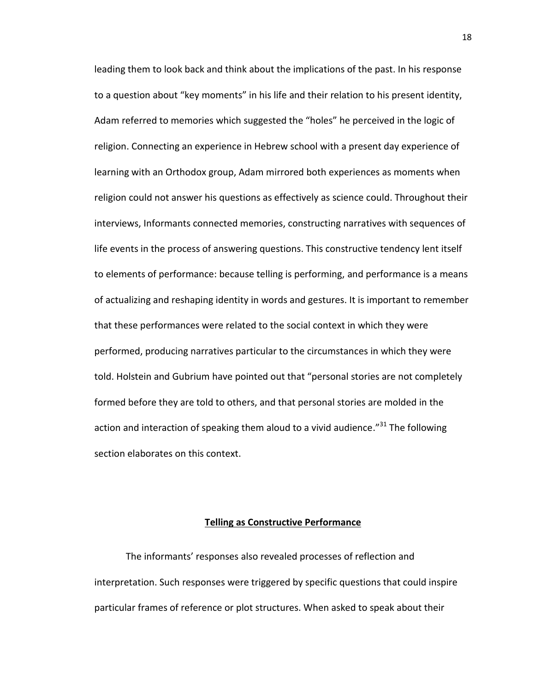leading them to look back and think about the implications of the past. In his response to a question about "key moments" in his life and their relation to his present identity, Adam referred to memories which suggested the "holes" he perceived in the logic of religion. Connecting an experience in Hebrew school with a present day experience of learning with an Orthodox group, Adam mirrored both experiences as moments when religion could not answer his questions as effectively as science could. Throughout their interviews, Informants connected memories, constructing narratives with sequences of life events in the process of answering questions. This constructive tendency lent itself to elements of performance: because telling is performing, and performance is a means of actualizing and reshaping identity in words and gestures. It is important to remember that these performances were related to the social context in which they were performed, producing narratives particular to the circumstances in which they were told. Holstein and Gubrium have pointed out that "personal stories are not completely formed before they are told to others, and that personal stories are molded in the action and interaction of speaking them aloud to a vivid audience."<sup>31</sup> The following section elaborates on this context.

### **Telling as Constructive Performance**

The informants' responses also revealed processes of reflection and interpretation. Such responses were triggered by specific questions that could inspire particular frames of reference or plot structures. When asked to speak about their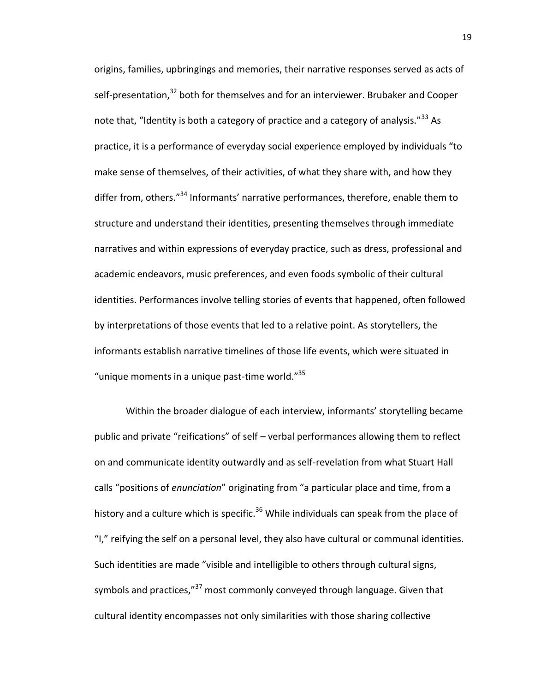origins, families, upbringings and memories, their narrative responses served as acts of self-presentation,<sup>32</sup> both for themselves and for an interviewer. Brubaker and Cooper note that, "Identity is both a category of practice and a category of analysis."<sup>33</sup> As practice, it is a performance of everyday social experience employed by individuals "to make sense of themselves, of their activities, of what they share with, and how they differ from, others."<sup>34</sup> Informants' narrative performances, therefore, enable them to structure and understand their identities, presenting themselves through immediate narratives and within expressions of everyday practice, such as dress, professional and academic endeavors, music preferences, and even foods symbolic of their cultural identities. Performances involve telling stories of events that happened, often followed by interpretations of those events that led to a relative point. As storytellers, the informants establish narrative timelines of those life events, which were situated in "unique moments in a unique past-time world."<sup>35</sup>

Within the broader dialogue of each interview, informants' storytelling became public and private "reifications" of self – verbal performances allowing them to reflect on and communicate identity outwardly and as self-revelation from what Stuart Hall calls "positions of *enunciation*" originating from "a particular place and time, from a history and a culture which is specific.<sup>36</sup> While individuals can speak from the place of "I," reifying the self on a personal level, they also have cultural or communal identities. Such identities are made "visible and intelligible to others through cultural signs, symbols and practices,"<sup>37</sup> most commonly conveyed through language. Given that cultural identity encompasses not only similarities with those sharing collective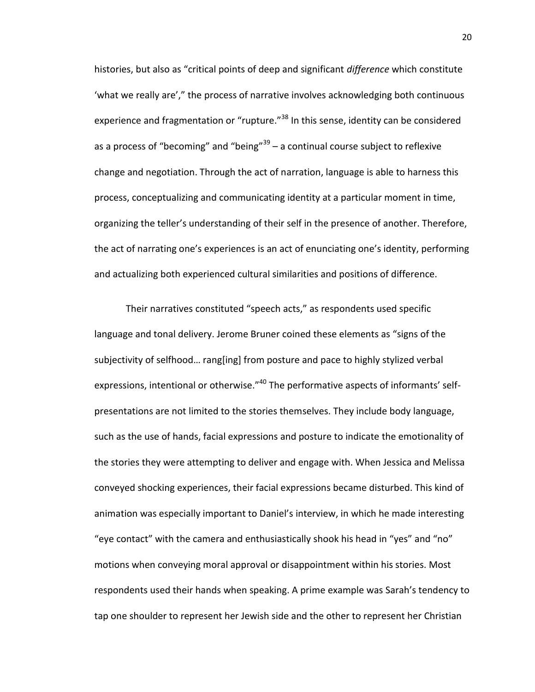histories, but also as "critical points of deep and significant *difference* which constitute 'what we really are'," the process of narrative involves acknowledging both continuous experience and fragmentation or "rupture."<sup>38</sup> In this sense, identity can be considered as a process of "becoming" and "being"<sup>39</sup> – a continual course subject to reflexive change and negotiation. Through the act of narration, language is able to harness this process, conceptualizing and communicating identity at a particular moment in time, organizing the teller's understanding of their self in the presence of another. Therefore, the act of narrating one's experiences is an act of enunciating one's identity, performing and actualizing both experienced cultural similarities and positions of difference.

Their narratives constituted "speech acts," as respondents used specific language and tonal delivery. Jerome Bruner coined these elements as "signs of the subjectivity of selfhood… rang[ing] from posture and pace to highly stylized verbal expressions, intentional or otherwise."<sup>40</sup> The performative aspects of informants' selfpresentations are not limited to the stories themselves. They include body language, such as the use of hands, facial expressions and posture to indicate the emotionality of the stories they were attempting to deliver and engage with. When Jessica and Melissa conveyed shocking experiences, their facial expressions became disturbed. This kind of animation was especially important to Daniel's interview, in which he made interesting "eye contact" with the camera and enthusiastically shook his head in "yes" and "no" motions when conveying moral approval or disappointment within his stories. Most respondents used their hands when speaking. A prime example was Sarah's tendency to tap one shoulder to represent her Jewish side and the other to represent her Christian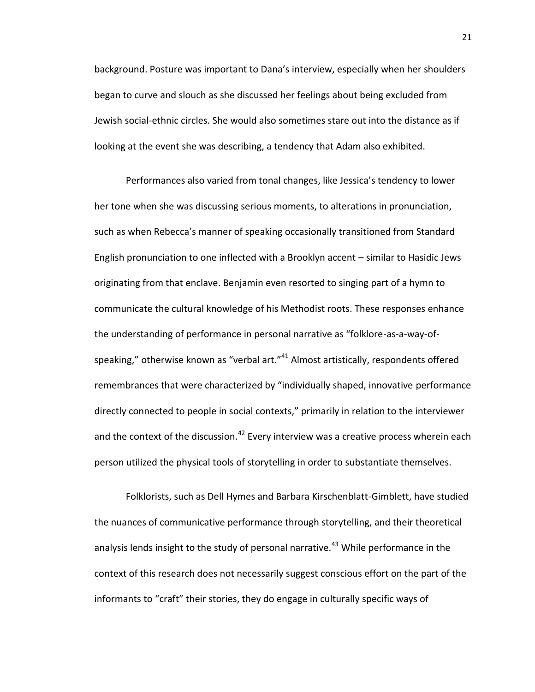background. Posture was important to Dana's interview, especially when her shoulders began to curve and slouch as she discussed her feelings about being excluded from Jewish social-ethnic circles. She would also sometimes stare out into the distance as if looking at the event she was describing, a tendency that Adam also exhibited.

Performances also varied from tonal changes, like Jessica's tendency to lower her tone when she was discussing serious moments, to alterations in pronunciation, such as when Rebecca's manner of speaking occasionally transitioned from Standard English pronunciation to one inflected with a Brooklyn accent – similar to Hasidic Jews originating from that enclave. Benjamin even resorted to singing part of a hymn to communicate the cultural knowledge of his Methodist roots. These responses enhance the understanding of performance in personal narrative as "folklore-as-a-way-ofspeaking," otherwise known as "verbal art."<sup>41</sup> Almost artistically, respondents offered remembrances that were characterized by "individually shaped, innovative performance directly connected to people in social contexts," primarily in relation to the interviewer and the context of the discussion.<sup>42</sup> Every interview was a creative process wherein each person utilized the physical tools of storytelling in order to substantiate themselves.

Folklorists, such as Dell Hymes and Barbara Kirschenblatt-Gimblett, have studied the nuances of communicative performance through storytelling, and their theoretical analysis lends insight to the study of personal narrative.<sup>43</sup> While performance in the context of this research does not necessarily suggest conscious effort on the part of the informants to "craft" their stories, they do engage in culturally specific ways of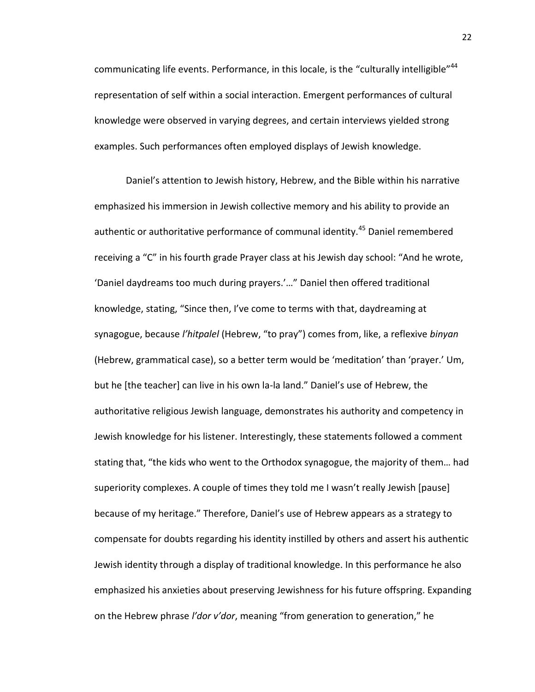communicating life events. Performance, in this locale, is the "culturally intelligible"<sup>44</sup> representation of self within a social interaction. Emergent performances of cultural knowledge were observed in varying degrees, and certain interviews yielded strong examples. Such performances often employed displays of Jewish knowledge.

Daniel's attention to Jewish history, Hebrew, and the Bible within his narrative emphasized his immersion in Jewish collective memory and his ability to provide an authentic or authoritative performance of communal identity.<sup>45</sup> Daniel remembered receiving a "C" in his fourth grade Prayer class at his Jewish day school: "And he wrote, 'Daniel daydreams too much during prayers.'…" Daniel then offered traditional knowledge, stating, "Since then, I've come to terms with that, daydreaming at synagogue, because *l'hitpalel* (Hebrew, "to pray") comes from, like, a reflexive *binyan* (Hebrew, grammatical case), so a better term would be 'meditation' than 'prayer.' Um, but he [the teacher] can live in his own la-la land." Daniel's use of Hebrew, the authoritative religious Jewish language, demonstrates his authority and competency in Jewish knowledge for his listener. Interestingly, these statements followed a comment stating that, "the kids who went to the Orthodox synagogue, the majority of them… had superiority complexes. A couple of times they told me I wasn't really Jewish [pause] because of my heritage." Therefore, Daniel's use of Hebrew appears as a strategy to compensate for doubts regarding his identity instilled by others and assert his authentic Jewish identity through a display of traditional knowledge. In this performance he also emphasized his anxieties about preserving Jewishness for his future offspring. Expanding on the Hebrew phrase *l'dor v'dor*, meaning "from generation to generation," he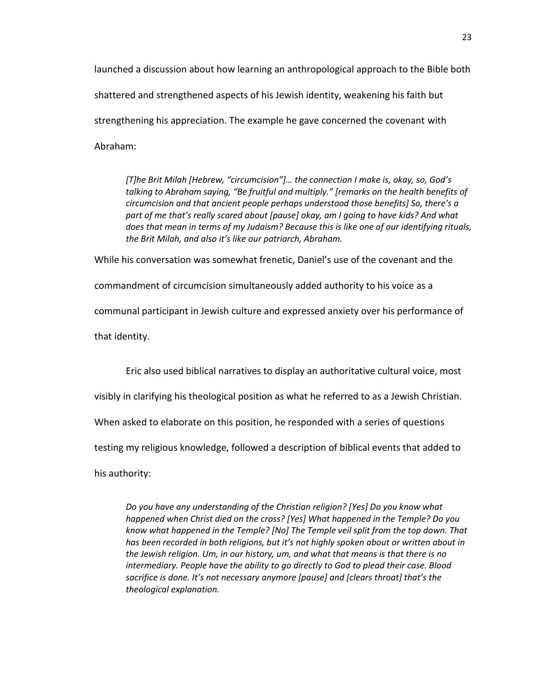launched a discussion about how learning an anthropological approach to the Bible both shattered and strengthened aspects of his Jewish identity, weakening his faith but strengthening his appreciation. The example he gave concerned the covenant with Abraham:

*[T]he Brit Milah [Hebrew, "circumcision"]… the connection I make is, okay, so, God's talking to Abraham saying, "Be fruitful and multiply." [remarks on the health benefits of circumcision and that ancient people perhaps understood those benefits] So, there's a part of me that's really scared about [pause] okay, am I going to have kids? And what does that mean in terms of my Judaism? Because this is like one of our identifying rituals, the Brit Milah, and also it's like our patriarch, Abraham.*

While his conversation was somewhat frenetic, Daniel's use of the covenant and the

commandment of circumcision simultaneously added authority to his voice as a

communal participant in Jewish culture and expressed anxiety over his performance of

that identity.

Eric also used biblical narratives to display an authoritative cultural voice, most

visibly in clarifying his theological position as what he referred to as a Jewish Christian.

When asked to elaborate on this position, he responded with a series of questions

testing my religious knowledge, followed a description of biblical events that added to

his authority:

*Do you have any understanding of the Christian religion? [Yes] Do you know what happened when Christ died on the cross? [Yes] What happened in the Temple? Do you know what happened in the Temple? [No] The Temple veil split from the top down. That has been recorded in both religions, but it's not highly spoken about or written about in the Jewish religion. Um, in our history, um, and what that means is that there is no intermediary. People have the ability to go directly to God to plead their case. Blood sacrifice is done. It's not necessary anymore [pause] and [clears throat] that's the theological explanation.*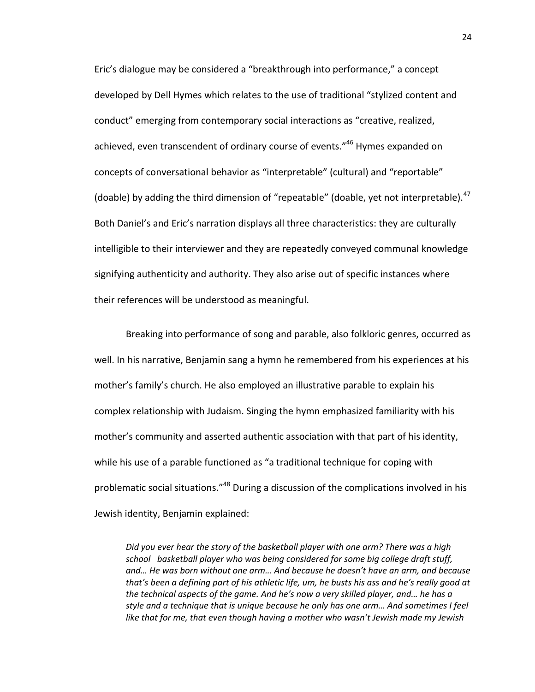Eric's dialogue may be considered a "breakthrough into performance," a concept developed by Dell Hymes which relates to the use of traditional "stylized content and conduct" emerging from contemporary social interactions as "creative, realized, achieved, even transcendent of ordinary course of events."<sup>46</sup> Hymes expanded on concepts of conversational behavior as "interpretable" (cultural) and "reportable" (doable) by adding the third dimension of "repeatable" (doable, yet not interpretable). $47$ Both Daniel's and Eric's narration displays all three characteristics: they are culturally intelligible to their interviewer and they are repeatedly conveyed communal knowledge signifying authenticity and authority. They also arise out of specific instances where their references will be understood as meaningful.

Breaking into performance of song and parable, also folkloric genres, occurred as well. In his narrative, Benjamin sang a hymn he remembered from his experiences at his mother's family's church. He also employed an illustrative parable to explain his complex relationship with Judaism. Singing the hymn emphasized familiarity with his mother's community and asserted authentic association with that part of his identity, while his use of a parable functioned as "a traditional technique for coping with problematic social situations."<sup>48</sup> During a discussion of the complications involved in his Jewish identity, Benjamin explained:

*Did you ever hear the story of the basketball player with one arm? There was a high school basketball player who was being considered for some big college draft stuff, and… He was born without one arm… And because he doesn't have an arm, and because that's been a defining part of his athletic life, um, he busts his ass and he's really good at the technical aspects of the game. And he's now a very skilled player, and… he has a style and a technique that is unique because he only has one arm… And sometimes I feel like that for me, that even though having a mother who wasn't Jewish made my Jewish*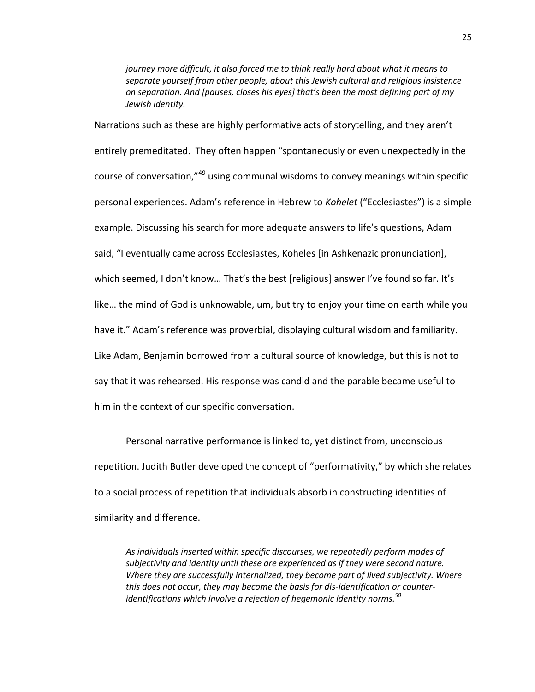*journey more difficult, it also forced me to think really hard about what it means to separate yourself from other people, about this Jewish cultural and religious insistence on separation. And [pauses, closes his eyes] that's been the most defining part of my Jewish identity.*

Narrations such as these are highly performative acts of storytelling, and they aren't entirely premeditated. They often happen "spontaneously or even unexpectedly in the course of conversation,"<sup>49</sup> using communal wisdoms to convey meanings within specific personal experiences. Adam's reference in Hebrew to *Kohelet* ("Ecclesiastes") is a simple example. Discussing his search for more adequate answers to life's questions, Adam said, "I eventually came across Ecclesiastes, Koheles [in Ashkenazic pronunciation], which seemed, I don't know… That's the best [religious] answer I've found so far. It's like… the mind of God is unknowable, um, but try to enjoy your time on earth while you have it." Adam's reference was proverbial, displaying cultural wisdom and familiarity. Like Adam, Benjamin borrowed from a cultural source of knowledge, but this is not to say that it was rehearsed. His response was candid and the parable became useful to him in the context of our specific conversation.

Personal narrative performance is linked to, yet distinct from, unconscious repetition. Judith Butler developed the concept of "performativity," by which she relates to a social process of repetition that individuals absorb in constructing identities of similarity and difference.

*As individuals inserted within specific discourses, we repeatedly perform modes of subjectivity and identity until these are experienced as if they were second nature. Where they are successfully internalized, they become part of lived subjectivity. Where this does not occur, they may become the basis for dis-identification or counteridentifications which involve a rejection of hegemonic identity norms.<sup>50</sup>*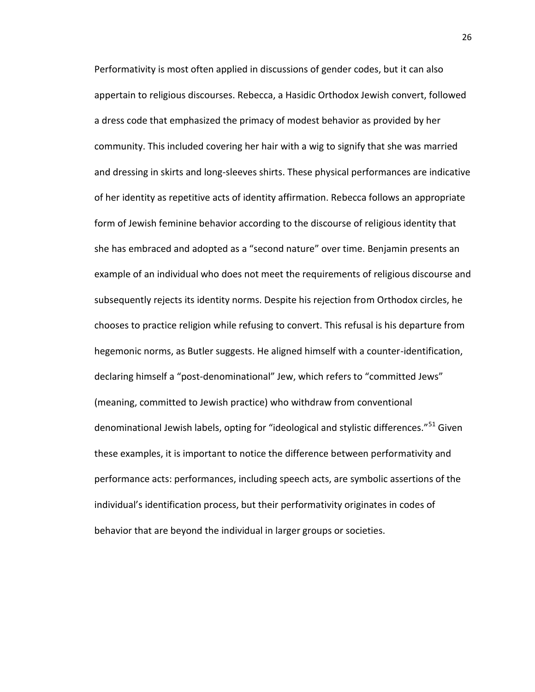Performativity is most often applied in discussions of gender codes, but it can also appertain to religious discourses. Rebecca, a Hasidic Orthodox Jewish convert, followed a dress code that emphasized the primacy of modest behavior as provided by her community. This included covering her hair with a wig to signify that she was married and dressing in skirts and long-sleeves shirts. These physical performances are indicative of her identity as repetitive acts of identity affirmation. Rebecca follows an appropriate form of Jewish feminine behavior according to the discourse of religious identity that she has embraced and adopted as a "second nature" over time. Benjamin presents an example of an individual who does not meet the requirements of religious discourse and subsequently rejects its identity norms. Despite his rejection from Orthodox circles, he chooses to practice religion while refusing to convert. This refusal is his departure from hegemonic norms, as Butler suggests. He aligned himself with a counter-identification, declaring himself a "post-denominational" Jew, which refers to "committed Jews" (meaning, committed to Jewish practice) who withdraw from conventional denominational Jewish labels, opting for "ideological and stylistic differences."<sup>51</sup> Given these examples, it is important to notice the difference between performativity and performance acts: performances, including speech acts, are symbolic assertions of the individual's identification process, but their performativity originates in codes of behavior that are beyond the individual in larger groups or societies.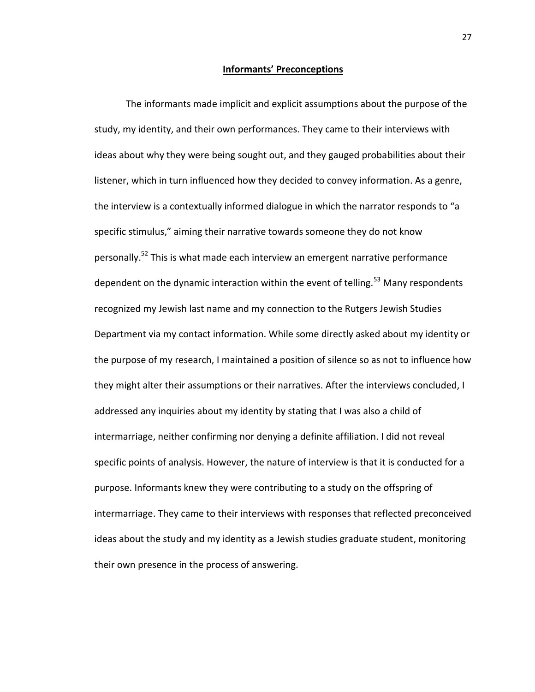#### **Informants' Preconceptions**

The informants made implicit and explicit assumptions about the purpose of the study, my identity, and their own performances. They came to their interviews with ideas about why they were being sought out, and they gauged probabilities about their listener, which in turn influenced how they decided to convey information. As a genre, the interview is a contextually informed dialogue in which the narrator responds to "a specific stimulus," aiming their narrative towards someone they do not know personally.<sup>52</sup> This is what made each interview an emergent narrative performance dependent on the dynamic interaction within the event of telling.<sup>53</sup> Many respondents recognized my Jewish last name and my connection to the Rutgers Jewish Studies Department via my contact information. While some directly asked about my identity or the purpose of my research, I maintained a position of silence so as not to influence how they might alter their assumptions or their narratives. After the interviews concluded, I addressed any inquiries about my identity by stating that I was also a child of intermarriage, neither confirming nor denying a definite affiliation. I did not reveal specific points of analysis. However, the nature of interview is that it is conducted for a purpose. Informants knew they were contributing to a study on the offspring of intermarriage. They came to their interviews with responses that reflected preconceived ideas about the study and my identity as a Jewish studies graduate student, monitoring their own presence in the process of answering.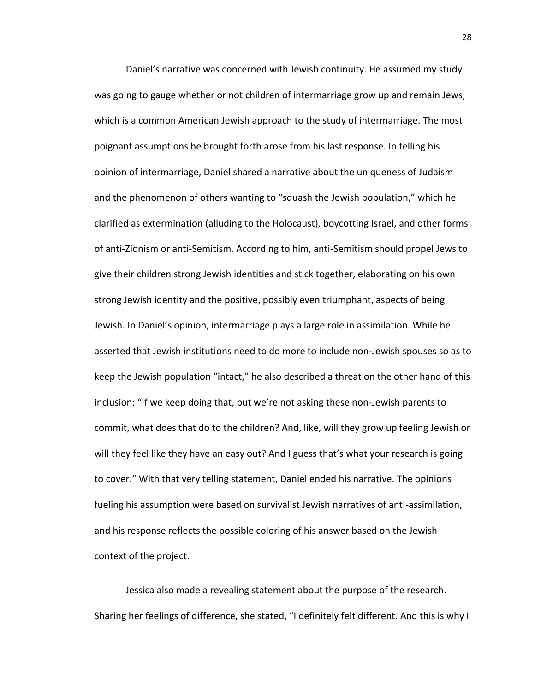Daniel's narrative was concerned with Jewish continuity. He assumed my study was going to gauge whether or not children of intermarriage grow up and remain Jews, which is a common American Jewish approach to the study of intermarriage. The most poignant assumptions he brought forth arose from his last response. In telling his opinion of intermarriage, Daniel shared a narrative about the uniqueness of Judaism and the phenomenon of others wanting to "squash the Jewish population," which he clarified as extermination (alluding to the Holocaust), boycotting Israel, and other forms of anti-Zionism or anti-Semitism. According to him, anti-Semitism should propel Jews to give their children strong Jewish identities and stick together, elaborating on his own strong Jewish identity and the positive, possibly even triumphant, aspects of being Jewish. In Daniel's opinion, intermarriage plays a large role in assimilation. While he asserted that Jewish institutions need to do more to include non-Jewish spouses so as to keep the Jewish population "intact," he also described a threat on the other hand of this inclusion: "If we keep doing that, but we're not asking these non-Jewish parents to commit, what does that do to the children? And, like, will they grow up feeling Jewish or will they feel like they have an easy out? And I guess that's what your research is going to cover." With that very telling statement, Daniel ended his narrative. The opinions fueling his assumption were based on survivalist Jewish narratives of anti-assimilation, and his response reflects the possible coloring of his answer based on the Jewish context of the project.

Jessica also made a revealing statement about the purpose of the research. Sharing her feelings of difference, she stated, "I definitely felt different. And this is why I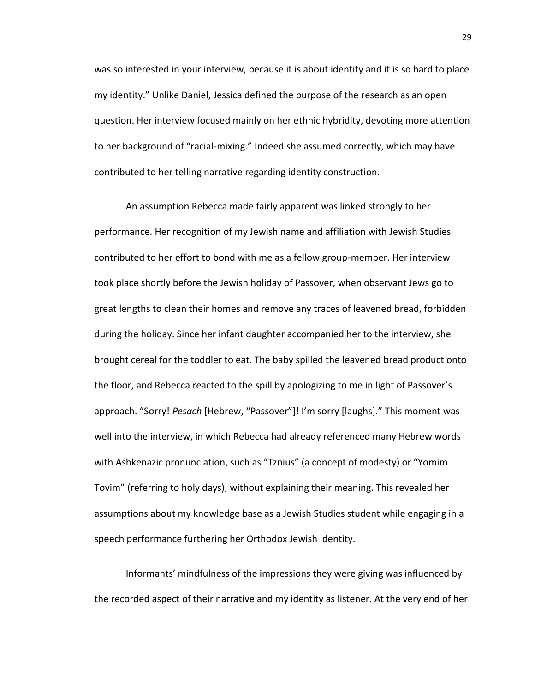was so interested in your interview, because it is about identity and it is so hard to place my identity." Unlike Daniel, Jessica defined the purpose of the research as an open question. Her interview focused mainly on her ethnic hybridity, devoting more attention to her background of "racial-mixing." Indeed she assumed correctly, which may have contributed to her telling narrative regarding identity construction.

An assumption Rebecca made fairly apparent was linked strongly to her performance. Her recognition of my Jewish name and affiliation with Jewish Studies contributed to her effort to bond with me as a fellow group-member. Her interview took place shortly before the Jewish holiday of Passover, when observant Jews go to great lengths to clean their homes and remove any traces of leavened bread, forbidden during the holiday. Since her infant daughter accompanied her to the interview, she brought cereal for the toddler to eat. The baby spilled the leavened bread product onto the floor, and Rebecca reacted to the spill by apologizing to me in light of Passover's approach. "Sorry! *Pesach* [Hebrew, "Passover"]! I'm sorry [laughs]." This moment was well into the interview, in which Rebecca had already referenced many Hebrew words with Ashkenazic pronunciation, such as "Tznius" (a concept of modesty) or "Yomim Tovim" (referring to holy days), without explaining their meaning. This revealed her assumptions about my knowledge base as a Jewish Studies student while engaging in a speech performance furthering her Orthodox Jewish identity.

Informants' mindfulness of the impressions they were giving was influenced by the recorded aspect of their narrative and my identity as listener. At the very end of her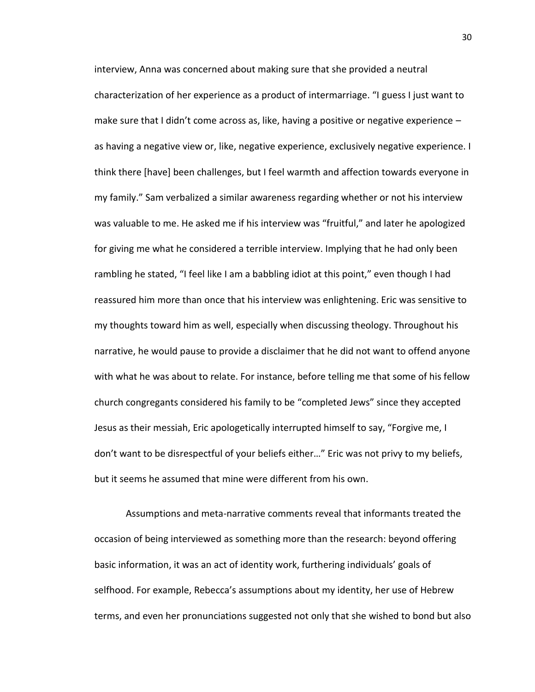interview, Anna was concerned about making sure that she provided a neutral characterization of her experience as a product of intermarriage. "I guess I just want to make sure that I didn't come across as, like, having a positive or negative experience – as having a negative view or, like, negative experience, exclusively negative experience. I think there [have] been challenges, but I feel warmth and affection towards everyone in my family." Sam verbalized a similar awareness regarding whether or not his interview was valuable to me. He asked me if his interview was "fruitful," and later he apologized for giving me what he considered a terrible interview. Implying that he had only been rambling he stated, "I feel like I am a babbling idiot at this point," even though I had reassured him more than once that his interview was enlightening. Eric was sensitive to my thoughts toward him as well, especially when discussing theology. Throughout his narrative, he would pause to provide a disclaimer that he did not want to offend anyone with what he was about to relate. For instance, before telling me that some of his fellow church congregants considered his family to be "completed Jews" since they accepted Jesus as their messiah, Eric apologetically interrupted himself to say, "Forgive me, I don't want to be disrespectful of your beliefs either…" Eric was not privy to my beliefs, but it seems he assumed that mine were different from his own.

Assumptions and meta-narrative comments reveal that informants treated the occasion of being interviewed as something more than the research: beyond offering basic information, it was an act of identity work, furthering individuals' goals of selfhood. For example, Rebecca's assumptions about my identity, her use of Hebrew terms, and even her pronunciations suggested not only that she wished to bond but also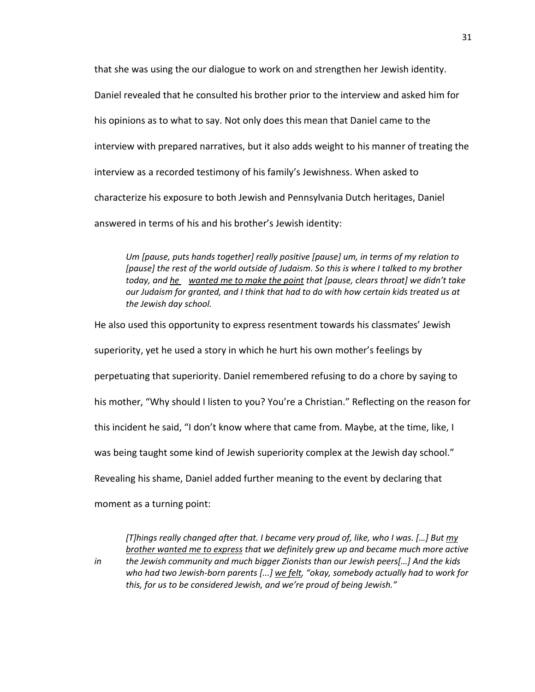that she was using the our dialogue to work on and strengthen her Jewish identity. Daniel revealed that he consulted his brother prior to the interview and asked him for his opinions as to what to say. Not only does this mean that Daniel came to the interview with prepared narratives, but it also adds weight to his manner of treating the interview as a recorded testimony of his family's Jewishness. When asked to characterize his exposure to both Jewish and Pennsylvania Dutch heritages, Daniel answered in terms of his and his brother's Jewish identity:

*Um [pause, puts hands together] really positive [pause] um, in terms of my relation to*  [pause] the rest of the world outside of Judaism. So this is where I talked to my brother *today, and he wanted me to make the point that [pause, clears throat] we didn't take our Judaism for granted, and I think that had to do with how certain kids treated us at the Jewish day school.*

He also used this opportunity to express resentment towards his classmates' Jewish superiority, yet he used a story in which he hurt his own mother's feelings by perpetuating that superiority. Daniel remembered refusing to do a chore by saying to his mother, "Why should I listen to you? You're a Christian." Reflecting on the reason for this incident he said, "I don't know where that came from. Maybe, at the time, like, I was being taught some kind of Jewish superiority complex at the Jewish day school." Revealing his shame, Daniel added further meaning to the event by declaring that

moment as a turning point:

*[T]hings really changed after that. I became very proud of, like, who I was. […] But my brother wanted me to express that we definitely grew up and became much more active* 

*in the Jewish community and much bigger Zionists than our Jewish peers[…] And the kids who had two Jewish-born parents [...] we felt, "okay, somebody actually had to work for this, for us to be considered Jewish, and we're proud of being Jewish."*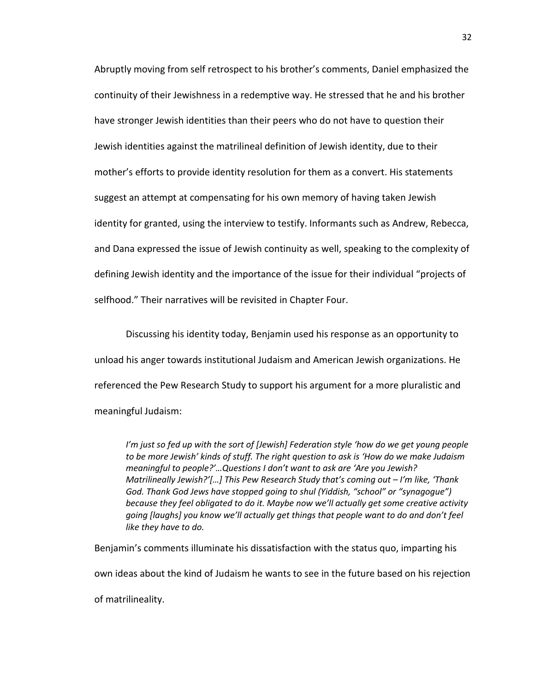Abruptly moving from self retrospect to his brother's comments, Daniel emphasized the continuity of their Jewishness in a redemptive way. He stressed that he and his brother have stronger Jewish identities than their peers who do not have to question their Jewish identities against the matrilineal definition of Jewish identity, due to their mother's efforts to provide identity resolution for them as a convert. His statements suggest an attempt at compensating for his own memory of having taken Jewish identity for granted, using the interview to testify. Informants such as Andrew, Rebecca, and Dana expressed the issue of Jewish continuity as well, speaking to the complexity of defining Jewish identity and the importance of the issue for their individual "projects of selfhood." Their narratives will be revisited in Chapter Four.

Discussing his identity today, Benjamin used his response as an opportunity to unload his anger towards institutional Judaism and American Jewish organizations. He referenced the Pew Research Study to support his argument for a more pluralistic and meaningful Judaism:

*I'm just so fed up with the sort of [Jewish] Federation style 'how do we get young people to be more Jewish' kinds of stuff. The right question to ask is 'How do we make Judaism meaningful to people?'…Questions I don't want to ask are 'Are you Jewish? Matrilineally Jewish?'[…] This Pew Research Study that's coming out – I'm like, 'Thank God. Thank God Jews have stopped going to shul (Yiddish, "school" or "synagogue") because they feel obligated to do it. Maybe now we'll actually get some creative activity going [laughs] you know we'll actually get things that people want to do and don't feel like they have to do.*

Benjamin's comments illuminate his dissatisfaction with the status quo, imparting his own ideas about the kind of Judaism he wants to see in the future based on his rejection of matrilineality.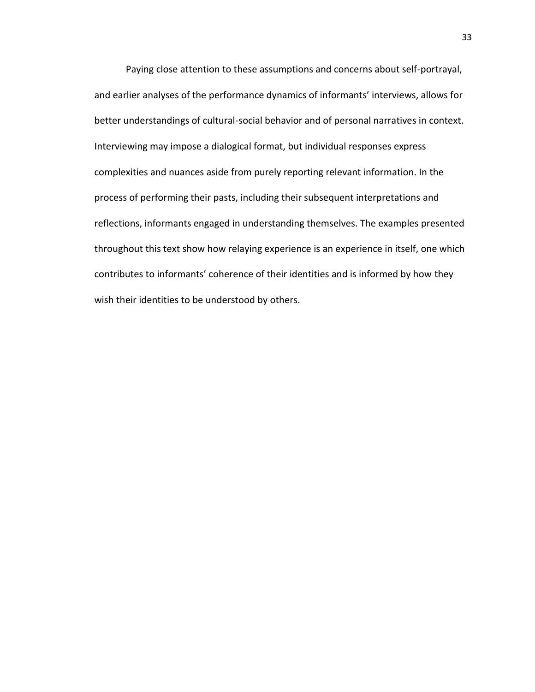Paying close attention to these assumptions and concerns about self-portrayal, and earlier analyses of the performance dynamics of informants' interviews, allows for better understandings of cultural-social behavior and of personal narratives in context. Interviewing may impose a dialogical format, but individual responses express complexities and nuances aside from purely reporting relevant information. In the process of performing their pasts, including their subsequent interpretations and reflections, informants engaged in understanding themselves. The examples presented throughout this text show how relaying experience is an experience in itself, one which contributes to informants' coherence of their identities and is informed by how they wish their identities to be understood by others.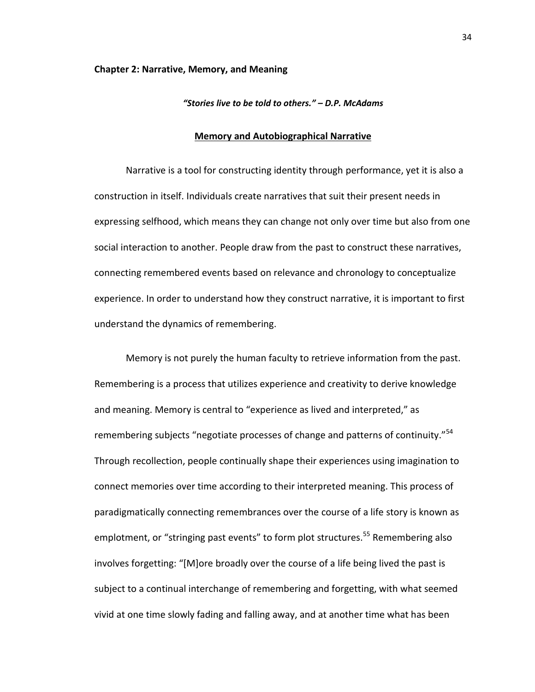#### **Chapter 2: Narrative, Memory, and Meaning**

## *"Stories live to be told to others." – D.P. McAdams*

## **Memory and Autobiographical Narrative**

Narrative is a tool for constructing identity through performance, yet it is also a construction in itself. Individuals create narratives that suit their present needs in expressing selfhood, which means they can change not only over time but also from one social interaction to another. People draw from the past to construct these narratives, connecting remembered events based on relevance and chronology to conceptualize experience. In order to understand how they construct narrative, it is important to first understand the dynamics of remembering.

Memory is not purely the human faculty to retrieve information from the past. Remembering is a process that utilizes experience and creativity to derive knowledge and meaning. Memory is central to "experience as lived and interpreted," as remembering subjects "negotiate processes of change and patterns of continuity."<sup>54</sup> Through recollection, people continually shape their experiences using imagination to connect memories over time according to their interpreted meaning. This process of paradigmatically connecting remembrances over the course of a life story is known as emplotment, or "stringing past events" to form plot structures.<sup>55</sup> Remembering also involves forgetting: "[M]ore broadly over the course of a life being lived the past is subject to a continual interchange of remembering and forgetting, with what seemed vivid at one time slowly fading and falling away, and at another time what has been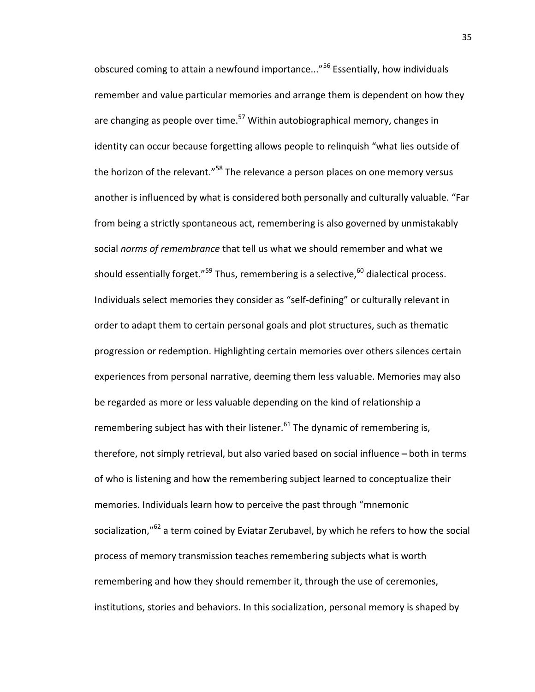obscured coming to attain a newfound importance..."<sup>56</sup> Essentially, how individuals remember and value particular memories and arrange them is dependent on how they are changing as people over time.<sup>57</sup> Within autobiographical memory, changes in identity can occur because forgetting allows people to relinquish "what lies outside of the horizon of the relevant."<sup>58</sup> The relevance a person places on one memory versus another is influenced by what is considered both personally and culturally valuable. "Far from being a strictly spontaneous act, remembering is also governed by unmistakably social *norms of remembrance* that tell us what we should remember and what we should essentially forget."<sup>59</sup> Thus, remembering is a selective,  $60$  dialectical process. Individuals select memories they consider as "self-defining" or culturally relevant in order to adapt them to certain personal goals and plot structures, such as thematic progression or redemption. Highlighting certain memories over others silences certain experiences from personal narrative, deeming them less valuable. Memories may also be regarded as more or less valuable depending on the kind of relationship a remembering subject has with their listener. $61$  The dynamic of remembering is, therefore, not simply retrieval, but also varied based on social influence - both in terms of who is listening and how the remembering subject learned to conceptualize their memories. Individuals learn how to perceive the past through "mnemonic socialization,"<sup>62</sup> a term coined by Eviatar Zerubavel, by which he refers to how the social process of memory transmission teaches remembering subjects what is worth remembering and how they should remember it, through the use of ceremonies, institutions, stories and behaviors. In this socialization, personal memory is shaped by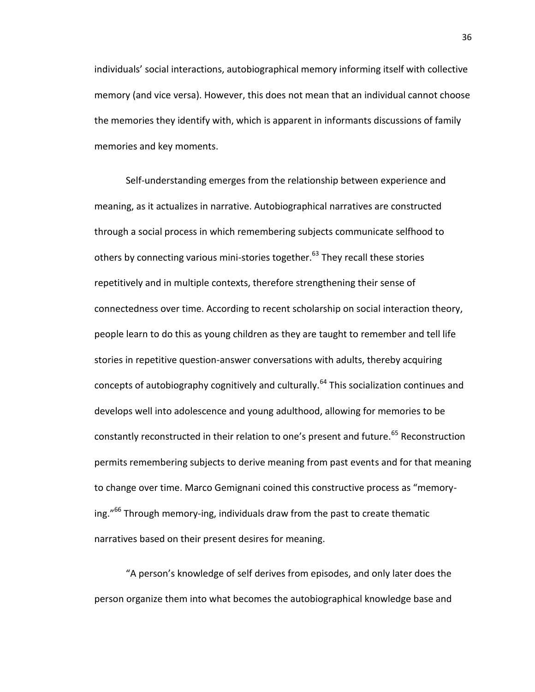individuals' social interactions, autobiographical memory informing itself with collective memory (and vice versa). However, this does not mean that an individual cannot choose the memories they identify with, which is apparent in informants discussions of family memories and key moments.

Self-understanding emerges from the relationship between experience and meaning, as it actualizes in narrative. Autobiographical narratives are constructed through a social process in which remembering subjects communicate selfhood to others by connecting various mini-stories together.<sup>63</sup> They recall these stories repetitively and in multiple contexts, therefore strengthening their sense of connectedness over time. According to recent scholarship on social interaction theory, people learn to do this as young children as they are taught to remember and tell life stories in repetitive question-answer conversations with adults, thereby acquiring concepts of autobiography cognitively and culturally.<sup>64</sup> This socialization continues and develops well into adolescence and young adulthood, allowing for memories to be constantly reconstructed in their relation to one's present and future.<sup>65</sup> Reconstruction permits remembering subjects to derive meaning from past events and for that meaning to change over time. Marco Gemignani coined this constructive process as "memorying."<sup>66</sup> Through memory-ing, individuals draw from the past to create thematic narratives based on their present desires for meaning.

"A person's knowledge of self derives from episodes, and only later does the person organize them into what becomes the autobiographical knowledge base and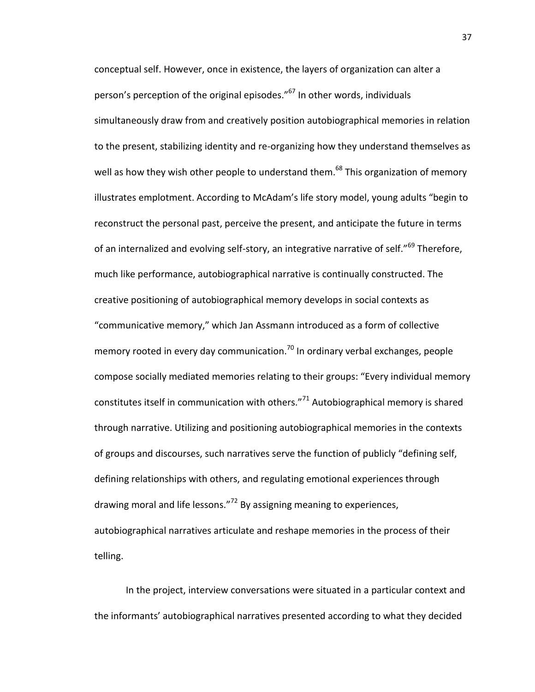conceptual self. However, once in existence, the layers of organization can alter a person's perception of the original episodes."<sup>67</sup> In other words, individuals simultaneously draw from and creatively position autobiographical memories in relation to the present, stabilizing identity and re-organizing how they understand themselves as well as how they wish other people to understand them.<sup>68</sup> This organization of memory illustrates emplotment. According to McAdam's life story model, young adults "begin to reconstruct the personal past, perceive the present, and anticipate the future in terms of an internalized and evolving self-story, an integrative narrative of self."<sup>69</sup> Therefore, much like performance, autobiographical narrative is continually constructed. The creative positioning of autobiographical memory develops in social contexts as "communicative memory," which Jan Assmann introduced as a form of collective memory rooted in every day communication.<sup>70</sup> In ordinary verbal exchanges, people compose socially mediated memories relating to their groups: "Every individual memory constitutes itself in communication with others."<sup>71</sup> Autobiographical memory is shared through narrative. Utilizing and positioning autobiographical memories in the contexts of groups and discourses, such narratives serve the function of publicly "defining self, defining relationships with others, and regulating emotional experiences through drawing moral and life lessons."<sup>72</sup> By assigning meaning to experiences, autobiographical narratives articulate and reshape memories in the process of their telling.

In the project, interview conversations were situated in a particular context and the informants' autobiographical narratives presented according to what they decided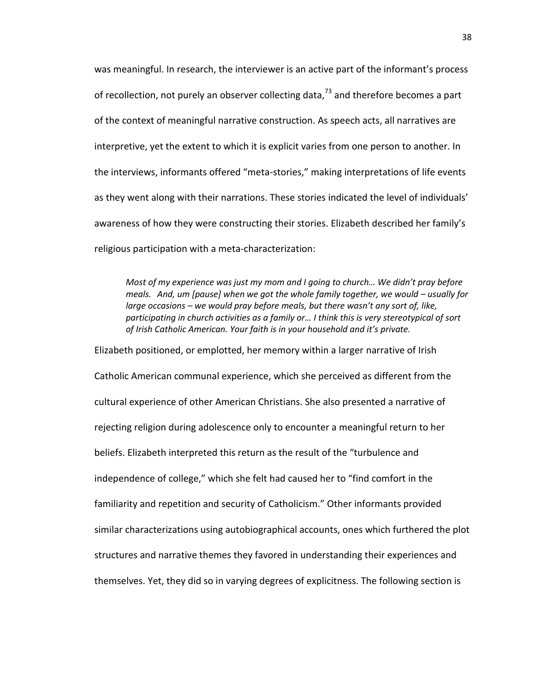was meaningful. In research, the interviewer is an active part of the informant's process of recollection, not purely an observer collecting data, $^{73}$  and therefore becomes a part of the context of meaningful narrative construction. As speech acts, all narratives are interpretive, yet the extent to which it is explicit varies from one person to another. In the interviews, informants offered "meta-stories," making interpretations of life events as they went along with their narrations. These stories indicated the level of individuals' awareness of how they were constructing their stories. Elizabeth described her family's religious participation with a meta-characterization:

*Most of my experience was just my mom and I going to church… We didn't pray before meals. And, um [pause] when we got the whole family together, we would – usually for large occasions – we would pray before meals, but there wasn't any sort of, like, participating in church activities as a family or… I think this is very stereotypical of sort of Irish Catholic American. Your faith is in your household and it's private.*

Elizabeth positioned, or emplotted, her memory within a larger narrative of Irish Catholic American communal experience, which she perceived as different from the cultural experience of other American Christians. She also presented a narrative of rejecting religion during adolescence only to encounter a meaningful return to her beliefs. Elizabeth interpreted this return as the result of the "turbulence and independence of college," which she felt had caused her to "find comfort in the familiarity and repetition and security of Catholicism." Other informants provided similar characterizations using autobiographical accounts, ones which furthered the plot structures and narrative themes they favored in understanding their experiences and themselves. Yet, they did so in varying degrees of explicitness. The following section is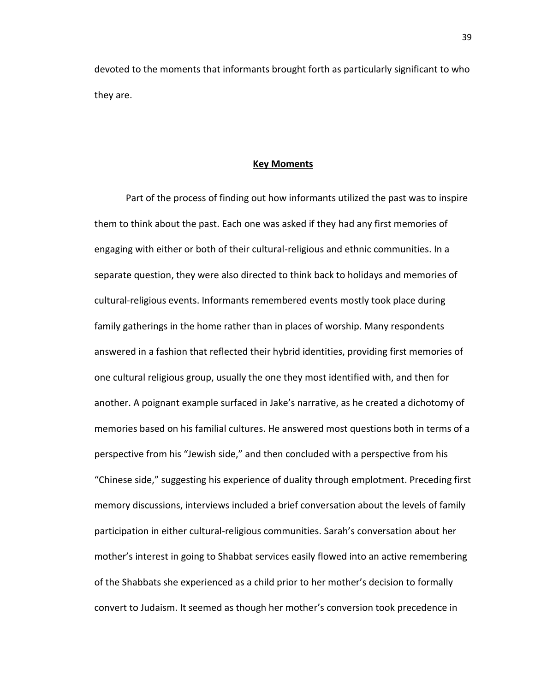devoted to the moments that informants brought forth as particularly significant to who they are.

### **Key Moments**

Part of the process of finding out how informants utilized the past was to inspire them to think about the past. Each one was asked if they had any first memories of engaging with either or both of their cultural-religious and ethnic communities. In a separate question, they were also directed to think back to holidays and memories of cultural-religious events. Informants remembered events mostly took place during family gatherings in the home rather than in places of worship. Many respondents answered in a fashion that reflected their hybrid identities, providing first memories of one cultural religious group, usually the one they most identified with, and then for another. A poignant example surfaced in Jake's narrative, as he created a dichotomy of memories based on his familial cultures. He answered most questions both in terms of a perspective from his "Jewish side," and then concluded with a perspective from his "Chinese side," suggesting his experience of duality through emplotment. Preceding first memory discussions, interviews included a brief conversation about the levels of family participation in either cultural-religious communities. Sarah's conversation about her mother's interest in going to Shabbat services easily flowed into an active remembering of the Shabbats she experienced as a child prior to her mother's decision to formally convert to Judaism. It seemed as though her mother's conversion took precedence in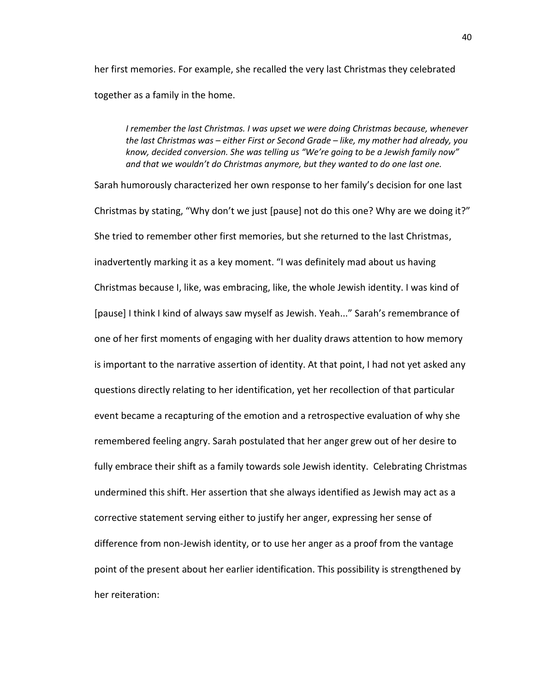her first memories. For example, she recalled the very last Christmas they celebrated together as a family in the home.

*I remember the last Christmas. I was upset we were doing Christmas because, whenever the last Christmas was – either First or Second Grade – like, my mother had already, you know, decided conversion. She was telling us "We're going to be a Jewish family now" and that we wouldn't do Christmas anymore, but they wanted to do one last one.*

Sarah humorously characterized her own response to her family's decision for one last Christmas by stating, "Why don't we just [pause] not do this one? Why are we doing it?" She tried to remember other first memories, but she returned to the last Christmas, inadvertently marking it as a key moment. "I was definitely mad about us having Christmas because I, like, was embracing, like, the whole Jewish identity. I was kind of [pause] I think I kind of always saw myself as Jewish. Yeah..." Sarah's remembrance of one of her first moments of engaging with her duality draws attention to how memory is important to the narrative assertion of identity. At that point, I had not yet asked any questions directly relating to her identification, yet her recollection of that particular event became a recapturing of the emotion and a retrospective evaluation of why she remembered feeling angry. Sarah postulated that her anger grew out of her desire to fully embrace their shift as a family towards sole Jewish identity. Celebrating Christmas undermined this shift. Her assertion that she always identified as Jewish may act as a corrective statement serving either to justify her anger, expressing her sense of difference from non-Jewish identity, or to use her anger as a proof from the vantage point of the present about her earlier identification. This possibility is strengthened by her reiteration: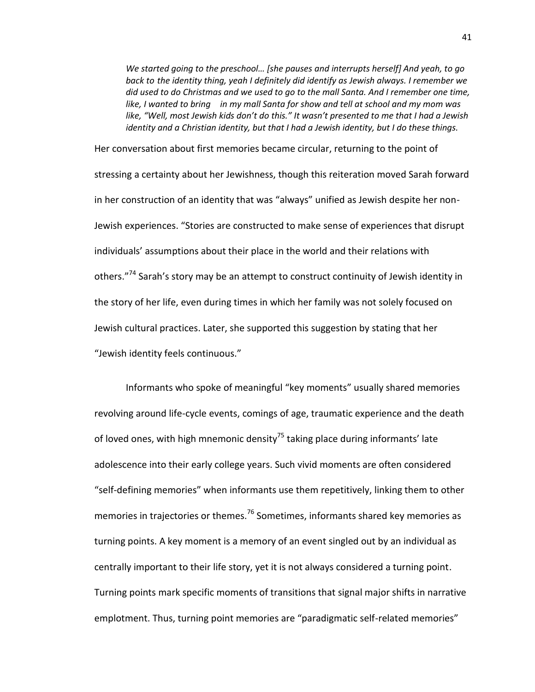*We started going to the preschool… [she pauses and interrupts herself] And yeah, to go back to the identity thing, yeah I definitely did identify as Jewish always. I remember we did used to do Christmas and we used to go to the mall Santa. And I remember one time, like, I wanted to bring in my mall Santa for show and tell at school and my mom was like, "Well, most Jewish kids don't do this." It wasn't presented to me that I had a Jewish identity and a Christian identity, but that I had a Jewish identity, but I do these things.*

Her conversation about first memories became circular, returning to the point of stressing a certainty about her Jewishness, though this reiteration moved Sarah forward in her construction of an identity that was "always" unified as Jewish despite her non-Jewish experiences. "Stories are constructed to make sense of experiences that disrupt individuals' assumptions about their place in the world and their relations with others."<sup>74</sup> Sarah's story may be an attempt to construct continuity of Jewish identity in the story of her life, even during times in which her family was not solely focused on Jewish cultural practices. Later, she supported this suggestion by stating that her "Jewish identity feels continuous."

Informants who spoke of meaningful "key moments" usually shared memories revolving around life-cycle events, comings of age, traumatic experience and the death of loved ones, with high mnemonic density<sup>75</sup> taking place during informants' late adolescence into their early college years. Such vivid moments are often considered "self-defining memories" when informants use them repetitively, linking them to other memories in trajectories or themes.<sup>76</sup> Sometimes, informants shared key memories as turning points. A key moment is a memory of an event singled out by an individual as centrally important to their life story, yet it is not always considered a turning point. Turning points mark specific moments of transitions that signal major shifts in narrative emplotment. Thus, turning point memories are "paradigmatic self-related memories"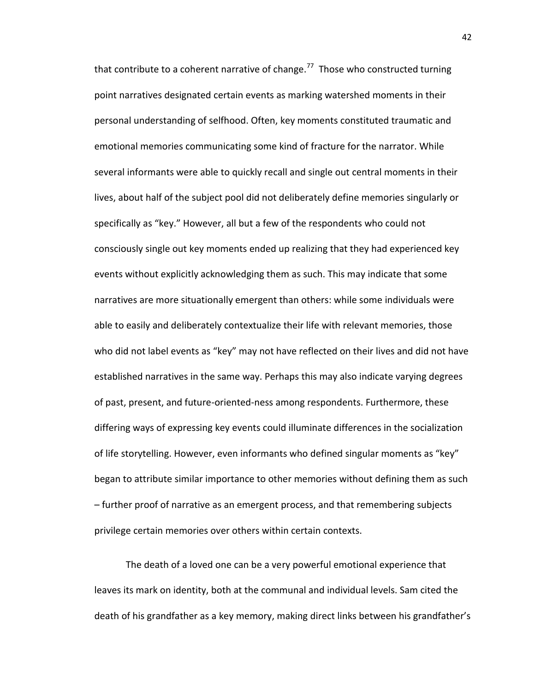that contribute to a coherent narrative of change.<sup>77</sup> Those who constructed turning point narratives designated certain events as marking watershed moments in their personal understanding of selfhood. Often, key moments constituted traumatic and emotional memories communicating some kind of fracture for the narrator. While several informants were able to quickly recall and single out central moments in their lives, about half of the subject pool did not deliberately define memories singularly or specifically as "key." However, all but a few of the respondents who could not consciously single out key moments ended up realizing that they had experienced key events without explicitly acknowledging them as such. This may indicate that some narratives are more situationally emergent than others: while some individuals were able to easily and deliberately contextualize their life with relevant memories, those who did not label events as "key" may not have reflected on their lives and did not have established narratives in the same way. Perhaps this may also indicate varying degrees of past, present, and future-oriented-ness among respondents. Furthermore, these differing ways of expressing key events could illuminate differences in the socialization of life storytelling. However, even informants who defined singular moments as "key" began to attribute similar importance to other memories without defining them as such – further proof of narrative as an emergent process, and that remembering subjects privilege certain memories over others within certain contexts.

The death of a loved one can be a very powerful emotional experience that leaves its mark on identity, both at the communal and individual levels. Sam cited the death of his grandfather as a key memory, making direct links between his grandfather's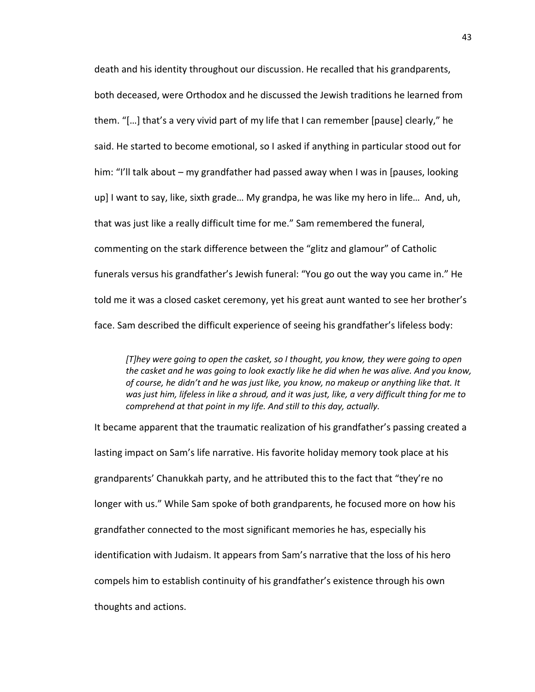death and his identity throughout our discussion. He recalled that his grandparents, both deceased, were Orthodox and he discussed the Jewish traditions he learned from them. "[…] that's a very vivid part of my life that I can remember [pause] clearly," he said. He started to become emotional, so I asked if anything in particular stood out for him: "I'll talk about – my grandfather had passed away when I was in [pauses, looking up] I want to say, like, sixth grade… My grandpa, he was like my hero in life… And, uh, that was just like a really difficult time for me." Sam remembered the funeral, commenting on the stark difference between the "glitz and glamour" of Catholic funerals versus his grandfather's Jewish funeral: "You go out the way you came in." He told me it was a closed casket ceremony, yet his great aunt wanted to see her brother's face. Sam described the difficult experience of seeing his grandfather's lifeless body:

*[T]hey were going to open the casket, so I thought, you know, they were going to open the casket and he was going to look exactly like he did when he was alive. And you know, of course, he didn't and he was just like, you know, no makeup or anything like that. It was just him, lifeless in like a shroud, and it was just, like, a very difficult thing for me to comprehend at that point in my life. And still to this day, actually.*

It became apparent that the traumatic realization of his grandfather's passing created a lasting impact on Sam's life narrative. His favorite holiday memory took place at his grandparents' Chanukkah party, and he attributed this to the fact that "they're no longer with us." While Sam spoke of both grandparents, he focused more on how his grandfather connected to the most significant memories he has, especially his identification with Judaism. It appears from Sam's narrative that the loss of his hero compels him to establish continuity of his grandfather's existence through his own thoughts and actions.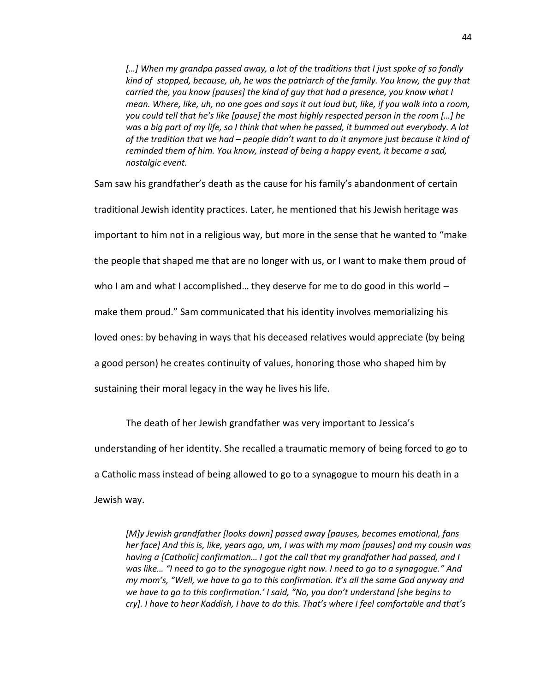[...] When my grandpa passed away, a lot of the traditions that I just spoke of so fondly *kind of stopped, because, uh, he was the patriarch of the family. You know, the guy that carried the, you know [pauses] the kind of guy that had a presence, you know what I mean. Where, like, uh, no one goes and says it out loud but, like, if you walk into a room, you could tell that he's like [pause] the most highly respected person in the room […] he was a big part of my life, so I think that when he passed, it bummed out everybody. A lot of the tradition that we had – people didn't want to do it anymore just because it kind of reminded them of him. You know, instead of being a happy event, it became a sad, nostalgic event.*

Sam saw his grandfather's death as the cause for his family's abandonment of certain

traditional Jewish identity practices. Later, he mentioned that his Jewish heritage was

important to him not in a religious way, but more in the sense that he wanted to "make

the people that shaped me that are no longer with us, or I want to make them proud of

who I am and what I accomplished... they deserve for me to do good in this world  $-$ 

make them proud." Sam communicated that his identity involves memorializing his

loved ones: by behaving in ways that his deceased relatives would appreciate (by being

a good person) he creates continuity of values, honoring those who shaped him by

sustaining their moral legacy in the way he lives his life.

The death of her Jewish grandfather was very important to Jessica's understanding of her identity. She recalled a traumatic memory of being forced to go to a Catholic mass instead of being allowed to go to a synagogue to mourn his death in a Jewish way.

*[M]y Jewish grandfather [looks down] passed away [pauses, becomes emotional, fans her face] And this is, like, years ago, um, I was with my mom [pauses] and my cousin was having a [Catholic] confirmation… I got the call that my grandfather had passed, and I was like… "I need to go to the synagogue right now. I need to go to a synagogue." And my mom's, "Well, we have to go to this confirmation. It's all the same God anyway and we have to go to this confirmation.' I said, "No, you don't understand [she begins to cry]. I have to hear Kaddish, I have to do this. That's where I feel comfortable and that's*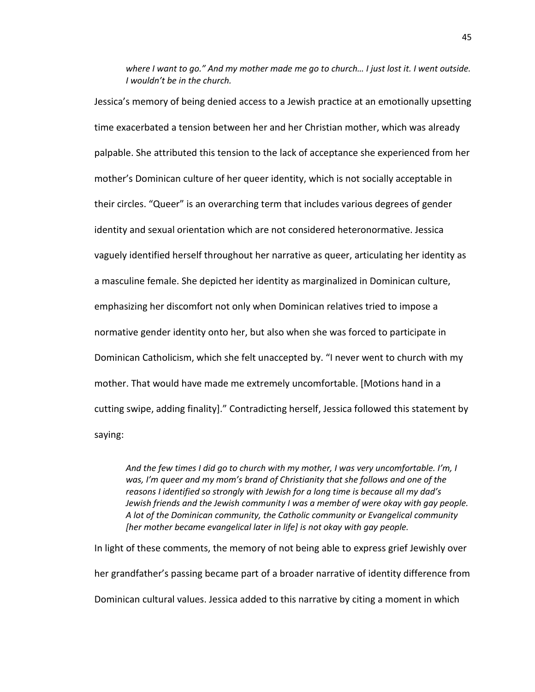*where I want to go." And my mother made me go to church… I just lost it. I went outside. I wouldn't be in the church.*

Jessica's memory of being denied access to a Jewish practice at an emotionally upsetting time exacerbated a tension between her and her Christian mother, which was already palpable. She attributed this tension to the lack of acceptance she experienced from her mother's Dominican culture of her queer identity, which is not socially acceptable in their circles. "Queer" is an overarching term that includes various degrees of gender identity and sexual orientation which are not considered heteronormative. Jessica vaguely identified herself throughout her narrative as queer, articulating her identity as a masculine female. She depicted her identity as marginalized in Dominican culture, emphasizing her discomfort not only when Dominican relatives tried to impose a normative gender identity onto her, but also when she was forced to participate in Dominican Catholicism, which she felt unaccepted by. "I never went to church with my mother. That would have made me extremely uncomfortable. [Motions hand in a cutting swipe, adding finality]." Contradicting herself, Jessica followed this statement by saying:

*And the few times I did go to church with my mother, I was very uncomfortable. I'm, I was, I'm queer and my mom's brand of Christianity that she follows and one of the reasons I identified so strongly with Jewish for a long time is because all my dad's Jewish friends and the Jewish community I was a member of were okay with gay people. A lot of the Dominican community, the Catholic community or Evangelical community [her mother became evangelical later in life] is not okay with gay people.*

In light of these comments, the memory of not being able to express grief Jewishly over her grandfather's passing became part of a broader narrative of identity difference from Dominican cultural values. Jessica added to this narrative by citing a moment in which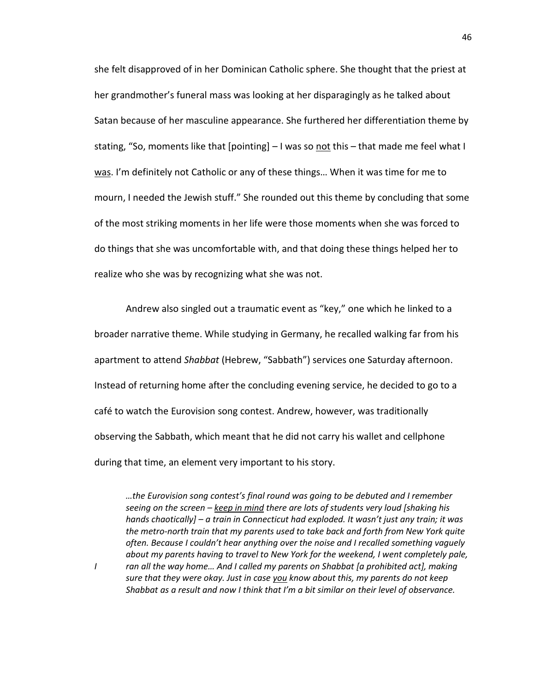she felt disapproved of in her Dominican Catholic sphere. She thought that the priest at her grandmother's funeral mass was looking at her disparagingly as he talked about Satan because of her masculine appearance. She furthered her differentiation theme by stating, "So, moments like that [pointing] – I was so not this – that made me feel what I was. I'm definitely not Catholic or any of these things... When it was time for me to mourn, I needed the Jewish stuff." She rounded out this theme by concluding that some of the most striking moments in her life were those moments when she was forced to do things that she was uncomfortable with, and that doing these things helped her to realize who she was by recognizing what she was not.

Andrew also singled out a traumatic event as "key," one which he linked to a broader narrative theme. While studying in Germany, he recalled walking far from his apartment to attend *Shabbat* (Hebrew, "Sabbath") services one Saturday afternoon. Instead of returning home after the concluding evening service, he decided to go to a café to watch the Eurovision song contest. Andrew, however, was traditionally observing the Sabbath, which meant that he did not carry his wallet and cellphone during that time, an element very important to his story.

*…the Eurovision song contest's final round was going to be debuted and I remember seeing on the screen – keep in mind there are lots of students very loud [shaking his hands chaotically] – a train in Connecticut had exploded. It wasn't just any train; it was the metro-north train that my parents used to take back and forth from New York quite often. Because I couldn't hear anything over the noise and I recalled something vaguely about my parents having to travel to New York for the weekend, I went completely pale, I ran all the way home… And I called my parents on Shabbat [a prohibited act], making sure that they were okay. Just in case you know about this, my parents do not keep Shabbat as a result and now I think that I'm a bit similar on their level of observance.*

46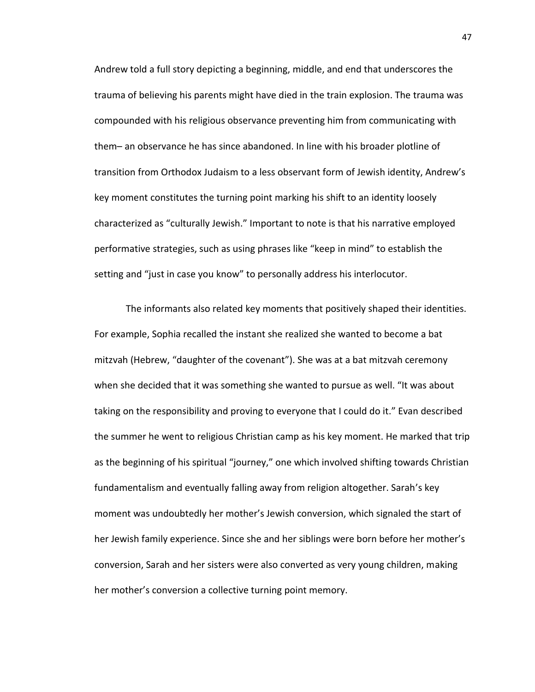Andrew told a full story depicting a beginning, middle, and end that underscores the trauma of believing his parents might have died in the train explosion. The trauma was compounded with his religious observance preventing him from communicating with them– an observance he has since abandoned. In line with his broader plotline of transition from Orthodox Judaism to a less observant form of Jewish identity, Andrew's key moment constitutes the turning point marking his shift to an identity loosely characterized as "culturally Jewish." Important to note is that his narrative employed performative strategies, such as using phrases like "keep in mind" to establish the setting and "just in case you know" to personally address his interlocutor.

The informants also related key moments that positively shaped their identities. For example, Sophia recalled the instant she realized she wanted to become a bat mitzvah (Hebrew, "daughter of the covenant"). She was at a bat mitzvah ceremony when she decided that it was something she wanted to pursue as well. "It was about taking on the responsibility and proving to everyone that I could do it." Evan described the summer he went to religious Christian camp as his key moment. He marked that trip as the beginning of his spiritual "journey," one which involved shifting towards Christian fundamentalism and eventually falling away from religion altogether. Sarah's key moment was undoubtedly her mother's Jewish conversion, which signaled the start of her Jewish family experience. Since she and her siblings were born before her mother's conversion, Sarah and her sisters were also converted as very young children, making her mother's conversion a collective turning point memory.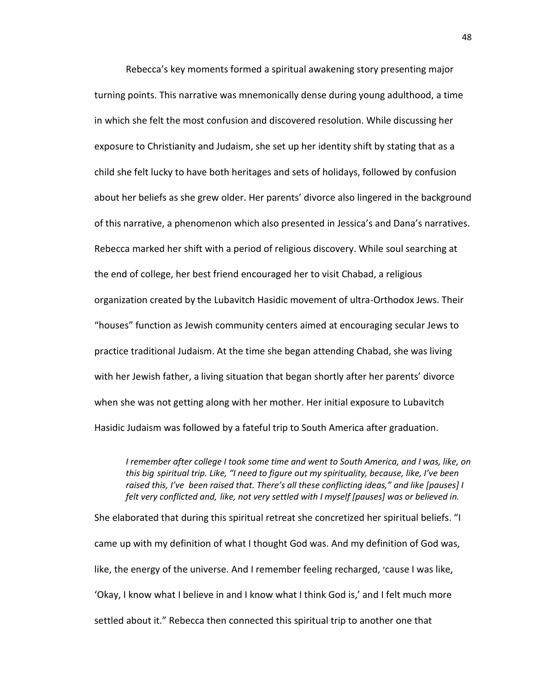Rebecca's key moments formed a spiritual awakening story presenting major turning points. This narrative was mnemonically dense during young adulthood, a time in which she felt the most confusion and discovered resolution. While discussing her exposure to Christianity and Judaism, she set up her identity shift by stating that as a child she felt lucky to have both heritages and sets of holidays, followed by confusion about her beliefs as she grew older. Her parents' divorce also lingered in the background of this narrative, a phenomenon which also presented in Jessica's and Dana's narratives. Rebecca marked her shift with a period of religious discovery. While soul searching at the end of college, her best friend encouraged her to visit Chabad, a religious organization created by the Lubavitch Hasidic movement of ultra-Orthodox Jews. Their "houses" function as Jewish community centers aimed at encouraging secular Jews to practice traditional Judaism. At the time she began attending Chabad, she was living with her Jewish father, a living situation that began shortly after her parents' divorce when she was not getting along with her mother. Her initial exposure to Lubavitch Hasidic Judaism was followed by a fateful trip to South America after graduation.

*I remember after college I took some time and went to South America, and I was, like, on this big spiritual trip. Like, "I need to figure out my spirituality, because, like, I've been raised this, I've been raised that. There's all these conflicting ideas," and like [pauses] I felt very conflicted and, like, not very settled with I myself [pauses] was or believed in.* 

She elaborated that during this spiritual retreat she concretized her spiritual beliefs. "I came up with my definition of what I thought God was. And my definition of God was, like, the energy of the universe. And I remember feeling recharged, ׳cause I was like, 'Okay, I know what I believe in and I know what I think God is,' and I felt much more settled about it." Rebecca then connected this spiritual trip to another one that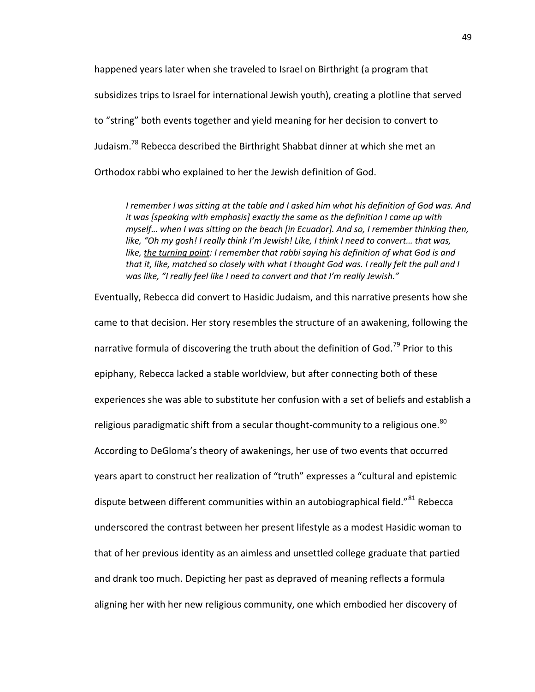happened years later when she traveled to Israel on Birthright (a program that subsidizes trips to Israel for international Jewish youth), creating a plotline that served to "string" both events together and yield meaning for her decision to convert to Judaism.<sup>78</sup> Rebecca described the Birthright Shabbat dinner at which she met an Orthodox rabbi who explained to her the Jewish definition of God.

*I remember I was sitting at the table and I asked him what his definition of God was. And it was [speaking with emphasis] exactly the same as the definition I came up with myself… when I was sitting on the beach [in Ecuador]. And so, I remember thinking then, like, "Oh my gosh! I really think I'm Jewish! Like, I think I need to convert… that was,*  like, the turning point: I remember that rabbi saying his definition of what God is and *that it, like, matched so closely with what I thought God was. I really felt the pull and I was like, "I really feel like I need to convert and that I'm really Jewish."*

Eventually, Rebecca did convert to Hasidic Judaism, and this narrative presents how she came to that decision. Her story resembles the structure of an awakening, following the narrative formula of discovering the truth about the definition of God.<sup>79</sup> Prior to this epiphany, Rebecca lacked a stable worldview, but after connecting both of these experiences she was able to substitute her confusion with a set of beliefs and establish a religious paradigmatic shift from a secular thought-community to a religious one.<sup>80</sup> According to DeGloma's theory of awakenings, her use of two events that occurred years apart to construct her realization of "truth" expresses a "cultural and epistemic dispute between different communities within an autobiographical field."<sup>81</sup> Rebecca underscored the contrast between her present lifestyle as a modest Hasidic woman to that of her previous identity as an aimless and unsettled college graduate that partied and drank too much. Depicting her past as depraved of meaning reflects a formula aligning her with her new religious community, one which embodied her discovery of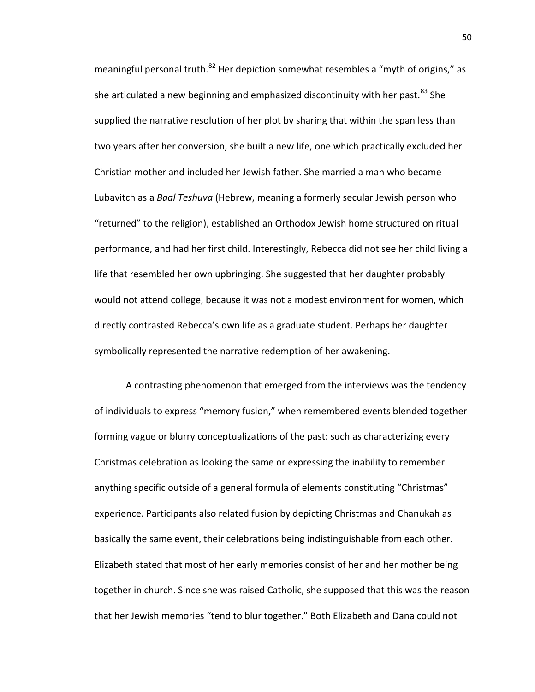meaningful personal truth.<sup>82</sup> Her depiction somewhat resembles a "myth of origins," as she articulated a new beginning and emphasized discontinuity with her past.  $83$  She supplied the narrative resolution of her plot by sharing that within the span less than two years after her conversion, she built a new life, one which practically excluded her Christian mother and included her Jewish father. She married a man who became Lubavitch as a *Baal Teshuva* (Hebrew, meaning a formerly secular Jewish person who "returned" to the religion), established an Orthodox Jewish home structured on ritual performance, and had her first child. Interestingly, Rebecca did not see her child living a life that resembled her own upbringing. She suggested that her daughter probably would not attend college, because it was not a modest environment for women, which directly contrasted Rebecca's own life as a graduate student. Perhaps her daughter symbolically represented the narrative redemption of her awakening.

A contrasting phenomenon that emerged from the interviews was the tendency of individuals to express "memory fusion," when remembered events blended together forming vague or blurry conceptualizations of the past: such as characterizing every Christmas celebration as looking the same or expressing the inability to remember anything specific outside of a general formula of elements constituting "Christmas" experience. Participants also related fusion by depicting Christmas and Chanukah as basically the same event, their celebrations being indistinguishable from each other. Elizabeth stated that most of her early memories consist of her and her mother being together in church. Since she was raised Catholic, she supposed that this was the reason that her Jewish memories "tend to blur together." Both Elizabeth and Dana could not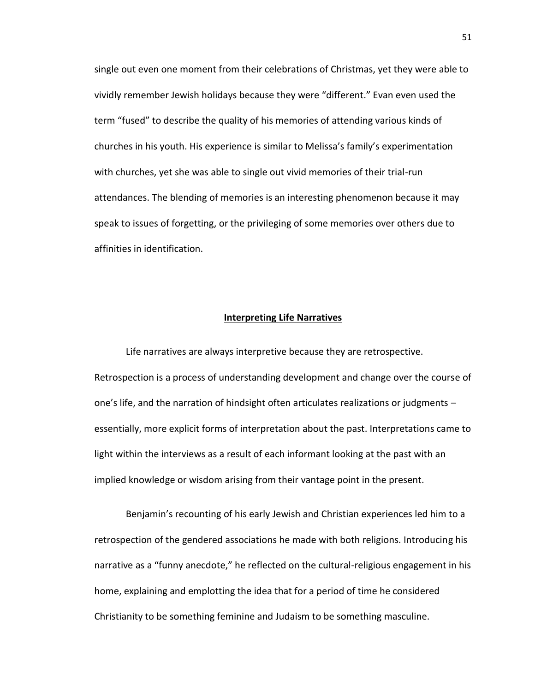single out even one moment from their celebrations of Christmas, yet they were able to vividly remember Jewish holidays because they were "different." Evan even used the term "fused" to describe the quality of his memories of attending various kinds of churches in his youth. His experience is similar to Melissa's family's experimentation with churches, yet she was able to single out vivid memories of their trial-run attendances. The blending of memories is an interesting phenomenon because it may speak to issues of forgetting, or the privileging of some memories over others due to affinities in identification.

# **Interpreting Life Narratives**

Life narratives are always interpretive because they are retrospective. Retrospection is a process of understanding development and change over the course of one's life, and the narration of hindsight often articulates realizations or judgments – essentially, more explicit forms of interpretation about the past. Interpretations came to light within the interviews as a result of each informant looking at the past with an implied knowledge or wisdom arising from their vantage point in the present.

Benjamin's recounting of his early Jewish and Christian experiences led him to a retrospection of the gendered associations he made with both religions. Introducing his narrative as a "funny anecdote," he reflected on the cultural-religious engagement in his home, explaining and emplotting the idea that for a period of time he considered Christianity to be something feminine and Judaism to be something masculine.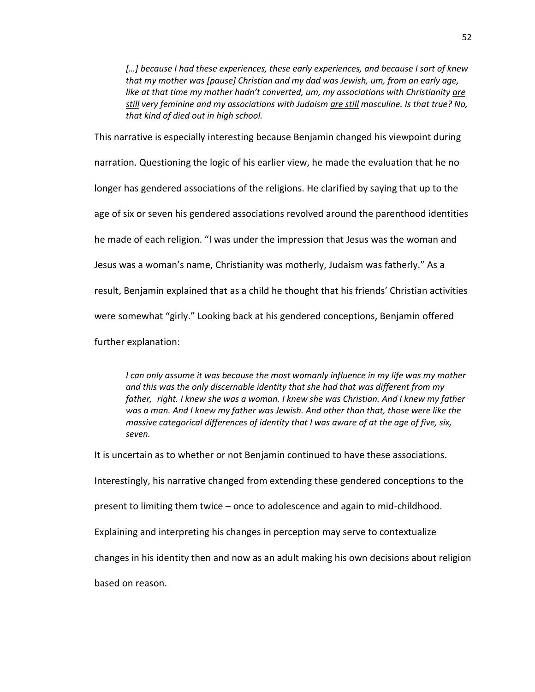*[…] because I had these experiences, these early experiences, and because I sort of knew that my mother was [pause] Christian and my dad was Jewish, um, from an early age,*  like at that time my mother hadn't converted, um, my associations with Christianity are *still very feminine and my associations with Judaism are still masculine. Is that true? No, that kind of died out in high school.*

This narrative is especially interesting because Benjamin changed his viewpoint during narration. Questioning the logic of his earlier view, he made the evaluation that he no longer has gendered associations of the religions. He clarified by saying that up to the age of six or seven his gendered associations revolved around the parenthood identities he made of each religion. "I was under the impression that Jesus was the woman and Jesus was a woman's name, Christianity was motherly, Judaism was fatherly." As a result, Benjamin explained that as a child he thought that his friends' Christian activities were somewhat "girly." Looking back at his gendered conceptions, Benjamin offered further explanation:

*I can only assume it was because the most womanly influence in my life was my mother and this was the only discernable identity that she had that was different from my father, right. I knew she was a woman. I knew she was Christian. And I knew my father was a man. And I knew my father was Jewish. And other than that, those were like the massive categorical differences of identity that I was aware of at the age of five, six, seven.*

It is uncertain as to whether or not Benjamin continued to have these associations.

Interestingly, his narrative changed from extending these gendered conceptions to the

present to limiting them twice – once to adolescence and again to mid-childhood.

Explaining and interpreting his changes in perception may serve to contextualize

changes in his identity then and now as an adult making his own decisions about religion

based on reason.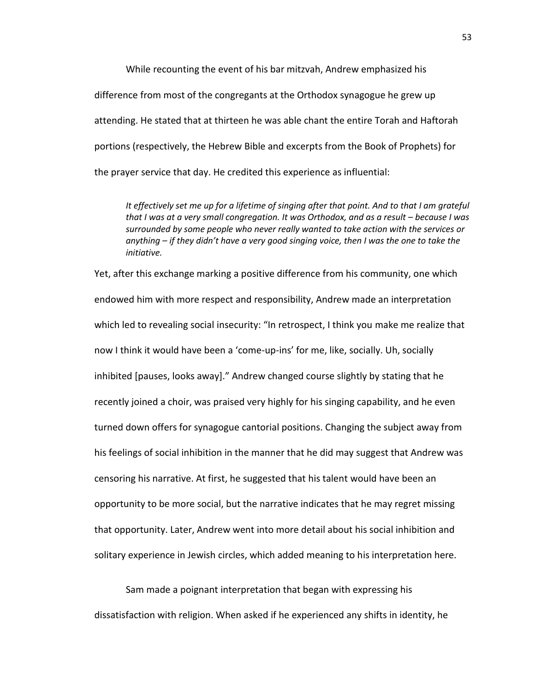While recounting the event of his bar mitzvah, Andrew emphasized his difference from most of the congregants at the Orthodox synagogue he grew up attending. He stated that at thirteen he was able chant the entire Torah and Haftorah portions (respectively, the Hebrew Bible and excerpts from the Book of Prophets) for the prayer service that day. He credited this experience as influential:

*It effectively set me up for a lifetime of singing after that point. And to that I am grateful that I was at a very small congregation. It was Orthodox, and as a result – because I was surrounded by some people who never really wanted to take action with the services or anything – if they didn't have a very good singing voice, then I was the one to take the initiative.*

Yet, after this exchange marking a positive difference from his community, one which endowed him with more respect and responsibility, Andrew made an interpretation which led to revealing social insecurity: "In retrospect, I think you make me realize that now I think it would have been a 'come-up-ins' for me, like, socially. Uh, socially inhibited [pauses, looks away]." Andrew changed course slightly by stating that he recently joined a choir, was praised very highly for his singing capability, and he even turned down offers for synagogue cantorial positions. Changing the subject away from his feelings of social inhibition in the manner that he did may suggest that Andrew was censoring his narrative. At first, he suggested that his talent would have been an opportunity to be more social, but the narrative indicates that he may regret missing that opportunity. Later, Andrew went into more detail about his social inhibition and solitary experience in Jewish circles, which added meaning to his interpretation here.

Sam made a poignant interpretation that began with expressing his dissatisfaction with religion. When asked if he experienced any shifts in identity, he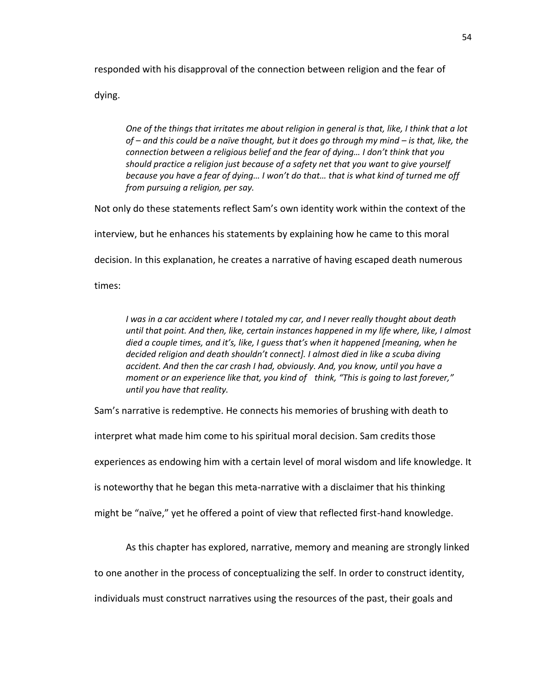responded with his disapproval of the connection between religion and the fear of

dying.

*One of the things that irritates me about religion in general is that, like, I think that a lot of – and this could be a naïve thought, but it does go through my mind – is that, like, the connection between a religious belief and the fear of dying… I don't think that you should practice a religion just because of a safety net that you want to give yourself because you have a fear of dying… I won't do that… that is what kind of turned me off from pursuing a religion, per say.*

Not only do these statements reflect Sam's own identity work within the context of the

interview, but he enhances his statements by explaining how he came to this moral

decision. In this explanation, he creates a narrative of having escaped death numerous

times:

*I was in a car accident where I totaled my car, and I never really thought about death until that point. And then, like, certain instances happened in my life where, like, I almost died a couple times, and it's, like, I guess that's when it happened [meaning, when he decided religion and death shouldn't connect]. I almost died in like a scuba diving accident. And then the car crash I had, obviously. And, you know, until you have a moment or an experience like that, you kind of think, "This is going to last forever," until you have that reality.*

Sam's narrative is redemptive. He connects his memories of brushing with death to

interpret what made him come to his spiritual moral decision. Sam credits those

experiences as endowing him with a certain level of moral wisdom and life knowledge. It

is noteworthy that he began this meta-narrative with a disclaimer that his thinking

might be "naïve," yet he offered a point of view that reflected first-hand knowledge.

As this chapter has explored, narrative, memory and meaning are strongly linked

to one another in the process of conceptualizing the self. In order to construct identity,

individuals must construct narratives using the resources of the past, their goals and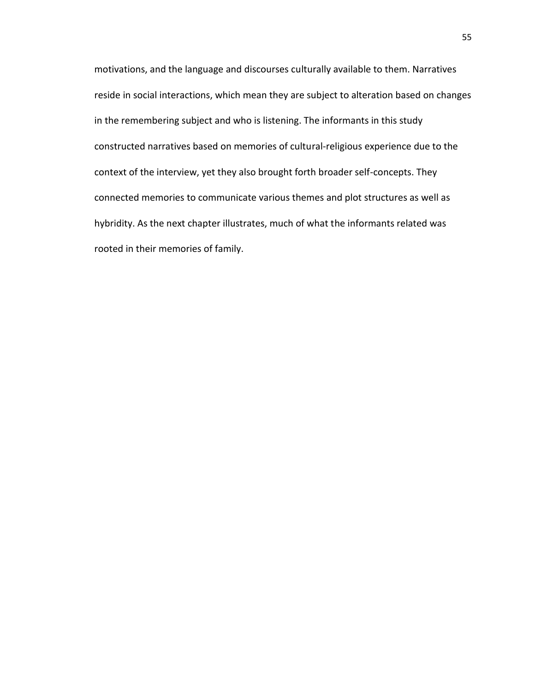motivations, and the language and discourses culturally available to them. Narratives reside in social interactions, which mean they are subject to alteration based on changes in the remembering subject and who is listening. The informants in this study constructed narratives based on memories of cultural-religious experience due to the context of the interview, yet they also brought forth broader self-concepts. They connected memories to communicate various themes and plot structures as well as hybridity. As the next chapter illustrates, much of what the informants related was rooted in their memories of family.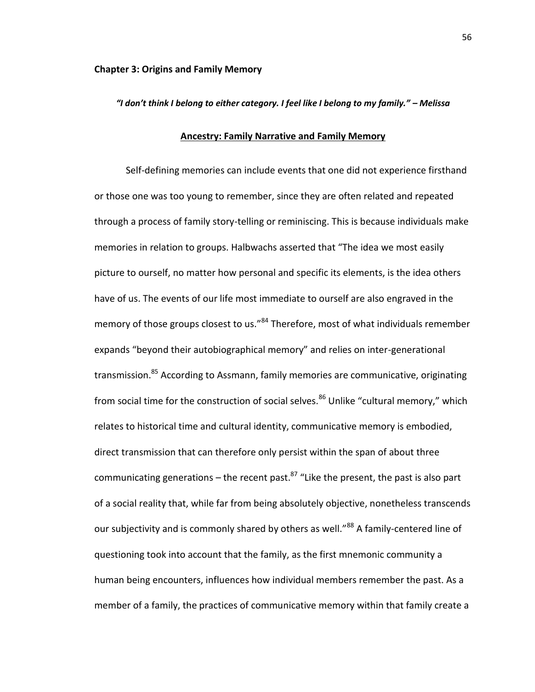# *"I don't think I belong to either category. I feel like I belong to my family." – Melissa*

# **Ancestry: Family Narrative and Family Memory**

Self-defining memories can include events that one did not experience firsthand or those one was too young to remember, since they are often related and repeated through a process of family story-telling or reminiscing. This is because individuals make memories in relation to groups. Halbwachs asserted that "The idea we most easily picture to ourself, no matter how personal and specific its elements, is the idea others have of us. The events of our life most immediate to ourself are also engraved in the memory of those groups closest to us."<sup>84</sup> Therefore, most of what individuals remember expands "beyond their autobiographical memory" and relies on inter-generational transmission.<sup>85</sup> According to Assmann, family memories are communicative, originating from social time for the construction of social selves.<sup>86</sup> Unlike "cultural memory," which relates to historical time and cultural identity, communicative memory is embodied, direct transmission that can therefore only persist within the span of about three communicating generations – the recent past. $87$  "Like the present, the past is also part of a social reality that, while far from being absolutely objective, nonetheless transcends our subjectivity and is commonly shared by others as well."<sup>88</sup> A family-centered line of questioning took into account that the family, as the first mnemonic community a human being encounters, influences how individual members remember the past. As a member of a family, the practices of communicative memory within that family create a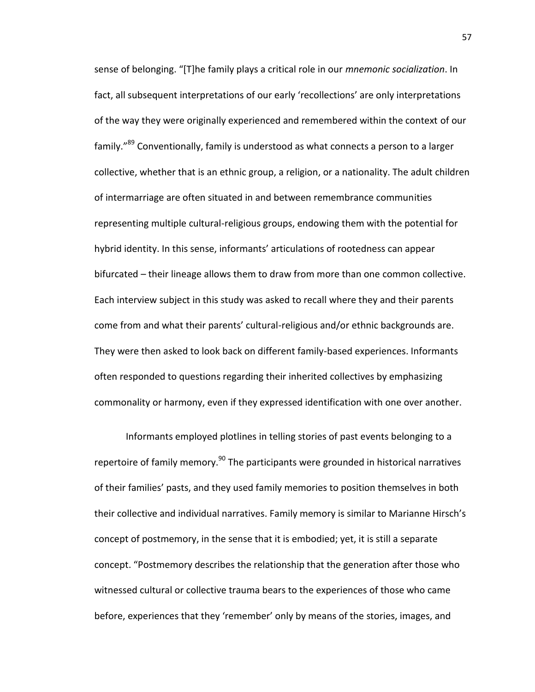sense of belonging. "[T]he family plays a critical role in our *mnemonic socialization*. In fact, all subsequent interpretations of our early 'recollections' are only interpretations of the way they were originally experienced and remembered within the context of our family."<sup>89</sup> Conventionally, family is understood as what connects a person to a larger collective, whether that is an ethnic group, a religion, or a nationality. The adult children of intermarriage are often situated in and between remembrance communities representing multiple cultural-religious groups, endowing them with the potential for hybrid identity. In this sense, informants' articulations of rootedness can appear bifurcated – their lineage allows them to draw from more than one common collective. Each interview subject in this study was asked to recall where they and their parents come from and what their parents' cultural-religious and/or ethnic backgrounds are. They were then asked to look back on different family-based experiences. Informants often responded to questions regarding their inherited collectives by emphasizing commonality or harmony, even if they expressed identification with one over another.

Informants employed plotlines in telling stories of past events belonging to a repertoire of family memory.<sup>90</sup> The participants were grounded in historical narratives of their families' pasts, and they used family memories to position themselves in both their collective and individual narratives. Family memory is similar to Marianne Hirsch's concept of postmemory, in the sense that it is embodied; yet, it is still a separate concept. "Postmemory describes the relationship that the generation after those who witnessed cultural or collective trauma bears to the experiences of those who came before, experiences that they 'remember' only by means of the stories, images, and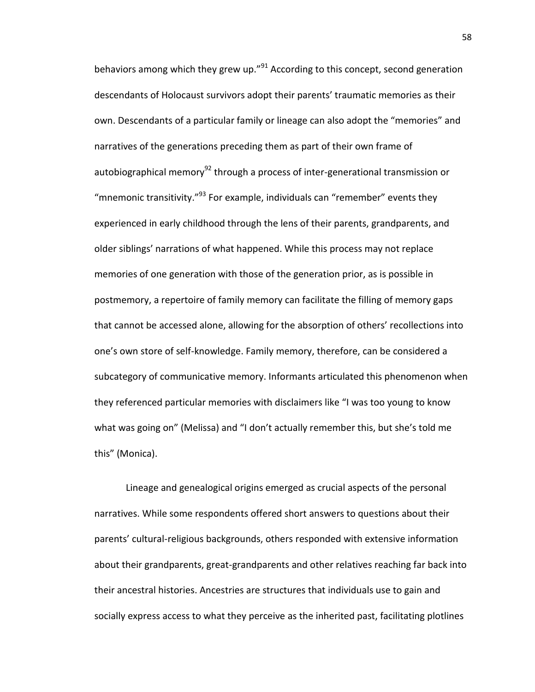behaviors among which they grew up."<sup>91</sup> According to this concept, second generation descendants of Holocaust survivors adopt their parents' traumatic memories as their own. Descendants of a particular family or lineage can also adopt the "memories" and narratives of the generations preceding them as part of their own frame of autobiographical memory<sup>92</sup> through a process of inter-generational transmission or "mnemonic transitivity." $^{93}$  For example, individuals can "remember" events they experienced in early childhood through the lens of their parents, grandparents, and older siblings' narrations of what happened. While this process may not replace memories of one generation with those of the generation prior, as is possible in postmemory, a repertoire of family memory can facilitate the filling of memory gaps that cannot be accessed alone, allowing for the absorption of others' recollections into one's own store of self-knowledge. Family memory, therefore, can be considered a subcategory of communicative memory. Informants articulated this phenomenon when they referenced particular memories with disclaimers like "I was too young to know what was going on" (Melissa) and "I don't actually remember this, but she's told me this" (Monica).

Lineage and genealogical origins emerged as crucial aspects of the personal narratives. While some respondents offered short answers to questions about their parents' cultural-religious backgrounds, others responded with extensive information about their grandparents, great-grandparents and other relatives reaching far back into their ancestral histories. Ancestries are structures that individuals use to gain and socially express access to what they perceive as the inherited past, facilitating plotlines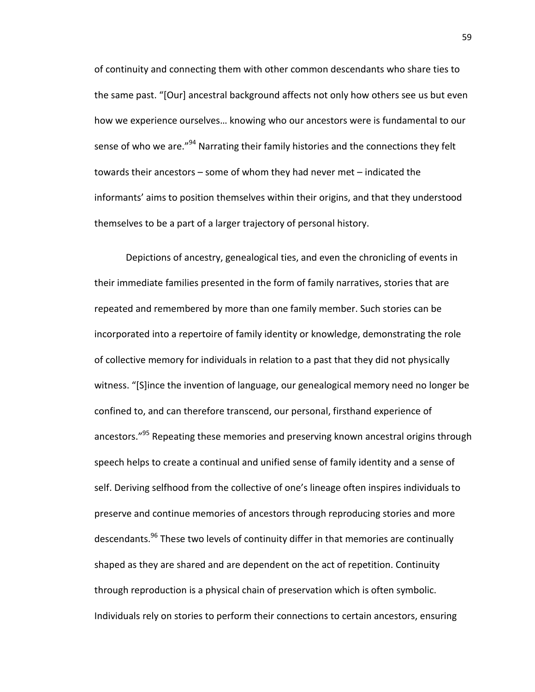of continuity and connecting them with other common descendants who share ties to the same past. "[Our] ancestral background affects not only how others see us but even how we experience ourselves… knowing who our ancestors were is fundamental to our sense of who we are."<sup>94</sup> Narrating their family histories and the connections they felt towards their ancestors – some of whom they had never met – indicated the informants' aims to position themselves within their origins, and that they understood themselves to be a part of a larger trajectory of personal history.

Depictions of ancestry, genealogical ties, and even the chronicling of events in their immediate families presented in the form of family narratives, stories that are repeated and remembered by more than one family member. Such stories can be incorporated into a repertoire of family identity or knowledge, demonstrating the role of collective memory for individuals in relation to a past that they did not physically witness. "[S]ince the invention of language, our genealogical memory need no longer be confined to, and can therefore transcend, our personal, firsthand experience of ancestors."<sup>95</sup> Repeating these memories and preserving known ancestral origins through speech helps to create a continual and unified sense of family identity and a sense of self. Deriving selfhood from the collective of one's lineage often inspires individuals to preserve and continue memories of ancestors through reproducing stories and more descendants.<sup>96</sup> These two levels of continuity differ in that memories are continually shaped as they are shared and are dependent on the act of repetition. Continuity through reproduction is a physical chain of preservation which is often symbolic. Individuals rely on stories to perform their connections to certain ancestors, ensuring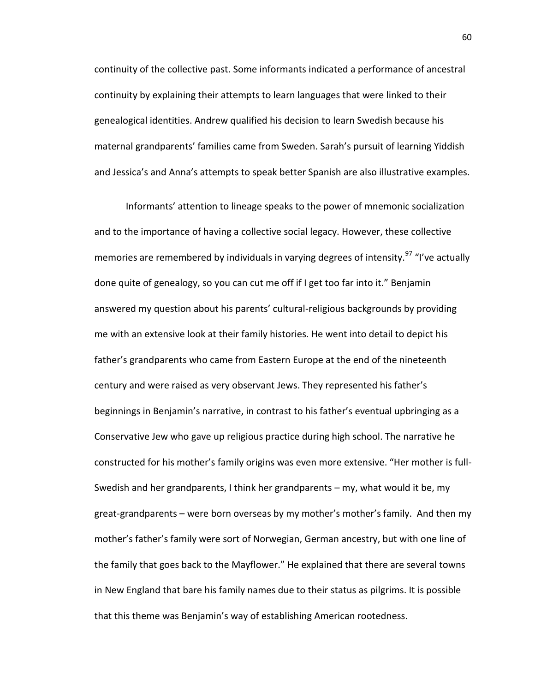continuity of the collective past. Some informants indicated a performance of ancestral continuity by explaining their attempts to learn languages that were linked to their genealogical identities. Andrew qualified his decision to learn Swedish because his maternal grandparents' families came from Sweden. Sarah's pursuit of learning Yiddish and Jessica's and Anna's attempts to speak better Spanish are also illustrative examples.

Informants' attention to lineage speaks to the power of mnemonic socialization and to the importance of having a collective social legacy. However, these collective memories are remembered by individuals in varying degrees of intensity.<sup>97</sup> "I've actually done quite of genealogy, so you can cut me off if I get too far into it." Benjamin answered my question about his parents' cultural-religious backgrounds by providing me with an extensive look at their family histories. He went into detail to depict his father's grandparents who came from Eastern Europe at the end of the nineteenth century and were raised as very observant Jews. They represented his father's beginnings in Benjamin's narrative, in contrast to his father's eventual upbringing as a Conservative Jew who gave up religious practice during high school. The narrative he constructed for his mother's family origins was even more extensive. "Her mother is full-Swedish and her grandparents, I think her grandparents – my, what would it be, my great-grandparents – were born overseas by my mother's mother's family. And then my mother's father's family were sort of Norwegian, German ancestry, but with one line of the family that goes back to the Mayflower." He explained that there are several towns in New England that bare his family names due to their status as pilgrims. It is possible that this theme was Benjamin's way of establishing American rootedness.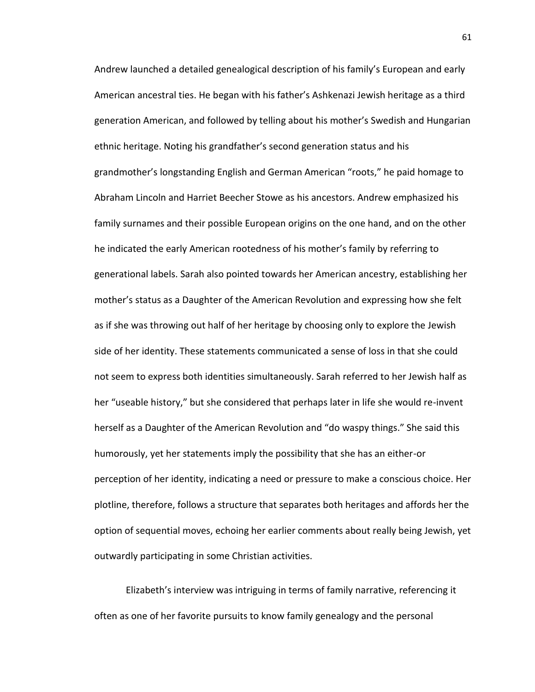Andrew launched a detailed genealogical description of his family's European and early American ancestral ties. He began with his father's Ashkenazi Jewish heritage as a third generation American, and followed by telling about his mother's Swedish and Hungarian ethnic heritage. Noting his grandfather's second generation status and his grandmother's longstanding English and German American "roots," he paid homage to Abraham Lincoln and Harriet Beecher Stowe as his ancestors. Andrew emphasized his family surnames and their possible European origins on the one hand, and on the other he indicated the early American rootedness of his mother's family by referring to generational labels. Sarah also pointed towards her American ancestry, establishing her mother's status as a Daughter of the American Revolution and expressing how she felt as if she was throwing out half of her heritage by choosing only to explore the Jewish side of her identity. These statements communicated a sense of loss in that she could not seem to express both identities simultaneously. Sarah referred to her Jewish half as her "useable history," but she considered that perhaps later in life she would re-invent herself as a Daughter of the American Revolution and "do waspy things." She said this humorously, yet her statements imply the possibility that she has an either-or perception of her identity, indicating a need or pressure to make a conscious choice. Her plotline, therefore, follows a structure that separates both heritages and affords her the option of sequential moves, echoing her earlier comments about really being Jewish, yet outwardly participating in some Christian activities.

Elizabeth's interview was intriguing in terms of family narrative, referencing it often as one of her favorite pursuits to know family genealogy and the personal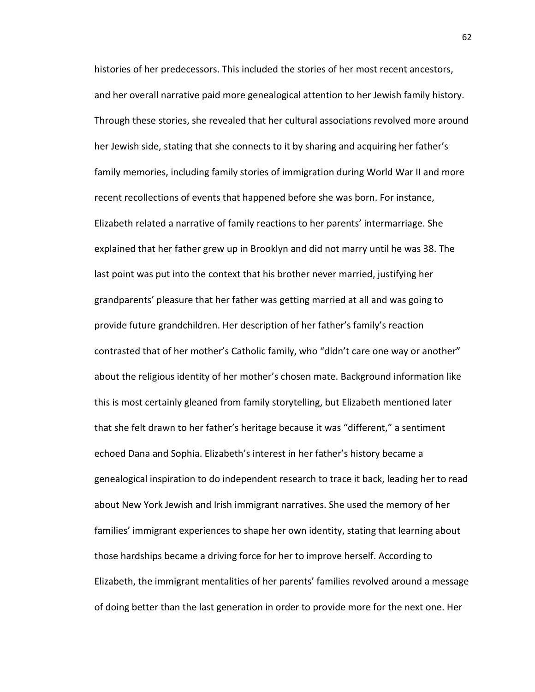histories of her predecessors. This included the stories of her most recent ancestors, and her overall narrative paid more genealogical attention to her Jewish family history. Through these stories, she revealed that her cultural associations revolved more around her Jewish side, stating that she connects to it by sharing and acquiring her father's family memories, including family stories of immigration during World War II and more recent recollections of events that happened before she was born. For instance, Elizabeth related a narrative of family reactions to her parents' intermarriage. She explained that her father grew up in Brooklyn and did not marry until he was 38. The last point was put into the context that his brother never married, justifying her grandparents' pleasure that her father was getting married at all and was going to provide future grandchildren. Her description of her father's family's reaction contrasted that of her mother's Catholic family, who "didn't care one way or another" about the religious identity of her mother's chosen mate. Background information like this is most certainly gleaned from family storytelling, but Elizabeth mentioned later that she felt drawn to her father's heritage because it was "different," a sentiment echoed Dana and Sophia. Elizabeth's interest in her father's history became a genealogical inspiration to do independent research to trace it back, leading her to read about New York Jewish and Irish immigrant narratives. She used the memory of her families' immigrant experiences to shape her own identity, stating that learning about those hardships became a driving force for her to improve herself. According to Elizabeth, the immigrant mentalities of her parents' families revolved around a message of doing better than the last generation in order to provide more for the next one. Her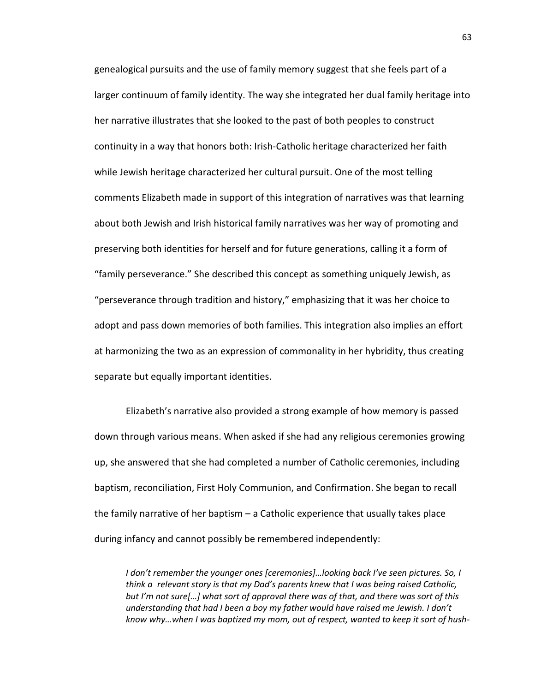genealogical pursuits and the use of family memory suggest that she feels part of a larger continuum of family identity. The way she integrated her dual family heritage into her narrative illustrates that she looked to the past of both peoples to construct continuity in a way that honors both: Irish-Catholic heritage characterized her faith while Jewish heritage characterized her cultural pursuit. One of the most telling comments Elizabeth made in support of this integration of narratives was that learning about both Jewish and Irish historical family narratives was her way of promoting and preserving both identities for herself and for future generations, calling it a form of "family perseverance." She described this concept as something uniquely Jewish, as "perseverance through tradition and history," emphasizing that it was her choice to adopt and pass down memories of both families. This integration also implies an effort at harmonizing the two as an expression of commonality in her hybridity, thus creating separate but equally important identities.

Elizabeth's narrative also provided a strong example of how memory is passed down through various means. When asked if she had any religious ceremonies growing up, she answered that she had completed a number of Catholic ceremonies, including baptism, reconciliation, First Holy Communion, and Confirmation. She began to recall the family narrative of her baptism – a Catholic experience that usually takes place during infancy and cannot possibly be remembered independently:

*I don't remember the younger ones [ceremonies]…looking back I've seen pictures. So, I think a relevant story is that my Dad's parents knew that I was being raised Catholic, but I'm not sure[…] what sort of approval there was of that, and there was sort of this understanding that had I been a boy my father would have raised me Jewish. I don't know why…when I was baptized my mom, out of respect, wanted to keep it sort of hush-*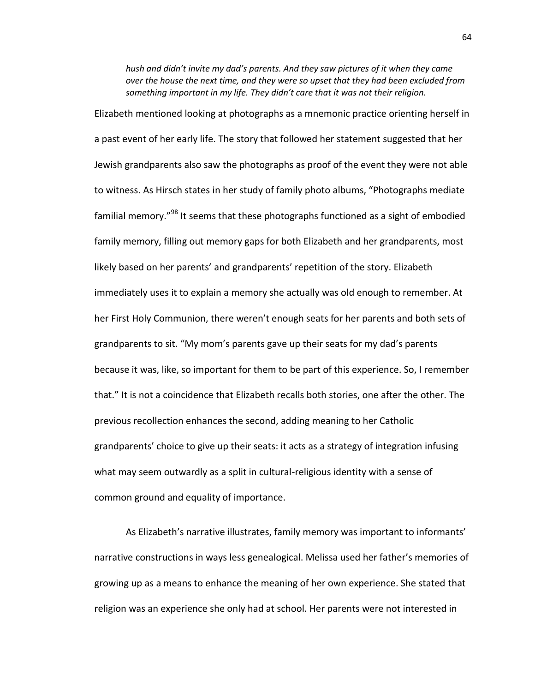*hush and didn't invite my dad's parents. And they saw pictures of it when they came over the house the next time, and they were so upset that they had been excluded from something important in my life. They didn't care that it was not their religion.*

Elizabeth mentioned looking at photographs as a mnemonic practice orienting herself in a past event of her early life. The story that followed her statement suggested that her Jewish grandparents also saw the photographs as proof of the event they were not able to witness. As Hirsch states in her study of family photo albums, "Photographs mediate familial memory."<sup>98</sup> It seems that these photographs functioned as a sight of embodied family memory, filling out memory gaps for both Elizabeth and her grandparents, most likely based on her parents' and grandparents' repetition of the story. Elizabeth immediately uses it to explain a memory she actually was old enough to remember. At her First Holy Communion, there weren't enough seats for her parents and both sets of grandparents to sit. "My mom's parents gave up their seats for my dad's parents because it was, like, so important for them to be part of this experience. So, I remember that." It is not a coincidence that Elizabeth recalls both stories, one after the other. The previous recollection enhances the second, adding meaning to her Catholic grandparents' choice to give up their seats: it acts as a strategy of integration infusing what may seem outwardly as a split in cultural-religious identity with a sense of common ground and equality of importance.

As Elizabeth's narrative illustrates, family memory was important to informants' narrative constructions in ways less genealogical. Melissa used her father's memories of growing up as a means to enhance the meaning of her own experience. She stated that religion was an experience she only had at school. Her parents were not interested in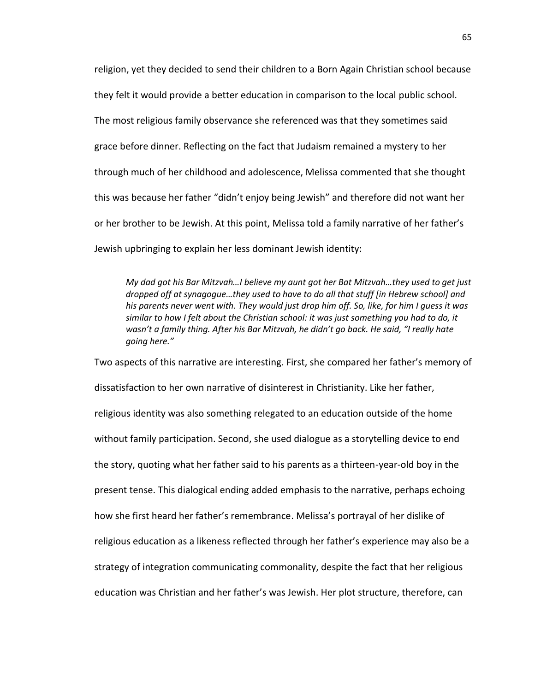religion, yet they decided to send their children to a Born Again Christian school because they felt it would provide a better education in comparison to the local public school. The most religious family observance she referenced was that they sometimes said grace before dinner. Reflecting on the fact that Judaism remained a mystery to her through much of her childhood and adolescence, Melissa commented that she thought this was because her father "didn't enjoy being Jewish" and therefore did not want her or her brother to be Jewish. At this point, Melissa told a family narrative of her father's Jewish upbringing to explain her less dominant Jewish identity:

*My dad got his Bar Mitzvah…I believe my aunt got her Bat Mitzvah…they used to get just dropped off at synagogue…they used to have to do all that stuff [in Hebrew school] and his parents never went with. They would just drop him off. So, like, for him I guess it was similar to how I felt about the Christian school: it was just something you had to do, it wasn't a family thing. After his Bar Mitzvah, he didn't go back. He said, "I really hate going here."*

Two aspects of this narrative are interesting. First, she compared her father's memory of dissatisfaction to her own narrative of disinterest in Christianity. Like her father, religious identity was also something relegated to an education outside of the home without family participation. Second, she used dialogue as a storytelling device to end the story, quoting what her father said to his parents as a thirteen-year-old boy in the present tense. This dialogical ending added emphasis to the narrative, perhaps echoing how she first heard her father's remembrance. Melissa's portrayal of her dislike of religious education as a likeness reflected through her father's experience may also be a strategy of integration communicating commonality, despite the fact that her religious education was Christian and her father's was Jewish. Her plot structure, therefore, can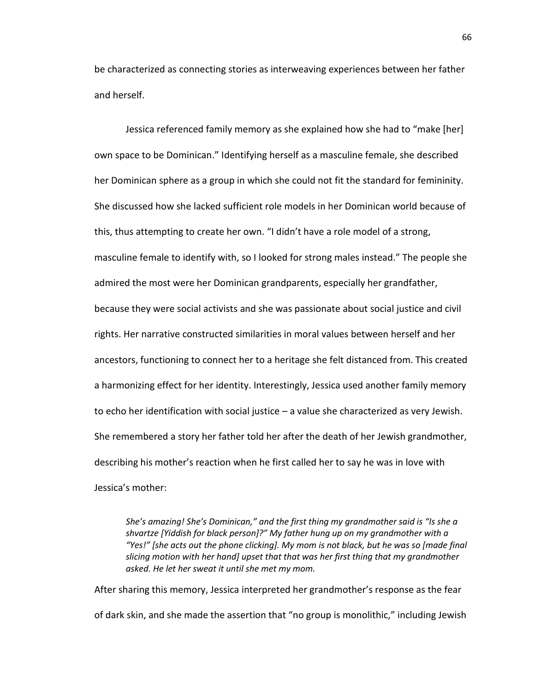be characterized as connecting stories as interweaving experiences between her father and herself.

Jessica referenced family memory as she explained how she had to "make [her] own space to be Dominican." Identifying herself as a masculine female, she described her Dominican sphere as a group in which she could not fit the standard for femininity. She discussed how she lacked sufficient role models in her Dominican world because of this, thus attempting to create her own. "I didn't have a role model of a strong, masculine female to identify with, so I looked for strong males instead." The people she admired the most were her Dominican grandparents, especially her grandfather, because they were social activists and she was passionate about social justice and civil rights. Her narrative constructed similarities in moral values between herself and her ancestors, functioning to connect her to a heritage she felt distanced from. This created a harmonizing effect for her identity. Interestingly, Jessica used another family memory to echo her identification with social justice – a value she characterized as very Jewish. She remembered a story her father told her after the death of her Jewish grandmother, describing his mother's reaction when he first called her to say he was in love with Jessica's mother:

*She's amazing! She's Dominican," and the first thing my grandmother said is "Is she a shvartze [Yiddish for black person]?" My father hung up on my grandmother with a "Yes!" [she acts out the phone clicking]. My mom is not black, but he was so [made final slicing motion with her hand] upset that that was her first thing that my grandmother asked. He let her sweat it until she met my mom.*

After sharing this memory, Jessica interpreted her grandmother's response as the fear of dark skin, and she made the assertion that "no group is monolithic," including Jewish

66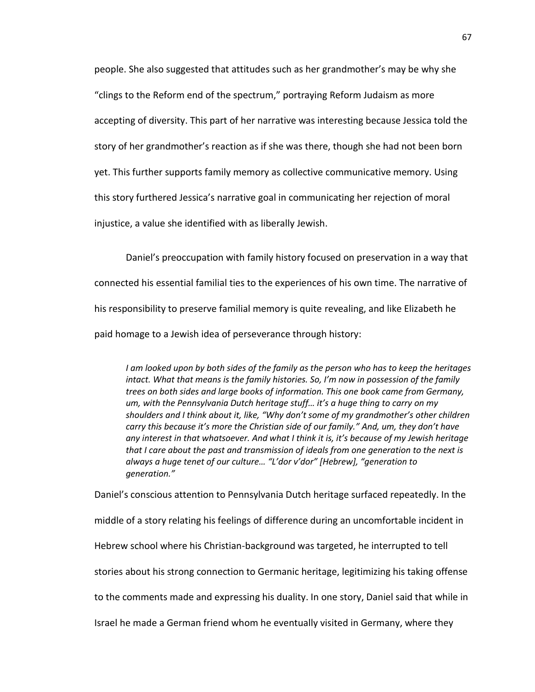people. She also suggested that attitudes such as her grandmother's may be why she "clings to the Reform end of the spectrum," portraying Reform Judaism as more accepting of diversity. This part of her narrative was interesting because Jessica told the story of her grandmother's reaction as if she was there, though she had not been born yet. This further supports family memory as collective communicative memory. Using this story furthered Jessica's narrative goal in communicating her rejection of moral injustice, a value she identified with as liberally Jewish.

Daniel's preoccupation with family history focused on preservation in a way that connected his essential familial ties to the experiences of his own time. The narrative of his responsibility to preserve familial memory is quite revealing, and like Elizabeth he paid homage to a Jewish idea of perseverance through history:

*I am looked upon by both sides of the family as the person who has to keep the heritages intact. What that means is the family histories. So, I'm now in possession of the family trees on both sides and large books of information. This one book came from Germany, um, with the Pennsylvania Dutch heritage stuff… it's a huge thing to carry on my shoulders and I think about it, like, "Why don't some of my grandmother's other children carry this because it's more the Christian side of our family." And, um, they don't have any interest in that whatsoever. And what I think it is, it's because of my Jewish heritage that I care about the past and transmission of ideals from one generation to the next is always a huge tenet of our culture… "L'dor v'dor" [Hebrew], "generation to generation."*

Daniel's conscious attention to Pennsylvania Dutch heritage surfaced repeatedly. In the

middle of a story relating his feelings of difference during an uncomfortable incident in

Hebrew school where his Christian-background was targeted, he interrupted to tell

stories about his strong connection to Germanic heritage, legitimizing his taking offense

to the comments made and expressing his duality. In one story, Daniel said that while in

Israel he made a German friend whom he eventually visited in Germany, where they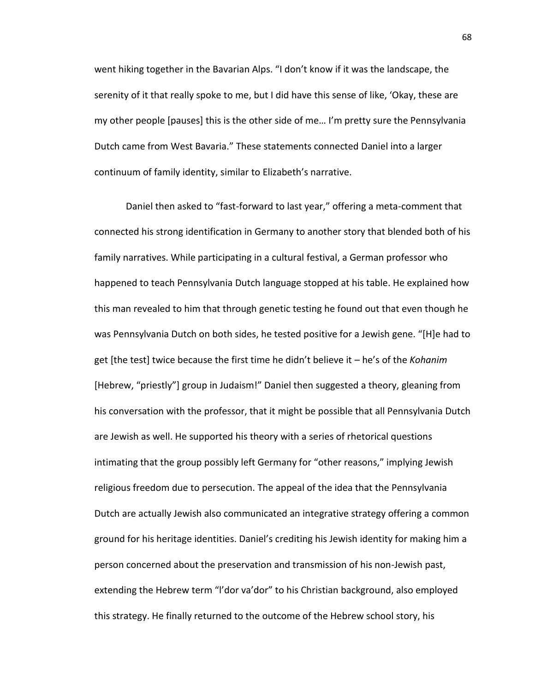went hiking together in the Bavarian Alps. "I don't know if it was the landscape, the serenity of it that really spoke to me, but I did have this sense of like, 'Okay, these are my other people [pauses] this is the other side of me… I'm pretty sure the Pennsylvania Dutch came from West Bavaria." These statements connected Daniel into a larger continuum of family identity, similar to Elizabeth's narrative.

Daniel then asked to "fast-forward to last year," offering a meta-comment that connected his strong identification in Germany to another story that blended both of his family narratives. While participating in a cultural festival, a German professor who happened to teach Pennsylvania Dutch language stopped at his table. He explained how this man revealed to him that through genetic testing he found out that even though he was Pennsylvania Dutch on both sides, he tested positive for a Jewish gene. "[H]e had to get [the test] twice because the first time he didn't believe it – he's of the *Kohanim* [Hebrew, "priestly"] group in Judaism!" Daniel then suggested a theory, gleaning from his conversation with the professor, that it might be possible that all Pennsylvania Dutch are Jewish as well. He supported his theory with a series of rhetorical questions intimating that the group possibly left Germany for "other reasons," implying Jewish religious freedom due to persecution. The appeal of the idea that the Pennsylvania Dutch are actually Jewish also communicated an integrative strategy offering a common ground for his heritage identities. Daniel's crediting his Jewish identity for making him a person concerned about the preservation and transmission of his non-Jewish past, extending the Hebrew term "l'dor va'dor" to his Christian background, also employed this strategy. He finally returned to the outcome of the Hebrew school story, his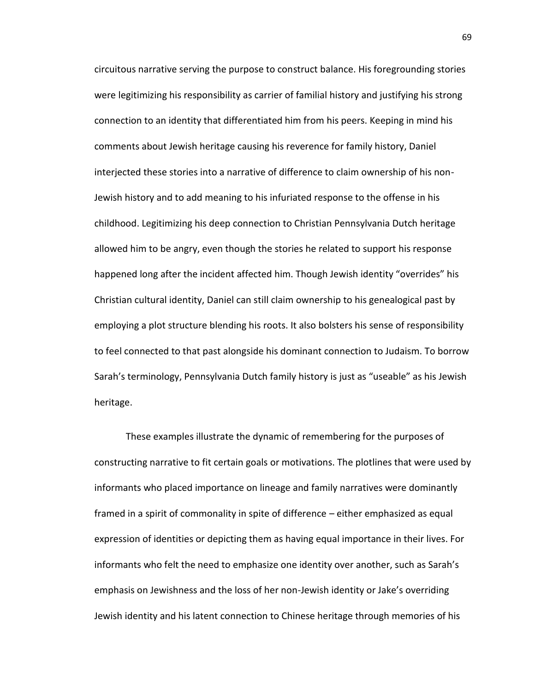circuitous narrative serving the purpose to construct balance. His foregrounding stories were legitimizing his responsibility as carrier of familial history and justifying his strong connection to an identity that differentiated him from his peers. Keeping in mind his comments about Jewish heritage causing his reverence for family history, Daniel interjected these stories into a narrative of difference to claim ownership of his non-Jewish history and to add meaning to his infuriated response to the offense in his childhood. Legitimizing his deep connection to Christian Pennsylvania Dutch heritage allowed him to be angry, even though the stories he related to support his response happened long after the incident affected him. Though Jewish identity "overrides" his Christian cultural identity, Daniel can still claim ownership to his genealogical past by employing a plot structure blending his roots. It also bolsters his sense of responsibility to feel connected to that past alongside his dominant connection to Judaism. To borrow Sarah's terminology, Pennsylvania Dutch family history is just as "useable" as his Jewish heritage.

These examples illustrate the dynamic of remembering for the purposes of constructing narrative to fit certain goals or motivations. The plotlines that were used by informants who placed importance on lineage and family narratives were dominantly framed in a spirit of commonality in spite of difference – either emphasized as equal expression of identities or depicting them as having equal importance in their lives. For informants who felt the need to emphasize one identity over another, such as Sarah's emphasis on Jewishness and the loss of her non-Jewish identity or Jake's overriding Jewish identity and his latent connection to Chinese heritage through memories of his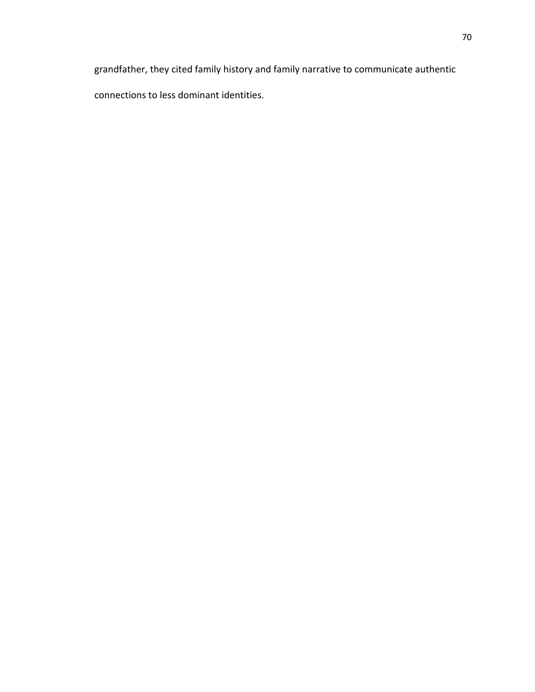grandfather, they cited family history and family narrative to communicate authentic connections to less dominant identities.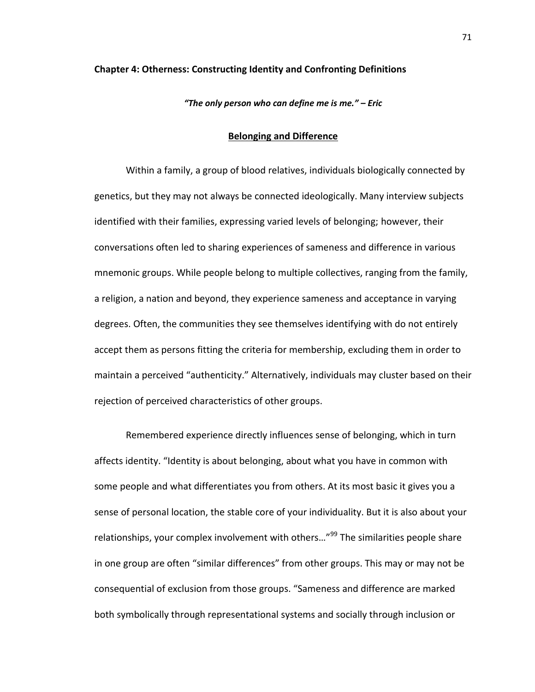## **Chapter 4: Otherness: Constructing Identity and Confronting Definitions**

*"The only person who can define me is me." – Eric*

## **Belonging and Difference**

Within a family, a group of blood relatives, individuals biologically connected by genetics, but they may not always be connected ideologically. Many interview subjects identified with their families, expressing varied levels of belonging; however, their conversations often led to sharing experiences of sameness and difference in various mnemonic groups. While people belong to multiple collectives, ranging from the family, a religion, a nation and beyond, they experience sameness and acceptance in varying degrees. Often, the communities they see themselves identifying with do not entirely accept them as persons fitting the criteria for membership, excluding them in order to maintain a perceived "authenticity." Alternatively, individuals may cluster based on their rejection of perceived characteristics of other groups.

Remembered experience directly influences sense of belonging, which in turn affects identity. "Identity is about belonging, about what you have in common with some people and what differentiates you from others. At its most basic it gives you a sense of personal location, the stable core of your individuality. But it is also about your relationships, your complex involvement with others...<sup>"99</sup> The similarities people share in one group are often "similar differences" from other groups. This may or may not be consequential of exclusion from those groups. "Sameness and difference are marked both symbolically through representational systems and socially through inclusion or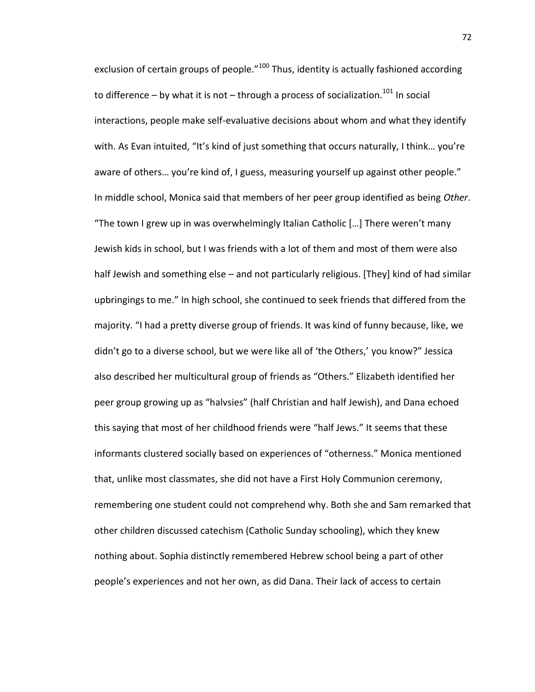exclusion of certain groups of people."<sup>100</sup> Thus, identity is actually fashioned according to difference – by what it is not – through a process of socialization.<sup>101</sup> In social interactions, people make self-evaluative decisions about whom and what they identify with. As Evan intuited, "It's kind of just something that occurs naturally, I think… you're aware of others… you're kind of, I guess, measuring yourself up against other people." In middle school, Monica said that members of her peer group identified as being *Other*. "The town I grew up in was overwhelmingly Italian Catholic […] There weren't many Jewish kids in school, but I was friends with a lot of them and most of them were also half Jewish and something else – and not particularly religious. [They] kind of had similar upbringings to me." In high school, she continued to seek friends that differed from the majority. "I had a pretty diverse group of friends. It was kind of funny because, like, we didn't go to a diverse school, but we were like all of 'the Others,' you know?" Jessica also described her multicultural group of friends as "Others." Elizabeth identified her peer group growing up as "halvsies" (half Christian and half Jewish), and Dana echoed this saying that most of her childhood friends were "half Jews." It seems that these informants clustered socially based on experiences of "otherness." Monica mentioned that, unlike most classmates, she did not have a First Holy Communion ceremony, remembering one student could not comprehend why. Both she and Sam remarked that other children discussed catechism (Catholic Sunday schooling), which they knew nothing about. Sophia distinctly remembered Hebrew school being a part of other people's experiences and not her own, as did Dana. Their lack of access to certain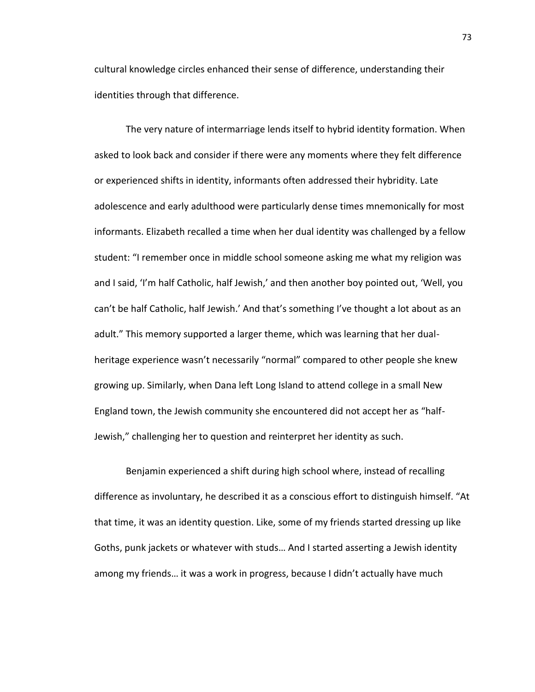cultural knowledge circles enhanced their sense of difference, understanding their identities through that difference.

The very nature of intermarriage lends itself to hybrid identity formation. When asked to look back and consider if there were any moments where they felt difference or experienced shifts in identity, informants often addressed their hybridity. Late adolescence and early adulthood were particularly dense times mnemonically for most informants. Elizabeth recalled a time when her dual identity was challenged by a fellow student: "I remember once in middle school someone asking me what my religion was and I said, 'I'm half Catholic, half Jewish,' and then another boy pointed out, 'Well, you can't be half Catholic, half Jewish.' And that's something I've thought a lot about as an adult." This memory supported a larger theme, which was learning that her dualheritage experience wasn't necessarily "normal" compared to other people she knew growing up. Similarly, when Dana left Long Island to attend college in a small New England town, the Jewish community she encountered did not accept her as "half-Jewish," challenging her to question and reinterpret her identity as such.

Benjamin experienced a shift during high school where, instead of recalling difference as involuntary, he described it as a conscious effort to distinguish himself. "At that time, it was an identity question. Like, some of my friends started dressing up like Goths, punk jackets or whatever with studs… And I started asserting a Jewish identity among my friends… it was a work in progress, because I didn't actually have much

73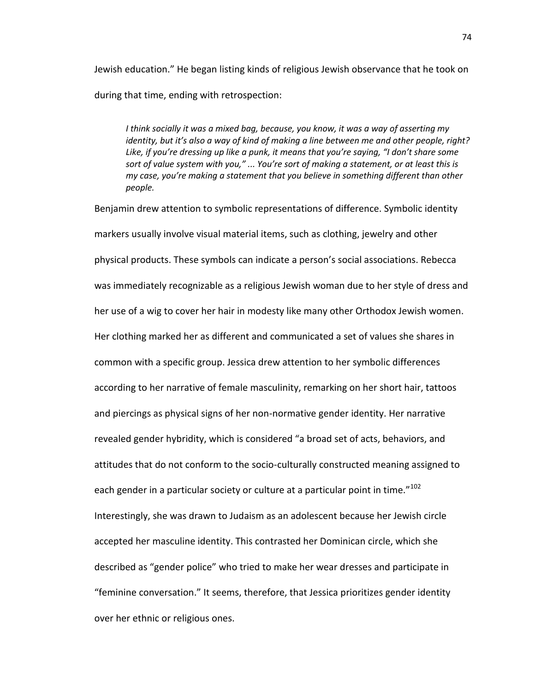Jewish education." He began listing kinds of religious Jewish observance that he took on during that time, ending with retrospection:

*I think socially it was a mixed bag, because, you know, it was a way of asserting my identity, but it's also a way of kind of making a line between me and other people, right? Like, if you're dressing up like a punk, it means that you're saying, "I don't share some sort of value system with you," ... You're sort of making a statement, or at least this is my case, you're making a statement that you believe in something different than other people.*

Benjamin drew attention to symbolic representations of difference. Symbolic identity markers usually involve visual material items, such as clothing, jewelry and other physical products. These symbols can indicate a person's social associations. Rebecca was immediately recognizable as a religious Jewish woman due to her style of dress and her use of a wig to cover her hair in modesty like many other Orthodox Jewish women. Her clothing marked her as different and communicated a set of values she shares in common with a specific group. Jessica drew attention to her symbolic differences according to her narrative of female masculinity, remarking on her short hair, tattoos and piercings as physical signs of her non-normative gender identity. Her narrative revealed gender hybridity, which is considered "a broad set of acts, behaviors, and attitudes that do not conform to the socio-culturally constructed meaning assigned to each gender in a particular society or culture at a particular point in time."<sup>102</sup> Interestingly, she was drawn to Judaism as an adolescent because her Jewish circle accepted her masculine identity. This contrasted her Dominican circle, which she described as "gender police" who tried to make her wear dresses and participate in "feminine conversation." It seems, therefore, that Jessica prioritizes gender identity over her ethnic or religious ones.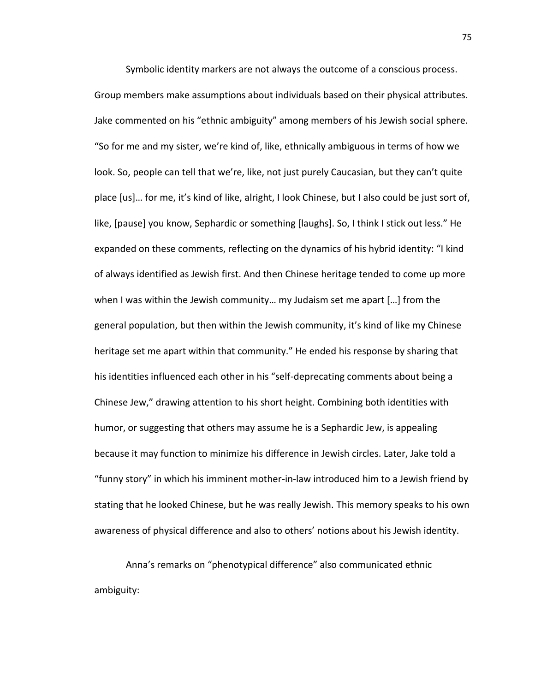Symbolic identity markers are not always the outcome of a conscious process. Group members make assumptions about individuals based on their physical attributes. Jake commented on his "ethnic ambiguity" among members of his Jewish social sphere. "So for me and my sister, we're kind of, like, ethnically ambiguous in terms of how we look. So, people can tell that we're, like, not just purely Caucasian, but they can't quite place [us]… for me, it's kind of like, alright, I look Chinese, but I also could be just sort of, like, [pause] you know, Sephardic or something [laughs]. So, I think I stick out less." He expanded on these comments, reflecting on the dynamics of his hybrid identity: "I kind of always identified as Jewish first. And then Chinese heritage tended to come up more when I was within the Jewish community… my Judaism set me apart […] from the general population, but then within the Jewish community, it's kind of like my Chinese heritage set me apart within that community." He ended his response by sharing that his identities influenced each other in his "self-deprecating comments about being a Chinese Jew," drawing attention to his short height. Combining both identities with humor, or suggesting that others may assume he is a Sephardic Jew, is appealing because it may function to minimize his difference in Jewish circles. Later, Jake told a "funny story" in which his imminent mother-in-law introduced him to a Jewish friend by stating that he looked Chinese, but he was really Jewish. This memory speaks to his own awareness of physical difference and also to others' notions about his Jewish identity.

Anna's remarks on "phenotypical difference" also communicated ethnic ambiguity: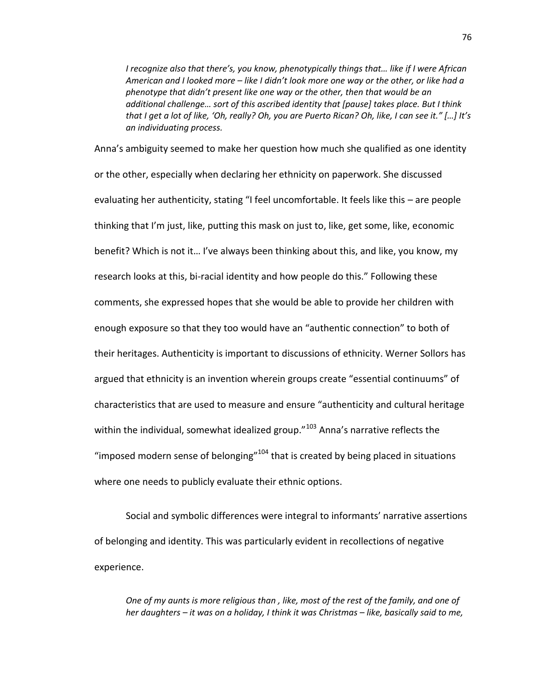*I recognize also that there's, you know, phenotypically things that… like if I were African American and I looked more – like I didn't look more one way or the other, or like had a phenotype that didn't present like one way or the other, then that would be an additional challenge… sort of this ascribed identity that [pause] takes place. But I think that I get a lot of like, 'Oh, really? Oh, you are Puerto Rican? Oh, like, I can see it." […] It's an individuating process.*

Anna's ambiguity seemed to make her question how much she qualified as one identity or the other, especially when declaring her ethnicity on paperwork. She discussed evaluating her authenticity, stating "I feel uncomfortable. It feels like this – are people thinking that I'm just, like, putting this mask on just to, like, get some, like, economic benefit? Which is not it… I've always been thinking about this, and like, you know, my research looks at this, bi-racial identity and how people do this." Following these comments, she expressed hopes that she would be able to provide her children with enough exposure so that they too would have an "authentic connection" to both of their heritages. Authenticity is important to discussions of ethnicity. Werner Sollors has argued that ethnicity is an invention wherein groups create "essential continuums" of characteristics that are used to measure and ensure "authenticity and cultural heritage within the individual, somewhat idealized group."<sup>103</sup> Anna's narrative reflects the "imposed modern sense of belonging" $104$  that is created by being placed in situations where one needs to publicly evaluate their ethnic options.

Social and symbolic differences were integral to informants' narrative assertions of belonging and identity. This was particularly evident in recollections of negative experience.

*One of my aunts is more religious than , like, most of the rest of the family, and one of her daughters – it was on a holiday, I think it was Christmas – like, basically said to me,*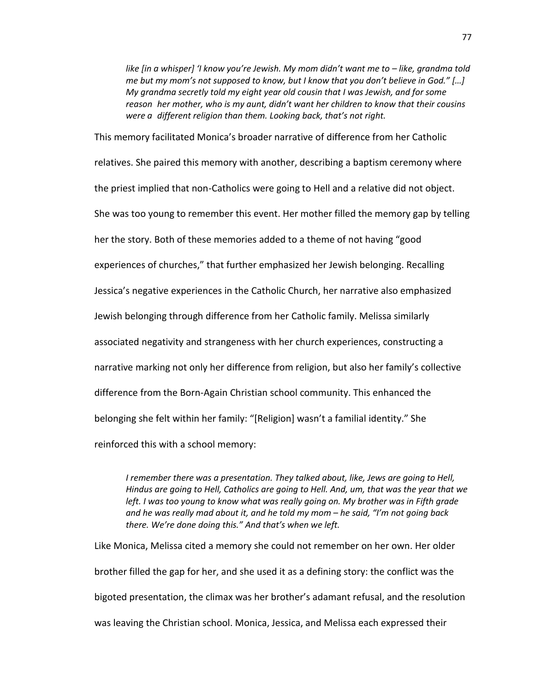*like [in a whisper] 'I know you're Jewish. My mom didn't want me to – like, grandma told me but my mom's not supposed to know, but I know that you don't believe in God." […] My grandma secretly told my eight year old cousin that I was Jewish, and for some reason her mother, who is my aunt, didn't want her children to know that their cousins were a different religion than them. Looking back, that's not right.* 

This memory facilitated Monica's broader narrative of difference from her Catholic relatives. She paired this memory with another, describing a baptism ceremony where the priest implied that non-Catholics were going to Hell and a relative did not object. She was too young to remember this event. Her mother filled the memory gap by telling her the story. Both of these memories added to a theme of not having "good experiences of churches," that further emphasized her Jewish belonging. Recalling Jessica's negative experiences in the Catholic Church, her narrative also emphasized Jewish belonging through difference from her Catholic family. Melissa similarly associated negativity and strangeness with her church experiences, constructing a narrative marking not only her difference from religion, but also her family's collective difference from the Born-Again Christian school community. This enhanced the belonging she felt within her family: "[Religion] wasn't a familial identity." She reinforced this with a school memory:

*I remember there was a presentation. They talked about, like, Jews are going to Hell, Hindus are going to Hell, Catholics are going to Hell. And, um, that was the year that we left. I was too young to know what was really going on. My brother was in Fifth grade and he was really mad about it, and he told my mom – he said, "I'm not going back there. We're done doing this." And that's when we left.*

Like Monica, Melissa cited a memory she could not remember on her own. Her older brother filled the gap for her, and she used it as a defining story: the conflict was the bigoted presentation, the climax was her brother's adamant refusal, and the resolution was leaving the Christian school. Monica, Jessica, and Melissa each expressed their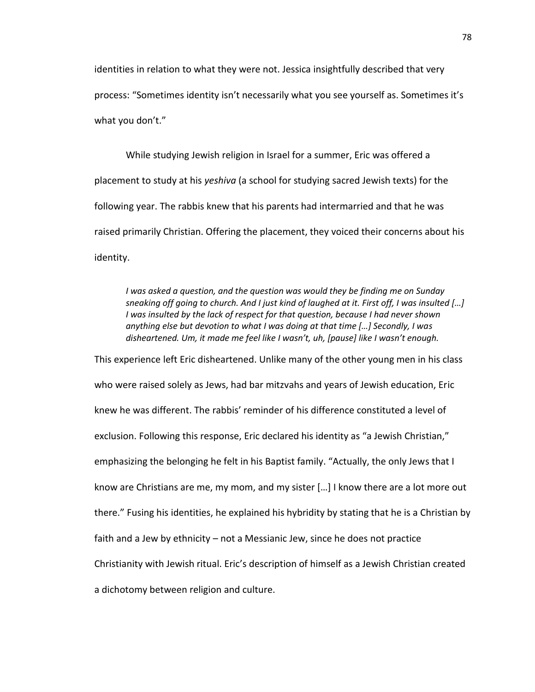identities in relation to what they were not. Jessica insightfully described that very process: "Sometimes identity isn't necessarily what you see yourself as. Sometimes it's what you don't."

While studying Jewish religion in Israel for a summer, Eric was offered a placement to study at his *yeshiva* (a school for studying sacred Jewish texts) for the following year. The rabbis knew that his parents had intermarried and that he was raised primarily Christian. Offering the placement, they voiced their concerns about his identity.

*I was asked a question, and the question was would they be finding me on Sunday sneaking off going to church. And I just kind of laughed at it. First off, I was insulted […] I was insulted by the lack of respect for that question, because I had never shown anything else but devotion to what I was doing at that time […] Secondly, I was disheartened. Um, it made me feel like I wasn't, uh, [pause] like I wasn't enough.*

This experience left Eric disheartened. Unlike many of the other young men in his class who were raised solely as Jews, had bar mitzvahs and years of Jewish education, Eric knew he was different. The rabbis' reminder of his difference constituted a level of exclusion. Following this response, Eric declared his identity as "a Jewish Christian," emphasizing the belonging he felt in his Baptist family. "Actually, the only Jews that I know are Christians are me, my mom, and my sister […] I know there are a lot more out there." Fusing his identities, he explained his hybridity by stating that he is a Christian by faith and a Jew by ethnicity – not a Messianic Jew, since he does not practice Christianity with Jewish ritual. Eric's description of himself as a Jewish Christian created a dichotomy between religion and culture.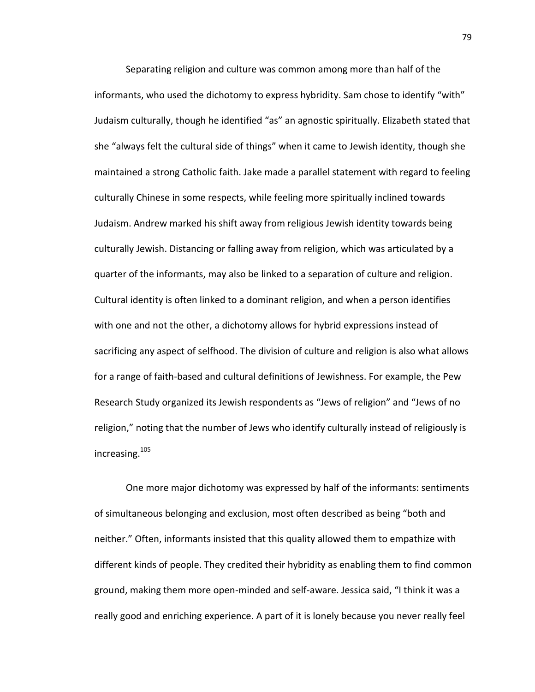Separating religion and culture was common among more than half of the informants, who used the dichotomy to express hybridity. Sam chose to identify "with" Judaism culturally, though he identified "as" an agnostic spiritually. Elizabeth stated that she "always felt the cultural side of things" when it came to Jewish identity, though she maintained a strong Catholic faith. Jake made a parallel statement with regard to feeling culturally Chinese in some respects, while feeling more spiritually inclined towards Judaism. Andrew marked his shift away from religious Jewish identity towards being culturally Jewish. Distancing or falling away from religion, which was articulated by a quarter of the informants, may also be linked to a separation of culture and religion. Cultural identity is often linked to a dominant religion, and when a person identifies with one and not the other, a dichotomy allows for hybrid expressions instead of sacrificing any aspect of selfhood. The division of culture and religion is also what allows for a range of faith-based and cultural definitions of Jewishness. For example, the Pew Research Study organized its Jewish respondents as "Jews of religion" and "Jews of no religion," noting that the number of Jews who identify culturally instead of religiously is increasing.<sup>105</sup>

One more major dichotomy was expressed by half of the informants: sentiments of simultaneous belonging and exclusion, most often described as being "both and neither." Often, informants insisted that this quality allowed them to empathize with different kinds of people. They credited their hybridity as enabling them to find common ground, making them more open-minded and self-aware. Jessica said, "I think it was a really good and enriching experience. A part of it is lonely because you never really feel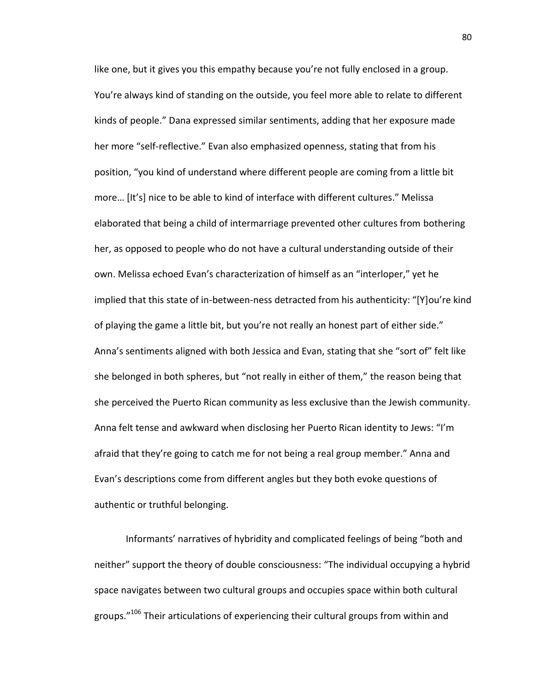like one, but it gives you this empathy because you're not fully enclosed in a group. You're always kind of standing on the outside, you feel more able to relate to different kinds of people." Dana expressed similar sentiments, adding that her exposure made her more "self-reflective." Evan also emphasized openness, stating that from his position, "you kind of understand where different people are coming from a little bit more… [It's] nice to be able to kind of interface with different cultures." Melissa elaborated that being a child of intermarriage prevented other cultures from bothering her, as opposed to people who do not have a cultural understanding outside of their own. Melissa echoed Evan's characterization of himself as an "interloper," yet he implied that this state of in-between-ness detracted from his authenticity: "[Y]ou're kind of playing the game a little bit, but you're not really an honest part of either side." Anna's sentiments aligned with both Jessica and Evan, stating that she "sort of" felt like she belonged in both spheres, but "not really in either of them," the reason being that she perceived the Puerto Rican community as less exclusive than the Jewish community. Anna felt tense and awkward when disclosing her Puerto Rican identity to Jews: "I'm afraid that they're going to catch me for not being a real group member." Anna and Evan's descriptions come from different angles but they both evoke questions of authentic or truthful belonging.

Informants' narratives of hybridity and complicated feelings of being "both and neither" support the theory of double consciousness: "The individual occupying a hybrid space navigates between two cultural groups and occupies space within both cultural groups."<sup>106</sup> Their articulations of experiencing their cultural groups from within and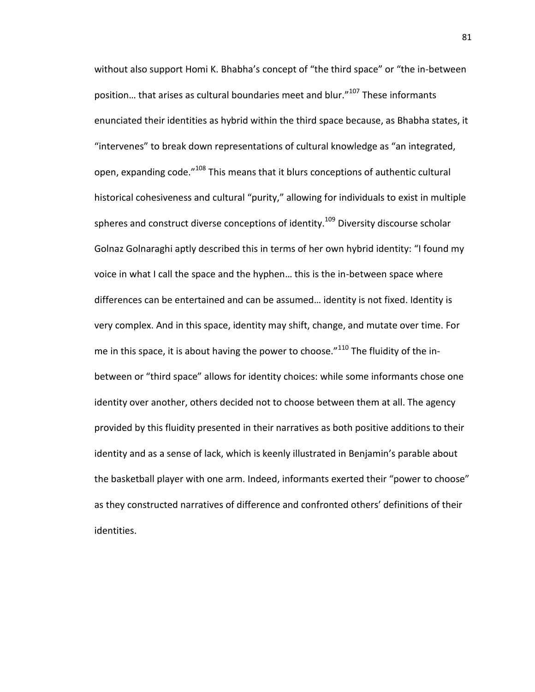without also support Homi K. Bhabha's concept of "the third space" or "the in-between position... that arises as cultural boundaries meet and blur."<sup>107</sup> These informants enunciated their identities as hybrid within the third space because, as Bhabha states, it "intervenes" to break down representations of cultural knowledge as "an integrated, open, expanding code."<sup>108</sup> This means that it blurs conceptions of authentic cultural historical cohesiveness and cultural "purity," allowing for individuals to exist in multiple spheres and construct diverse conceptions of identity.<sup>109</sup> Diversity discourse scholar Golnaz Golnaraghi aptly described this in terms of her own hybrid identity: "I found my voice in what I call the space and the hyphen… this is the in-between space where differences can be entertained and can be assumed… identity is not fixed. Identity is very complex. And in this space, identity may shift, change, and mutate over time. For me in this space, it is about having the power to choose."<sup>110</sup> The fluidity of the inbetween or "third space" allows for identity choices: while some informants chose one identity over another, others decided not to choose between them at all. The agency provided by this fluidity presented in their narratives as both positive additions to their identity and as a sense of lack, which is keenly illustrated in Benjamin's parable about the basketball player with one arm. Indeed, informants exerted their "power to choose" as they constructed narratives of difference and confronted others' definitions of their identities.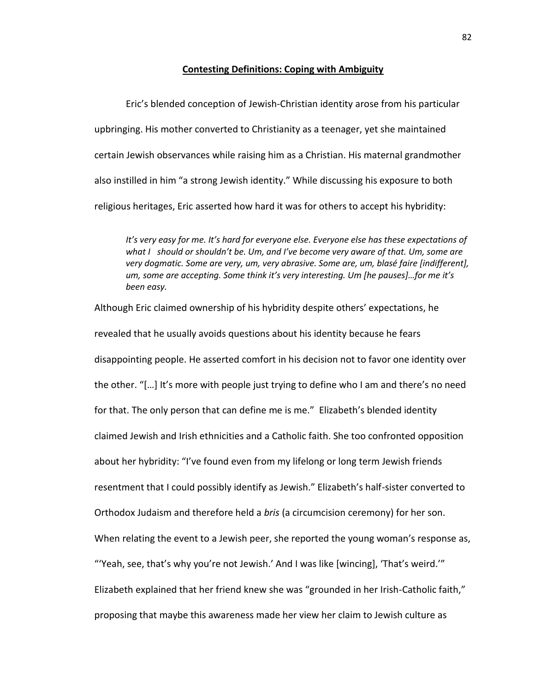## **Contesting Definitions: Coping with Ambiguity**

Eric's blended conception of Jewish-Christian identity arose from his particular upbringing. His mother converted to Christianity as a teenager, yet she maintained certain Jewish observances while raising him as a Christian. His maternal grandmother also instilled in him "a strong Jewish identity." While discussing his exposure to both religious heritages, Eric asserted how hard it was for others to accept his hybridity:

*It's very easy for me. It's hard for everyone else. Everyone else has these expectations of what I should or shouldn't be. Um, and I've become very aware of that. Um, some are very dogmatic. Some are very, um, very abrasive. Some are, um, blasé faire [indifferent], um, some are accepting. Some think it's very interesting. Um [he pauses]…for me it's been easy.*

Although Eric claimed ownership of his hybridity despite others' expectations, he revealed that he usually avoids questions about his identity because he fears disappointing people. He asserted comfort in his decision not to favor one identity over the other. "[…] It's more with people just trying to define who I am and there's no need for that. The only person that can define me is me." Elizabeth's blended identity claimed Jewish and Irish ethnicities and a Catholic faith. She too confronted opposition about her hybridity: "I've found even from my lifelong or long term Jewish friends resentment that I could possibly identify as Jewish." Elizabeth's half-sister converted to Orthodox Judaism and therefore held a *bris* (a circumcision ceremony) for her son. When relating the event to a Jewish peer, she reported the young woman's response as, "'Yeah, see, that's why you're not Jewish.' And I was like [wincing], 'That's weird.'" Elizabeth explained that her friend knew she was "grounded in her Irish-Catholic faith," proposing that maybe this awareness made her view her claim to Jewish culture as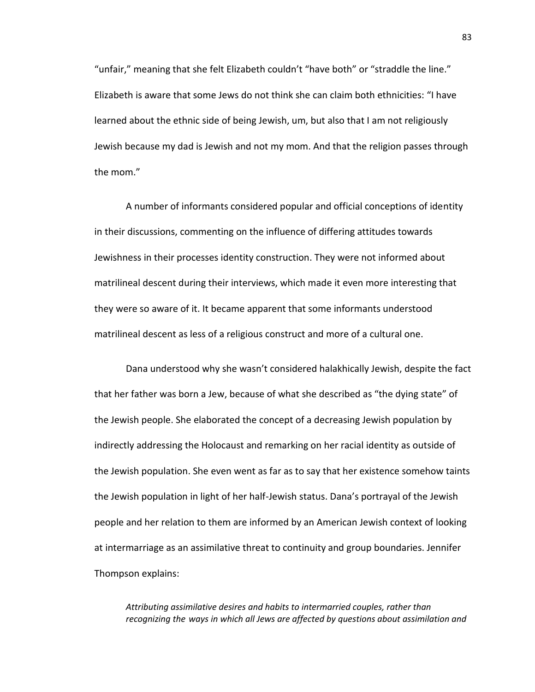"unfair," meaning that she felt Elizabeth couldn't "have both" or "straddle the line." Elizabeth is aware that some Jews do not think she can claim both ethnicities: "I have learned about the ethnic side of being Jewish, um, but also that I am not religiously Jewish because my dad is Jewish and not my mom. And that the religion passes through the mom."

A number of informants considered popular and official conceptions of identity in their discussions, commenting on the influence of differing attitudes towards Jewishness in their processes identity construction. They were not informed about matrilineal descent during their interviews, which made it even more interesting that they were so aware of it. It became apparent that some informants understood matrilineal descent as less of a religious construct and more of a cultural one.

Dana understood why she wasn't considered halakhically Jewish, despite the fact that her father was born a Jew, because of what she described as "the dying state" of the Jewish people. She elaborated the concept of a decreasing Jewish population by indirectly addressing the Holocaust and remarking on her racial identity as outside of the Jewish population. She even went as far as to say that her existence somehow taints the Jewish population in light of her half-Jewish status. Dana's portrayal of the Jewish people and her relation to them are informed by an American Jewish context of looking at intermarriage as an assimilative threat to continuity and group boundaries. Jennifer Thompson explains:

*Attributing assimilative desires and habits to intermarried couples, rather than recognizing the ways in which all Jews are affected by questions about assimilation and*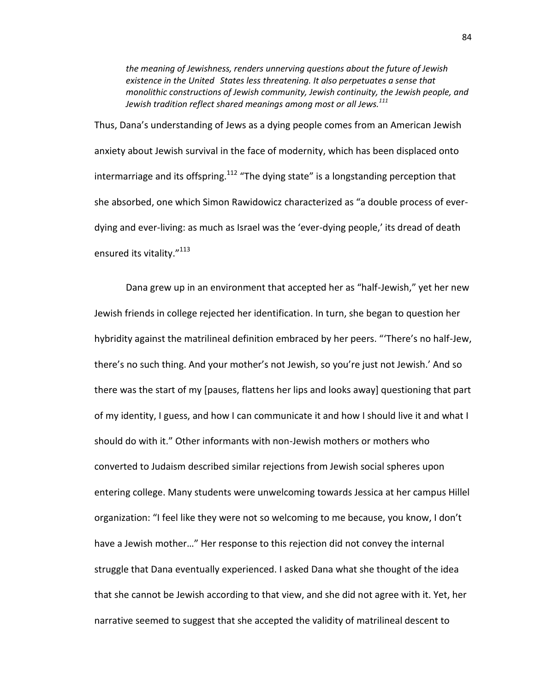*the meaning of Jewishness, renders unnerving questions about the future of Jewish existence in the United States less threatening. It also perpetuates a sense that monolithic constructions of Jewish community, Jewish continuity, the Jewish people, and Jewish tradition reflect shared meanings among most or all Jews.<sup>111</sup>*

Thus, Dana's understanding of Jews as a dying people comes from an American Jewish anxiety about Jewish survival in the face of modernity, which has been displaced onto intermarriage and its offspring.<sup>112</sup> "The dying state" is a longstanding perception that she absorbed, one which Simon Rawidowicz characterized as "a double process of everdying and ever-living: as much as Israel was the 'ever-dying people,' its dread of death ensured its vitality."<sup>113</sup>

Dana grew up in an environment that accepted her as "half-Jewish," yet her new Jewish friends in college rejected her identification. In turn, she began to question her hybridity against the matrilineal definition embraced by her peers. "'There's no half-Jew, there's no such thing. And your mother's not Jewish, so you're just not Jewish.' And so there was the start of my [pauses, flattens her lips and looks away] questioning that part of my identity, I guess, and how I can communicate it and how I should live it and what I should do with it." Other informants with non-Jewish mothers or mothers who converted to Judaism described similar rejections from Jewish social spheres upon entering college. Many students were unwelcoming towards Jessica at her campus Hillel organization: "I feel like they were not so welcoming to me because, you know, I don't have a Jewish mother…" Her response to this rejection did not convey the internal struggle that Dana eventually experienced. I asked Dana what she thought of the idea that she cannot be Jewish according to that view, and she did not agree with it. Yet, her narrative seemed to suggest that she accepted the validity of matrilineal descent to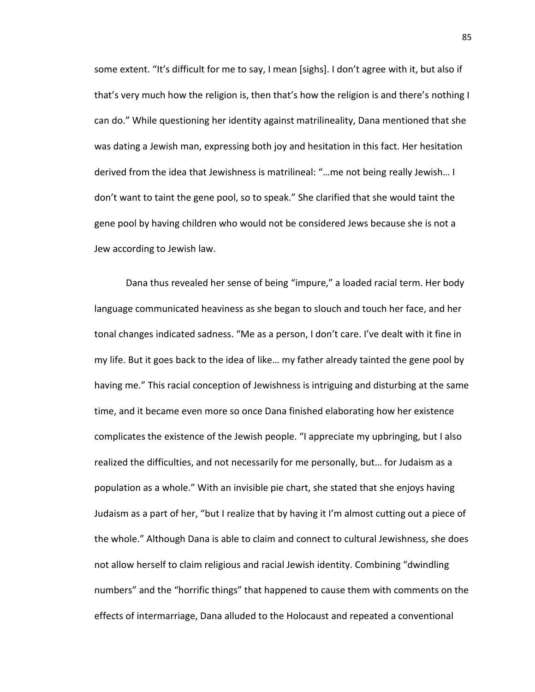some extent. "It's difficult for me to say, I mean [sighs]. I don't agree with it, but also if that's very much how the religion is, then that's how the religion is and there's nothing I can do." While questioning her identity against matrilineality, Dana mentioned that she was dating a Jewish man, expressing both joy and hesitation in this fact. Her hesitation derived from the idea that Jewishness is matrilineal: "…me not being really Jewish… I don't want to taint the gene pool, so to speak." She clarified that she would taint the gene pool by having children who would not be considered Jews because she is not a Jew according to Jewish law.

Dana thus revealed her sense of being "impure," a loaded racial term. Her body language communicated heaviness as she began to slouch and touch her face, and her tonal changes indicated sadness. "Me as a person, I don't care. I've dealt with it fine in my life. But it goes back to the idea of like… my father already tainted the gene pool by having me." This racial conception of Jewishness is intriguing and disturbing at the same time, and it became even more so once Dana finished elaborating how her existence complicates the existence of the Jewish people. "I appreciate my upbringing, but I also realized the difficulties, and not necessarily for me personally, but… for Judaism as a population as a whole." With an invisible pie chart, she stated that she enjoys having Judaism as a part of her, "but I realize that by having it I'm almost cutting out a piece of the whole." Although Dana is able to claim and connect to cultural Jewishness, she does not allow herself to claim religious and racial Jewish identity. Combining "dwindling numbers" and the "horrific things" that happened to cause them with comments on the effects of intermarriage, Dana alluded to the Holocaust and repeated a conventional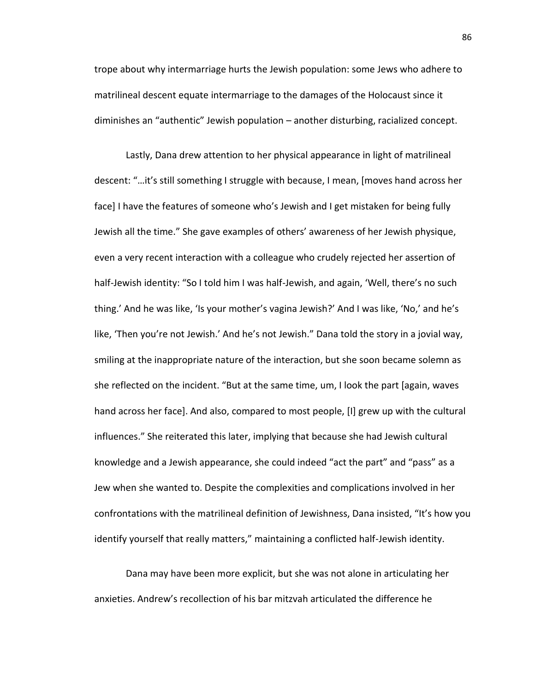trope about why intermarriage hurts the Jewish population: some Jews who adhere to matrilineal descent equate intermarriage to the damages of the Holocaust since it diminishes an "authentic" Jewish population – another disturbing, racialized concept.

Lastly, Dana drew attention to her physical appearance in light of matrilineal descent: "…it's still something I struggle with because, I mean, [moves hand across her face] I have the features of someone who's Jewish and I get mistaken for being fully Jewish all the time." She gave examples of others' awareness of her Jewish physique, even a very recent interaction with a colleague who crudely rejected her assertion of half-Jewish identity: "So I told him I was half-Jewish, and again, 'Well, there's no such thing.' And he was like, 'Is your mother's vagina Jewish?' And I was like, 'No,' and he's like, 'Then you're not Jewish.' And he's not Jewish." Dana told the story in a jovial way, smiling at the inappropriate nature of the interaction, but she soon became solemn as she reflected on the incident. "But at the same time, um, I look the part [again, waves hand across her face]. And also, compared to most people, [I] grew up with the cultural influences." She reiterated this later, implying that because she had Jewish cultural knowledge and a Jewish appearance, she could indeed "act the part" and "pass" as a Jew when she wanted to. Despite the complexities and complications involved in her confrontations with the matrilineal definition of Jewishness, Dana insisted, "It's how you identify yourself that really matters," maintaining a conflicted half-Jewish identity.

Dana may have been more explicit, but she was not alone in articulating her anxieties. Andrew's recollection of his bar mitzvah articulated the difference he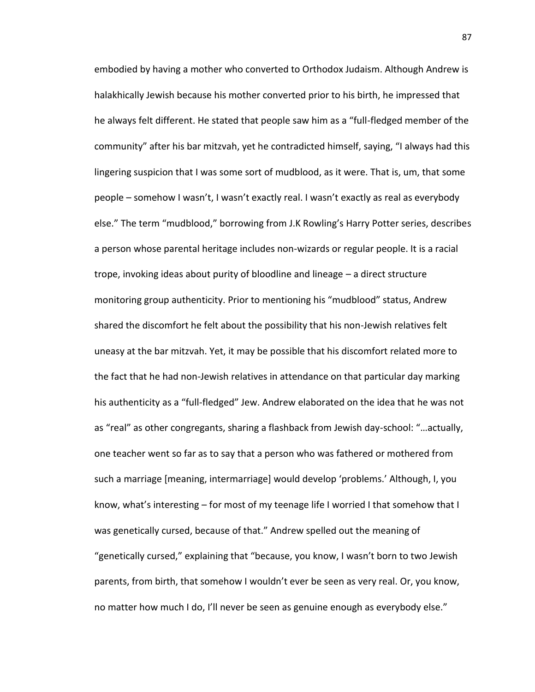embodied by having a mother who converted to Orthodox Judaism. Although Andrew is halakhically Jewish because his mother converted prior to his birth, he impressed that he always felt different. He stated that people saw him as a "full-fledged member of the community" after his bar mitzvah, yet he contradicted himself, saying, "I always had this lingering suspicion that I was some sort of mudblood, as it were. That is, um, that some people – somehow I wasn't, I wasn't exactly real. I wasn't exactly as real as everybody else." The term "mudblood," borrowing from J.K Rowling's Harry Potter series, describes a person whose parental heritage includes non-wizards or regular people. It is a racial trope, invoking ideas about purity of bloodline and lineage – a direct structure monitoring group authenticity. Prior to mentioning his "mudblood" status, Andrew shared the discomfort he felt about the possibility that his non-Jewish relatives felt uneasy at the bar mitzvah. Yet, it may be possible that his discomfort related more to the fact that he had non-Jewish relatives in attendance on that particular day marking his authenticity as a "full-fledged" Jew. Andrew elaborated on the idea that he was not as "real" as other congregants, sharing a flashback from Jewish day-school: "…actually, one teacher went so far as to say that a person who was fathered or mothered from such a marriage [meaning, intermarriage] would develop 'problems.' Although, I, you know, what's interesting – for most of my teenage life I worried I that somehow that I was genetically cursed, because of that." Andrew spelled out the meaning of "genetically cursed," explaining that "because, you know, I wasn't born to two Jewish parents, from birth, that somehow I wouldn't ever be seen as very real. Or, you know, no matter how much I do, I'll never be seen as genuine enough as everybody else."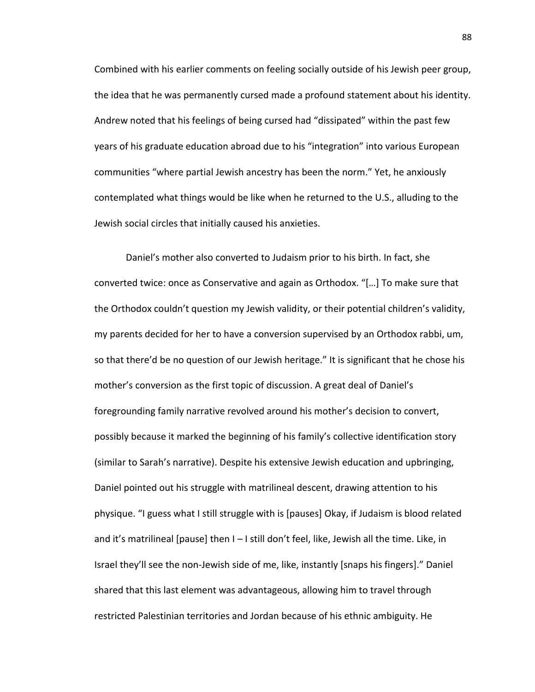Combined with his earlier comments on feeling socially outside of his Jewish peer group, the idea that he was permanently cursed made a profound statement about his identity. Andrew noted that his feelings of being cursed had "dissipated" within the past few years of his graduate education abroad due to his "integration" into various European communities "where partial Jewish ancestry has been the norm." Yet, he anxiously contemplated what things would be like when he returned to the U.S., alluding to the Jewish social circles that initially caused his anxieties.

Daniel's mother also converted to Judaism prior to his birth. In fact, she converted twice: once as Conservative and again as Orthodox. "[…] To make sure that the Orthodox couldn't question my Jewish validity, or their potential children's validity, my parents decided for her to have a conversion supervised by an Orthodox rabbi, um, so that there'd be no question of our Jewish heritage." It is significant that he chose his mother's conversion as the first topic of discussion. A great deal of Daniel's foregrounding family narrative revolved around his mother's decision to convert, possibly because it marked the beginning of his family's collective identification story (similar to Sarah's narrative). Despite his extensive Jewish education and upbringing, Daniel pointed out his struggle with matrilineal descent, drawing attention to his physique. "I guess what I still struggle with is [pauses] Okay, if Judaism is blood related and it's matrilineal [pause] then I – I still don't feel, like, Jewish all the time. Like, in Israel they'll see the non-Jewish side of me, like, instantly [snaps his fingers]." Daniel shared that this last element was advantageous, allowing him to travel through restricted Palestinian territories and Jordan because of his ethnic ambiguity. He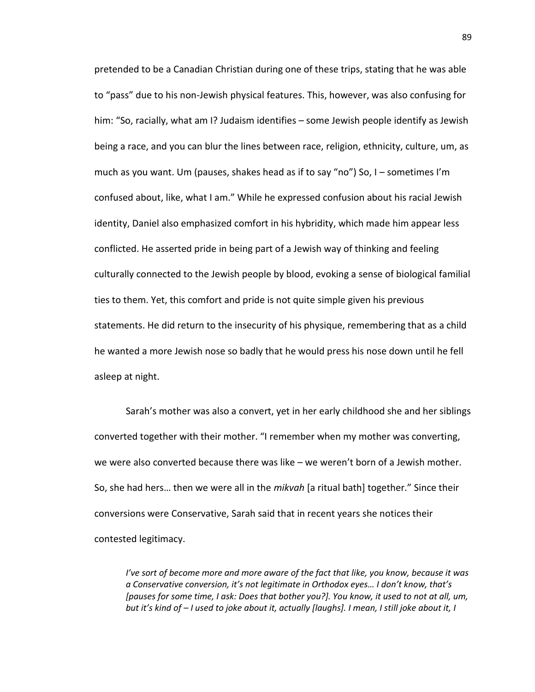pretended to be a Canadian Christian during one of these trips, stating that he was able to "pass" due to his non-Jewish physical features. This, however, was also confusing for him: "So, racially, what am I? Judaism identifies – some Jewish people identify as Jewish being a race, and you can blur the lines between race, religion, ethnicity, culture, um, as much as you want. Um (pauses, shakes head as if to say "no") So, I – sometimes I'm confused about, like, what I am." While he expressed confusion about his racial Jewish identity, Daniel also emphasized comfort in his hybridity, which made him appear less conflicted. He asserted pride in being part of a Jewish way of thinking and feeling culturally connected to the Jewish people by blood, evoking a sense of biological familial ties to them. Yet, this comfort and pride is not quite simple given his previous statements. He did return to the insecurity of his physique, remembering that as a child he wanted a more Jewish nose so badly that he would press his nose down until he fell asleep at night.

Sarah's mother was also a convert, yet in her early childhood she and her siblings converted together with their mother. "I remember when my mother was converting, we were also converted because there was like – we weren't born of a Jewish mother. So, she had hers… then we were all in the *mikvah* [a ritual bath] together." Since their conversions were Conservative, Sarah said that in recent years she notices their contested legitimacy.

*I've sort of become more and more aware of the fact that like, you know, because it was a Conservative conversion, it's not legitimate in Orthodox eyes… I don't know, that's [pauses for some time, I ask: Does that bother you?]. You know, it used to not at all, um, but it's kind of – I used to joke about it, actually [laughs]. I mean, I still joke about it, I*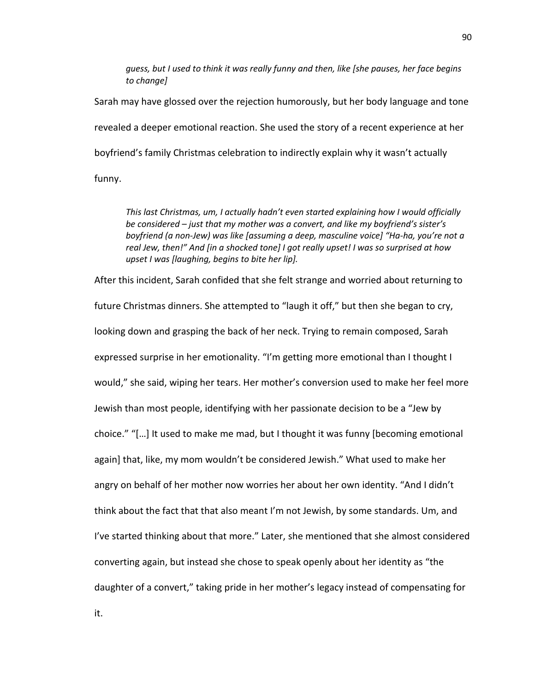*guess, but I used to think it was really funny and then, like [she pauses, her face begins to change]*

Sarah may have glossed over the rejection humorously, but her body language and tone revealed a deeper emotional reaction. She used the story of a recent experience at her boyfriend's family Christmas celebration to indirectly explain why it wasn't actually funny.

*This last Christmas, um, I actually hadn't even started explaining how I would officially be considered – just that my mother was a convert, and like my boyfriend's sister's boyfriend (a non-Jew) was like [assuming a deep, masculine voice] "Ha-ha, you're not a real Jew, then!" And [in a shocked tone] I got really upset! I was so surprised at how upset I was [laughing, begins to bite her lip].*

After this incident, Sarah confided that she felt strange and worried about returning to future Christmas dinners. She attempted to "laugh it off," but then she began to cry, looking down and grasping the back of her neck. Trying to remain composed, Sarah expressed surprise in her emotionality. "I'm getting more emotional than I thought I would," she said, wiping her tears. Her mother's conversion used to make her feel more Jewish than most people, identifying with her passionate decision to be a "Jew by choice." "[…] It used to make me mad, but I thought it was funny [becoming emotional again] that, like, my mom wouldn't be considered Jewish." What used to make her angry on behalf of her mother now worries her about her own identity. "And I didn't think about the fact that that also meant I'm not Jewish, by some standards. Um, and I've started thinking about that more." Later, she mentioned that she almost considered converting again, but instead she chose to speak openly about her identity as "the daughter of a convert," taking pride in her mother's legacy instead of compensating for

it.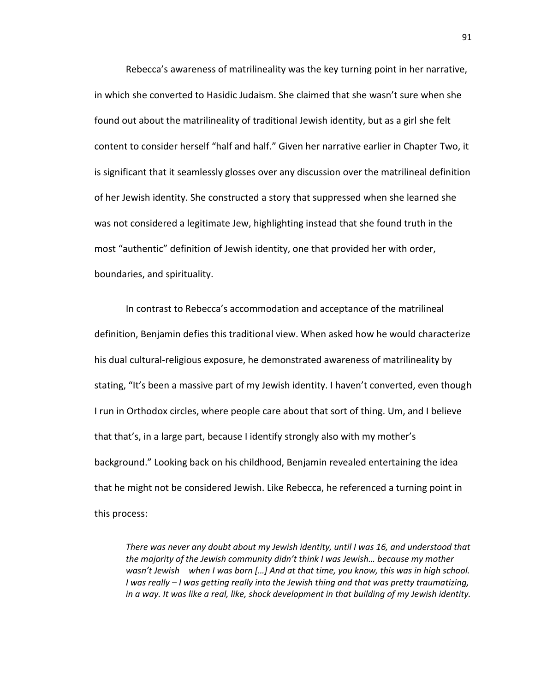Rebecca's awareness of matrilineality was the key turning point in her narrative, in which she converted to Hasidic Judaism. She claimed that she wasn't sure when she found out about the matrilineality of traditional Jewish identity, but as a girl she felt content to consider herself "half and half." Given her narrative earlier in Chapter Two, it is significant that it seamlessly glosses over any discussion over the matrilineal definition of her Jewish identity. She constructed a story that suppressed when she learned she was not considered a legitimate Jew, highlighting instead that she found truth in the most "authentic" definition of Jewish identity, one that provided her with order, boundaries, and spirituality.

In contrast to Rebecca's accommodation and acceptance of the matrilineal definition, Benjamin defies this traditional view. When asked how he would characterize his dual cultural-religious exposure, he demonstrated awareness of matrilineality by stating, "It's been a massive part of my Jewish identity. I haven't converted, even though I run in Orthodox circles, where people care about that sort of thing. Um, and I believe that that's, in a large part, because I identify strongly also with my mother's background." Looking back on his childhood, Benjamin revealed entertaining the idea that he might not be considered Jewish. Like Rebecca, he referenced a turning point in this process:

*There was never any doubt about my Jewish identity, until I was 16, and understood that the majority of the Jewish community didn't think I was Jewish… because my mother wasn't Jewish when I was born […] And at that time, you know, this was in high school. I was really – I was getting really into the Jewish thing and that was pretty traumatizing, in a way. It was like a real, like, shock development in that building of my Jewish identity.*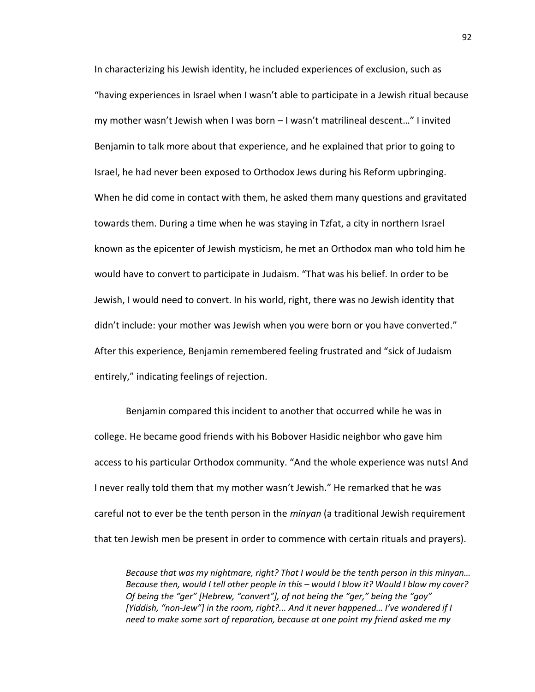In characterizing his Jewish identity, he included experiences of exclusion, such as "having experiences in Israel when I wasn't able to participate in a Jewish ritual because my mother wasn't Jewish when I was born – I wasn't matrilineal descent…" I invited Benjamin to talk more about that experience, and he explained that prior to going to Israel, he had never been exposed to Orthodox Jews during his Reform upbringing. When he did come in contact with them, he asked them many questions and gravitated towards them. During a time when he was staying in Tzfat, a city in northern Israel known as the epicenter of Jewish mysticism, he met an Orthodox man who told him he would have to convert to participate in Judaism. "That was his belief. In order to be Jewish, I would need to convert. In his world, right, there was no Jewish identity that didn't include: your mother was Jewish when you were born or you have converted." After this experience, Benjamin remembered feeling frustrated and "sick of Judaism entirely," indicating feelings of rejection.

Benjamin compared this incident to another that occurred while he was in college. He became good friends with his Bobover Hasidic neighbor who gave him access to his particular Orthodox community. "And the whole experience was nuts! And I never really told them that my mother wasn't Jewish." He remarked that he was careful not to ever be the tenth person in the *minyan* (a traditional Jewish requirement that ten Jewish men be present in order to commence with certain rituals and prayers).

*Because that was my nightmare, right? That I would be the tenth person in this minyan… Because then, would I tell other people in this – would I blow it? Would I blow my cover? Of being the "ger" [Hebrew, "convert"], of not being the "ger," being the "goy" [Yiddish, "non-Jew"] in the room, right?... And it never happened… I've wondered if I need to make some sort of reparation, because at one point my friend asked me my*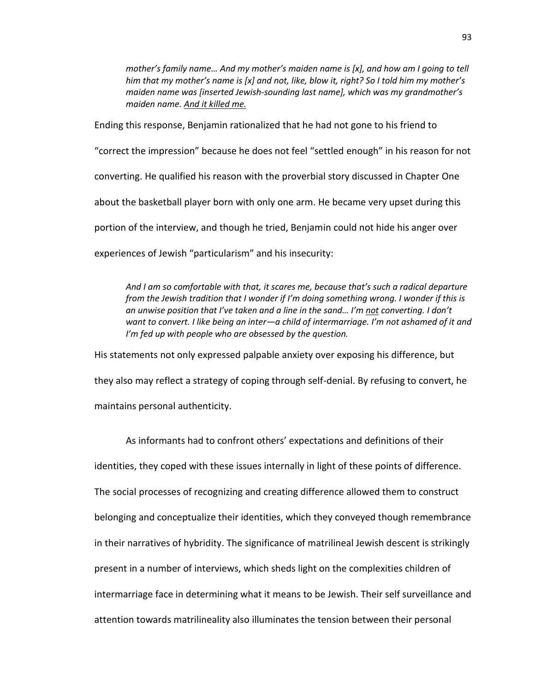*mother's family name… And my mother's maiden name is [x], and how am I going to tell him that my mother's name is [x] and not, like, blow it, right? So I told him my mother's maiden name was [inserted Jewish-sounding last name], which was my grandmother's maiden name. And it killed me.*

Ending this response, Benjamin rationalized that he had not gone to his friend to

"correct the impression" because he does not feel "settled enough" in his reason for not

converting. He qualified his reason with the proverbial story discussed in Chapter One

about the basketball player born with only one arm. He became very upset during this

portion of the interview, and though he tried, Benjamin could not hide his anger over

experiences of Jewish "particularism" and his insecurity:

*And I am so comfortable with that, it scares me, because that's such a radical departure from the Jewish tradition that I wonder if I'm doing something wrong. I wonder if this is an unwise position that I've taken and a line in the sand… I'm not converting. I don't want to convert. I like being an inter—a child of intermarriage. I'm not ashamed of it and I'm fed up with people who are obsessed by the question.*

His statements not only expressed palpable anxiety over exposing his difference, but they also may reflect a strategy of coping through self-denial. By refusing to convert, he maintains personal authenticity.

As informants had to confront others' expectations and definitions of their identities, they coped with these issues internally in light of these points of difference. The social processes of recognizing and creating difference allowed them to construct belonging and conceptualize their identities, which they conveyed though remembrance in their narratives of hybridity. The significance of matrilineal Jewish descent is strikingly present in a number of interviews, which sheds light on the complexities children of intermarriage face in determining what it means to be Jewish. Their self surveillance and attention towards matrilineality also illuminates the tension between their personal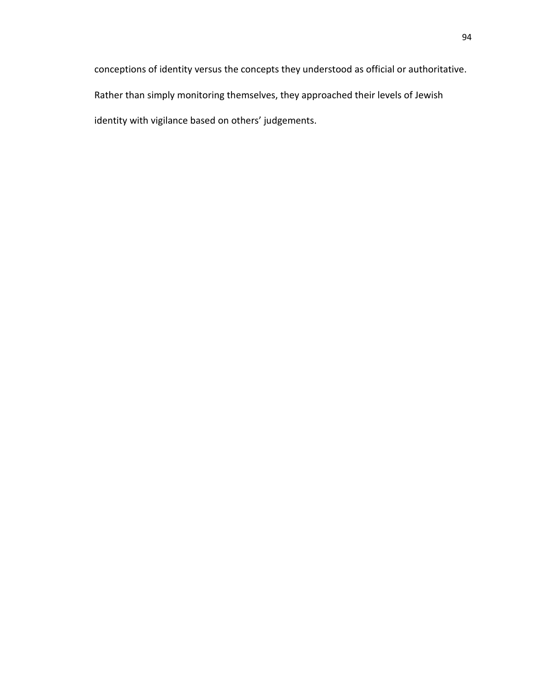conceptions of identity versus the concepts they understood as official or authoritative. Rather than simply monitoring themselves, they approached their levels of Jewish identity with vigilance based on others' judgements.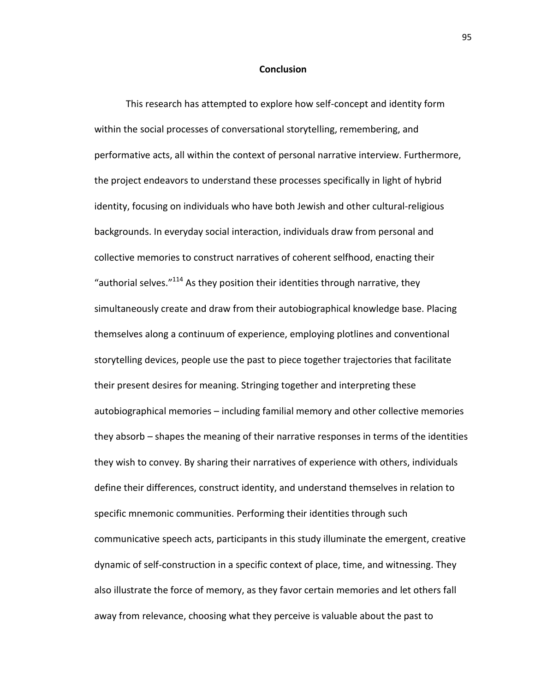## **Conclusion**

This research has attempted to explore how self-concept and identity form within the social processes of conversational storytelling, remembering, and performative acts, all within the context of personal narrative interview. Furthermore, the project endeavors to understand these processes specifically in light of hybrid identity, focusing on individuals who have both Jewish and other cultural-religious backgrounds. In everyday social interaction, individuals draw from personal and collective memories to construct narratives of coherent selfhood, enacting their "authorial selves." $114$  As they position their identities through narrative, they simultaneously create and draw from their autobiographical knowledge base. Placing themselves along a continuum of experience, employing plotlines and conventional storytelling devices, people use the past to piece together trajectories that facilitate their present desires for meaning. Stringing together and interpreting these autobiographical memories – including familial memory and other collective memories they absorb – shapes the meaning of their narrative responses in terms of the identities they wish to convey. By sharing their narratives of experience with others, individuals define their differences, construct identity, and understand themselves in relation to specific mnemonic communities. Performing their identities through such communicative speech acts, participants in this study illuminate the emergent, creative dynamic of self-construction in a specific context of place, time, and witnessing. They also illustrate the force of memory, as they favor certain memories and let others fall away from relevance, choosing what they perceive is valuable about the past to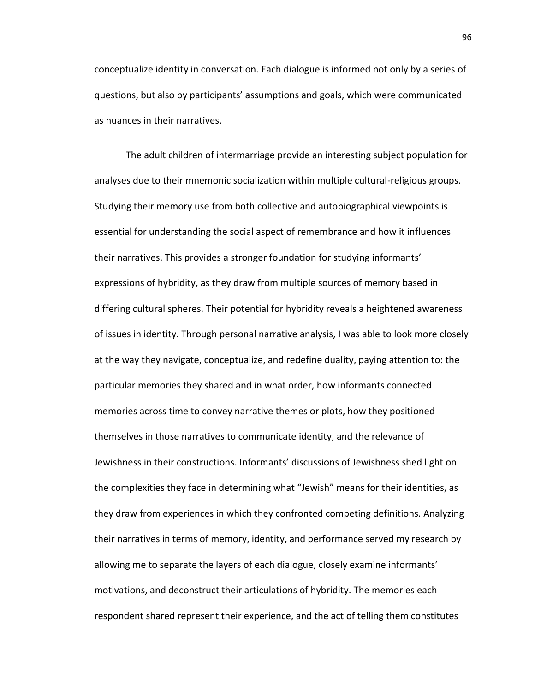conceptualize identity in conversation. Each dialogue is informed not only by a series of questions, but also by participants' assumptions and goals, which were communicated as nuances in their narratives.

The adult children of intermarriage provide an interesting subject population for analyses due to their mnemonic socialization within multiple cultural-religious groups. Studying their memory use from both collective and autobiographical viewpoints is essential for understanding the social aspect of remembrance and how it influences their narratives. This provides a stronger foundation for studying informants' expressions of hybridity, as they draw from multiple sources of memory based in differing cultural spheres. Their potential for hybridity reveals a heightened awareness of issues in identity. Through personal narrative analysis, I was able to look more closely at the way they navigate, conceptualize, and redefine duality, paying attention to: the particular memories they shared and in what order, how informants connected memories across time to convey narrative themes or plots, how they positioned themselves in those narratives to communicate identity, and the relevance of Jewishness in their constructions. Informants' discussions of Jewishness shed light on the complexities they face in determining what "Jewish" means for their identities, as they draw from experiences in which they confronted competing definitions. Analyzing their narratives in terms of memory, identity, and performance served my research by allowing me to separate the layers of each dialogue, closely examine informants' motivations, and deconstruct their articulations of hybridity. The memories each respondent shared represent their experience, and the act of telling them constitutes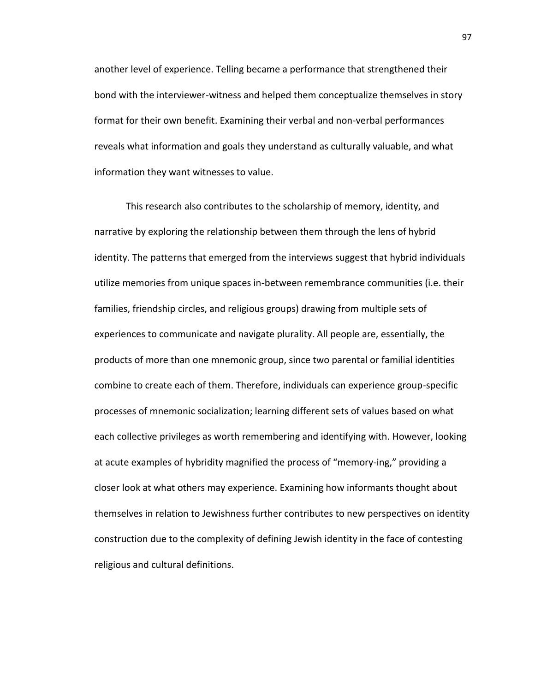another level of experience. Telling became a performance that strengthened their bond with the interviewer-witness and helped them conceptualize themselves in story format for their own benefit. Examining their verbal and non-verbal performances reveals what information and goals they understand as culturally valuable, and what information they want witnesses to value.

This research also contributes to the scholarship of memory, identity, and narrative by exploring the relationship between them through the lens of hybrid identity. The patterns that emerged from the interviews suggest that hybrid individuals utilize memories from unique spaces in-between remembrance communities (i.e. their families, friendship circles, and religious groups) drawing from multiple sets of experiences to communicate and navigate plurality. All people are, essentially, the products of more than one mnemonic group, since two parental or familial identities combine to create each of them. Therefore, individuals can experience group-specific processes of mnemonic socialization; learning different sets of values based on what each collective privileges as worth remembering and identifying with. However, looking at acute examples of hybridity magnified the process of "memory-ing," providing a closer look at what others may experience. Examining how informants thought about themselves in relation to Jewishness further contributes to new perspectives on identity construction due to the complexity of defining Jewish identity in the face of contesting religious and cultural definitions.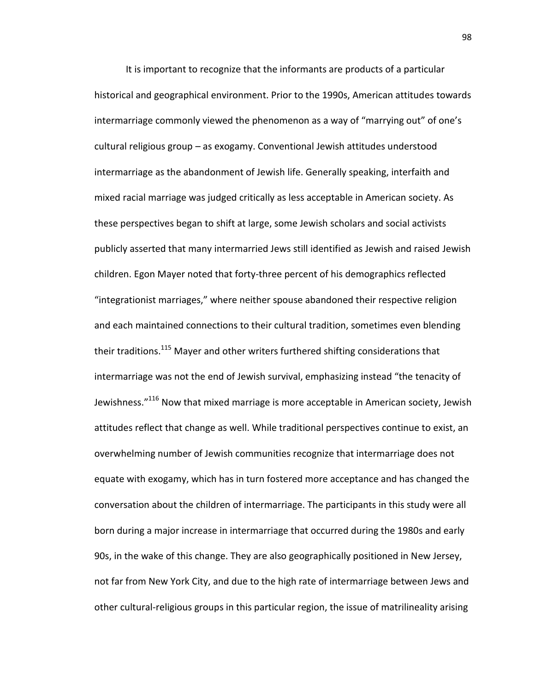It is important to recognize that the informants are products of a particular historical and geographical environment. Prior to the 1990s, American attitudes towards intermarriage commonly viewed the phenomenon as a way of "marrying out" of one's cultural religious group – as exogamy. Conventional Jewish attitudes understood intermarriage as the abandonment of Jewish life. Generally speaking, interfaith and mixed racial marriage was judged critically as less acceptable in American society. As these perspectives began to shift at large, some Jewish scholars and social activists publicly asserted that many intermarried Jews still identified as Jewish and raised Jewish children. Egon Mayer noted that forty-three percent of his demographics reflected "integrationist marriages," where neither spouse abandoned their respective religion and each maintained connections to their cultural tradition, sometimes even blending their traditions.<sup>115</sup> Mayer and other writers furthered shifting considerations that intermarriage was not the end of Jewish survival, emphasizing instead "the tenacity of Jewishness."<sup>116</sup> Now that mixed marriage is more acceptable in American society, Jewish attitudes reflect that change as well. While traditional perspectives continue to exist, an overwhelming number of Jewish communities recognize that intermarriage does not equate with exogamy, which has in turn fostered more acceptance and has changed the conversation about the children of intermarriage. The participants in this study were all born during a major increase in intermarriage that occurred during the 1980s and early 90s, in the wake of this change. They are also geographically positioned in New Jersey, not far from New York City, and due to the high rate of intermarriage between Jews and other cultural-religious groups in this particular region, the issue of matrilineality arising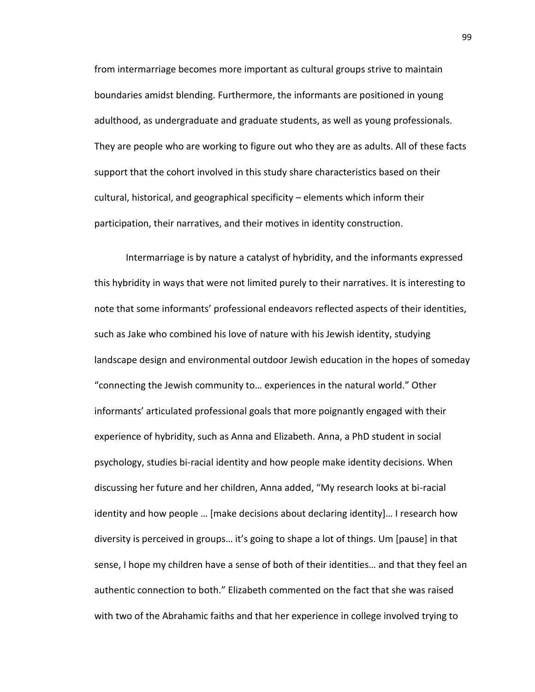from intermarriage becomes more important as cultural groups strive to maintain boundaries amidst blending. Furthermore, the informants are positioned in young adulthood, as undergraduate and graduate students, as well as young professionals. They are people who are working to figure out who they are as adults. All of these facts support that the cohort involved in this study share characteristics based on their cultural, historical, and geographical specificity – elements which inform their participation, their narratives, and their motives in identity construction.

Intermarriage is by nature a catalyst of hybridity, and the informants expressed this hybridity in ways that were not limited purely to their narratives. It is interesting to note that some informants' professional endeavors reflected aspects of their identities, such as Jake who combined his love of nature with his Jewish identity, studying landscape design and environmental outdoor Jewish education in the hopes of someday "connecting the Jewish community to… experiences in the natural world." Other informants' articulated professional goals that more poignantly engaged with their experience of hybridity, such as Anna and Elizabeth. Anna, a PhD student in social psychology, studies bi-racial identity and how people make identity decisions. When discussing her future and her children, Anna added, "My research looks at bi-racial identity and how people … [make decisions about declaring identity]… I research how diversity is perceived in groups… it's going to shape a lot of things. Um [pause] in that sense, I hope my children have a sense of both of their identities… and that they feel an authentic connection to both." Elizabeth commented on the fact that she was raised with two of the Abrahamic faiths and that her experience in college involved trying to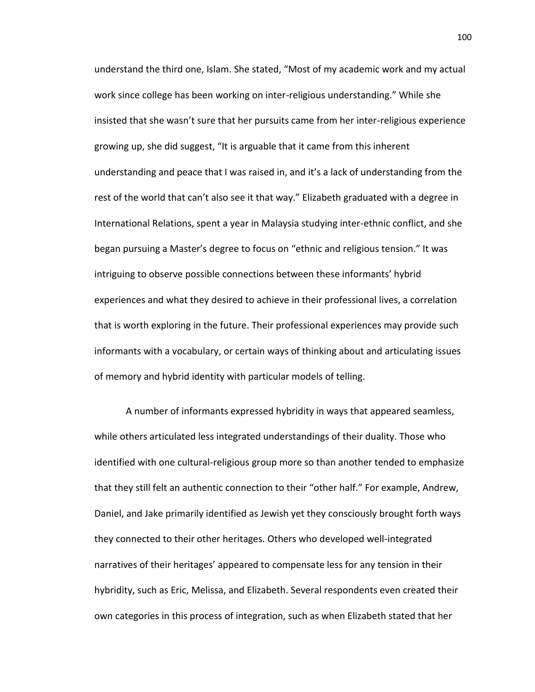understand the third one, Islam. She stated, "Most of my academic work and my actual work since college has been working on inter-religious understanding." While she insisted that she wasn't sure that her pursuits came from her inter-religious experience growing up, she did suggest, "It is arguable that it came from this inherent understanding and peace that I was raised in, and it's a lack of understanding from the rest of the world that can't also see it that way." Elizabeth graduated with a degree in International Relations, spent a year in Malaysia studying inter-ethnic conflict, and she began pursuing a Master's degree to focus on "ethnic and religious tension." It was intriguing to observe possible connections between these informants' hybrid experiences and what they desired to achieve in their professional lives, a correlation that is worth exploring in the future. Their professional experiences may provide such informants with a vocabulary, or certain ways of thinking about and articulating issues of memory and hybrid identity with particular models of telling.

A number of informants expressed hybridity in ways that appeared seamless, while others articulated less integrated understandings of their duality. Those who identified with one cultural-religious group more so than another tended to emphasize that they still felt an authentic connection to their "other half." For example, Andrew, Daniel, and Jake primarily identified as Jewish yet they consciously brought forth ways they connected to their other heritages. Others who developed well-integrated narratives of their heritages' appeared to compensate less for any tension in their hybridity, such as Eric, Melissa, and Elizabeth. Several respondents even created their own categories in this process of integration, such as when Elizabeth stated that her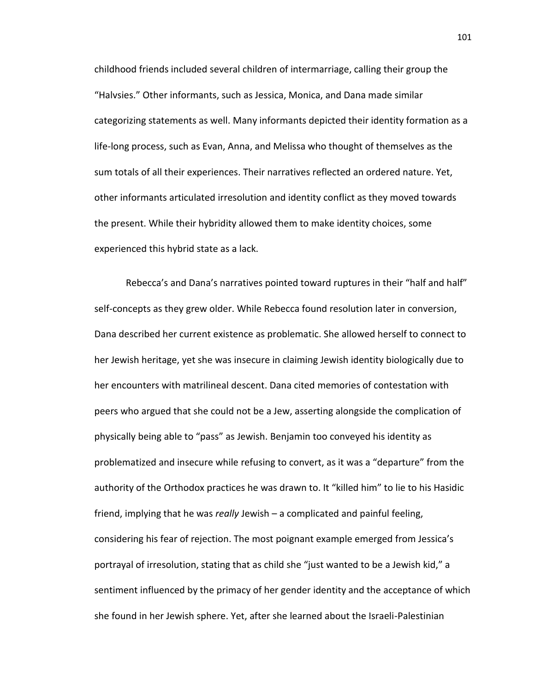childhood friends included several children of intermarriage, calling their group the "Halvsies." Other informants, such as Jessica, Monica, and Dana made similar categorizing statements as well. Many informants depicted their identity formation as a life-long process, such as Evan, Anna, and Melissa who thought of themselves as the sum totals of all their experiences. Their narratives reflected an ordered nature. Yet, other informants articulated irresolution and identity conflict as they moved towards the present. While their hybridity allowed them to make identity choices, some experienced this hybrid state as a lack.

Rebecca's and Dana's narratives pointed toward ruptures in their "half and half" self-concepts as they grew older. While Rebecca found resolution later in conversion, Dana described her current existence as problematic. She allowed herself to connect to her Jewish heritage, yet she was insecure in claiming Jewish identity biologically due to her encounters with matrilineal descent. Dana cited memories of contestation with peers who argued that she could not be a Jew, asserting alongside the complication of physically being able to "pass" as Jewish. Benjamin too conveyed his identity as problematized and insecure while refusing to convert, as it was a "departure" from the authority of the Orthodox practices he was drawn to. It "killed him" to lie to his Hasidic friend, implying that he was *really* Jewish – a complicated and painful feeling, considering his fear of rejection. The most poignant example emerged from Jessica's portrayal of irresolution, stating that as child she "just wanted to be a Jewish kid," a sentiment influenced by the primacy of her gender identity and the acceptance of which she found in her Jewish sphere. Yet, after she learned about the Israeli-Palestinian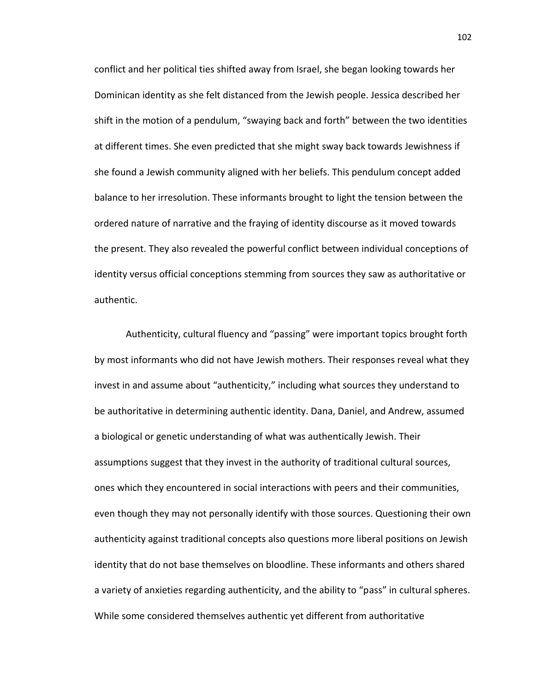conflict and her political ties shifted away from Israel, she began looking towards her Dominican identity as she felt distanced from the Jewish people. Jessica described her shift in the motion of a pendulum, "swaying back and forth" between the two identities at different times. She even predicted that she might sway back towards Jewishness if she found a Jewish community aligned with her beliefs. This pendulum concept added balance to her irresolution. These informants brought to light the tension between the ordered nature of narrative and the fraying of identity discourse as it moved towards the present. They also revealed the powerful conflict between individual conceptions of identity versus official conceptions stemming from sources they saw as authoritative or authentic.

Authenticity, cultural fluency and "passing" were important topics brought forth by most informants who did not have Jewish mothers. Their responses reveal what they invest in and assume about "authenticity," including what sources they understand to be authoritative in determining authentic identity. Dana, Daniel, and Andrew, assumed a biological or genetic understanding of what was authentically Jewish. Their assumptions suggest that they invest in the authority of traditional cultural sources, ones which they encountered in social interactions with peers and their communities, even though they may not personally identify with those sources. Questioning their own authenticity against traditional concepts also questions more liberal positions on Jewish identity that do not base themselves on bloodline. These informants and others shared a variety of anxieties regarding authenticity, and the ability to "pass" in cultural spheres. While some considered themselves authentic yet different from authoritative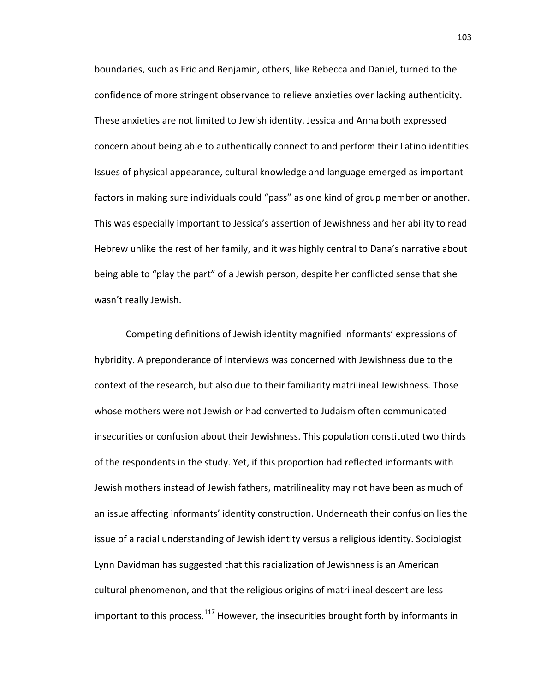boundaries, such as Eric and Benjamin, others, like Rebecca and Daniel, turned to the confidence of more stringent observance to relieve anxieties over lacking authenticity. These anxieties are not limited to Jewish identity. Jessica and Anna both expressed concern about being able to authentically connect to and perform their Latino identities. Issues of physical appearance, cultural knowledge and language emerged as important factors in making sure individuals could "pass" as one kind of group member or another. This was especially important to Jessica's assertion of Jewishness and her ability to read Hebrew unlike the rest of her family, and it was highly central to Dana's narrative about being able to "play the part" of a Jewish person, despite her conflicted sense that she wasn't really Jewish.

Competing definitions of Jewish identity magnified informants' expressions of hybridity. A preponderance of interviews was concerned with Jewishness due to the context of the research, but also due to their familiarity matrilineal Jewishness. Those whose mothers were not Jewish or had converted to Judaism often communicated insecurities or confusion about their Jewishness. This population constituted two thirds of the respondents in the study. Yet, if this proportion had reflected informants with Jewish mothers instead of Jewish fathers, matrilineality may not have been as much of an issue affecting informants' identity construction. Underneath their confusion lies the issue of a racial understanding of Jewish identity versus a religious identity. Sociologist Lynn Davidman has suggested that this racialization of Jewishness is an American cultural phenomenon, and that the religious origins of matrilineal descent are less important to this process. $117$  However, the insecurities brought forth by informants in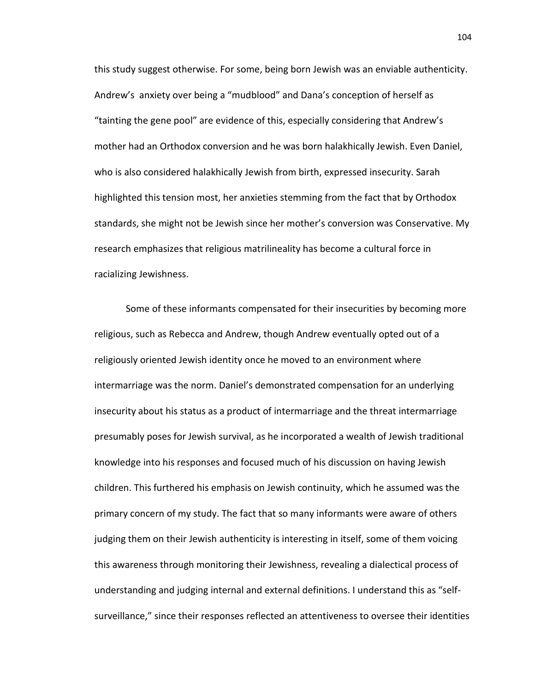this study suggest otherwise. For some, being born Jewish was an enviable authenticity. Andrew's anxiety over being a "mudblood" and Dana's conception of herself as "tainting the gene pool" are evidence of this, especially considering that Andrew's mother had an Orthodox conversion and he was born halakhically Jewish. Even Daniel, who is also considered halakhically Jewish from birth, expressed insecurity. Sarah highlighted this tension most, her anxieties stemming from the fact that by Orthodox standards, she might not be Jewish since her mother's conversion was Conservative. My research emphasizes that religious matrilineality has become a cultural force in racializing Jewishness.

Some of these informants compensated for their insecurities by becoming more religious, such as Rebecca and Andrew, though Andrew eventually opted out of a religiously oriented Jewish identity once he moved to an environment where intermarriage was the norm. Daniel's demonstrated compensation for an underlying insecurity about his status as a product of intermarriage and the threat intermarriage presumably poses for Jewish survival, as he incorporated a wealth of Jewish traditional knowledge into his responses and focused much of his discussion on having Jewish children. This furthered his emphasis on Jewish continuity, which he assumed was the primary concern of my study. The fact that so many informants were aware of others judging them on their Jewish authenticity is interesting in itself, some of them voicing this awareness through monitoring their Jewishness, revealing a dialectical process of understanding and judging internal and external definitions. I understand this as "selfsurveillance," since their responses reflected an attentiveness to oversee their identities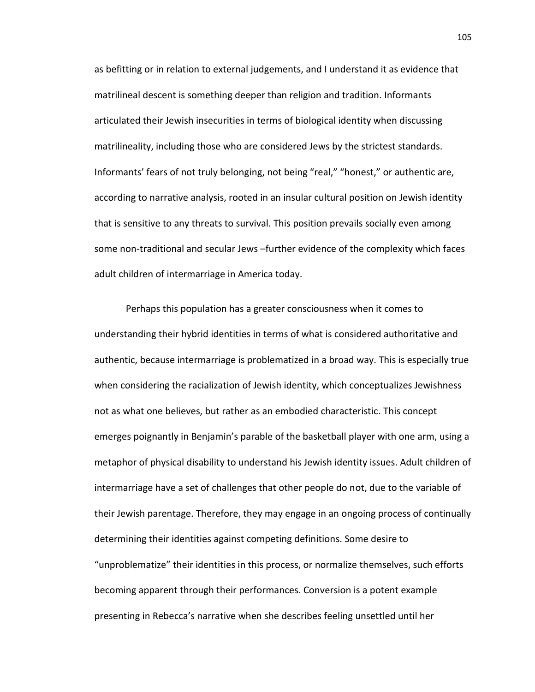as befitting or in relation to external judgements, and I understand it as evidence that matrilineal descent is something deeper than religion and tradition. Informants articulated their Jewish insecurities in terms of biological identity when discussing matrilineality, including those who are considered Jews by the strictest standards. Informants' fears of not truly belonging, not being "real," "honest," or authentic are, according to narrative analysis, rooted in an insular cultural position on Jewish identity that is sensitive to any threats to survival. This position prevails socially even among some non-traditional and secular Jews –further evidence of the complexity which faces adult children of intermarriage in America today.

Perhaps this population has a greater consciousness when it comes to understanding their hybrid identities in terms of what is considered authoritative and authentic, because intermarriage is problematized in a broad way. This is especially true when considering the racialization of Jewish identity, which conceptualizes Jewishness not as what one believes, but rather as an embodied characteristic. This concept emerges poignantly in Benjamin's parable of the basketball player with one arm, using a metaphor of physical disability to understand his Jewish identity issues. Adult children of intermarriage have a set of challenges that other people do not, due to the variable of their Jewish parentage. Therefore, they may engage in an ongoing process of continually determining their identities against competing definitions. Some desire to "unproblematize" their identities in this process, or normalize themselves, such efforts becoming apparent through their performances. Conversion is a potent example presenting in Rebecca's narrative when she describes feeling unsettled until her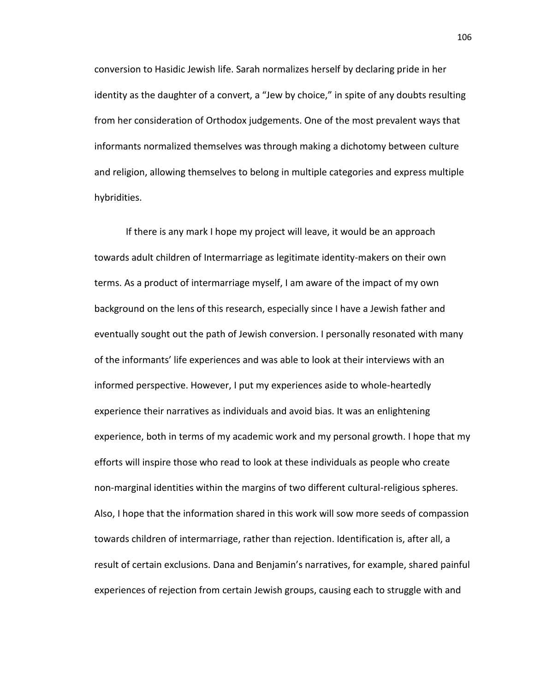conversion to Hasidic Jewish life. Sarah normalizes herself by declaring pride in her identity as the daughter of a convert, a "Jew by choice," in spite of any doubts resulting from her consideration of Orthodox judgements. One of the most prevalent ways that informants normalized themselves was through making a dichotomy between culture and religion, allowing themselves to belong in multiple categories and express multiple hybridities.

If there is any mark I hope my project will leave, it would be an approach towards adult children of Intermarriage as legitimate identity-makers on their own terms. As a product of intermarriage myself, I am aware of the impact of my own background on the lens of this research, especially since I have a Jewish father and eventually sought out the path of Jewish conversion. I personally resonated with many of the informants' life experiences and was able to look at their interviews with an informed perspective. However, I put my experiences aside to whole-heartedly experience their narratives as individuals and avoid bias. It was an enlightening experience, both in terms of my academic work and my personal growth. I hope that my efforts will inspire those who read to look at these individuals as people who create non-marginal identities within the margins of two different cultural-religious spheres. Also, I hope that the information shared in this work will sow more seeds of compassion towards children of intermarriage, rather than rejection. Identification is, after all, a result of certain exclusions. Dana and Benjamin's narratives, for example, shared painful experiences of rejection from certain Jewish groups, causing each to struggle with and

106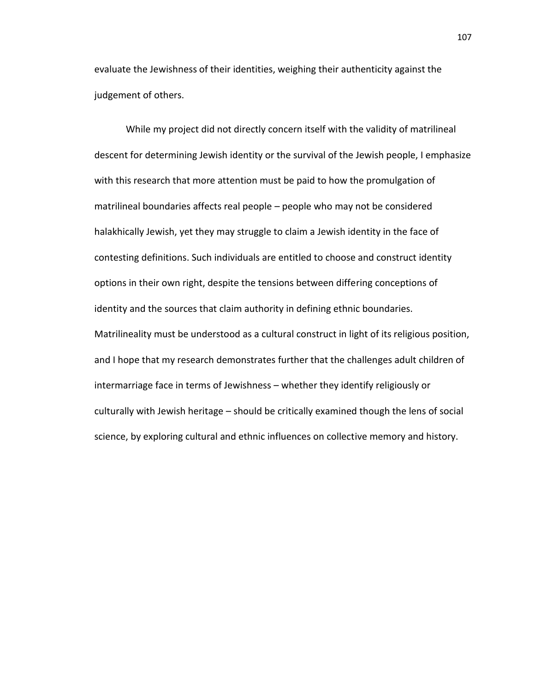evaluate the Jewishness of their identities, weighing their authenticity against the judgement of others.

While my project did not directly concern itself with the validity of matrilineal descent for determining Jewish identity or the survival of the Jewish people, I emphasize with this research that more attention must be paid to how the promulgation of matrilineal boundaries affects real people – people who may not be considered halakhically Jewish, yet they may struggle to claim a Jewish identity in the face of contesting definitions. Such individuals are entitled to choose and construct identity options in their own right, despite the tensions between differing conceptions of identity and the sources that claim authority in defining ethnic boundaries. Matrilineality must be understood as a cultural construct in light of its religious position, and I hope that my research demonstrates further that the challenges adult children of intermarriage face in terms of Jewishness – whether they identify religiously or culturally with Jewish heritage – should be critically examined though the lens of social science, by exploring cultural and ethnic influences on collective memory and history.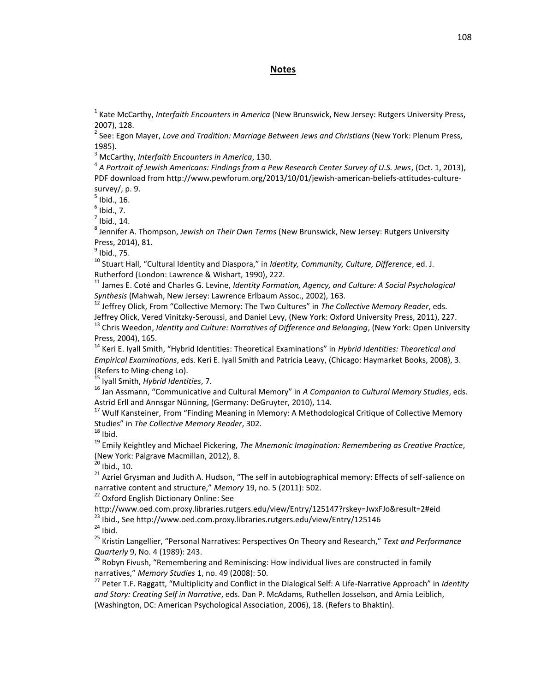### **Notes**

1 Kate McCarthy, *Interfaith Encounters in America* (New Brunswick, New Jersey: Rutgers University Press, 2007), 128.

2 See: Egon Mayer, *Love and Tradition: Marriage Between Jews and Christians* (New York: Plenum Press, 1985).

<sup>3</sup> McCarthy, *Interfaith Encounters in America*, 130.

4 *A Portrait of Jewish Americans: Findings from a Pew Research Center Survey of U.S. Jews*, (Oct. 1, 2013), PDF download from http://www.pewforum.org/2013/10/01/jewish-american-beliefs-attitudes-culturesurvey/, p. 9.

 $<sup>5</sup>$  Ibid., 16.</sup>

 $<sup>6</sup>$  Ibid., 7.</sup>

 $^7$  Ibid., 14.

8 Jennifer A. Thompson, *Jewish on Their Own Terms* (New Brunswick, New Jersey: Rutgers University Press, 2014), 81.

 $^9$  Ibid., 75.

<sup>10</sup> Stuart Hall, "Cultural Identity and Diaspora," in *Identity, Community, Culture, Difference*, ed. J. Rutherford (London: Lawrence & Wishart, 1990), 222.

<sup>11</sup> James E. Coté and Charles G. Levine, *Identity Formation, Agency, and Culture: A Social Psychological Synthesis* (Mahwah, New Jersey: Lawrence Erlbaum Assoc., 2002), 163.

<sup>12</sup> Jeffrey Olick, From "Collective Memory: The Two Cultures" in *The Collective Memory Reader*, eds. Jeffrey Olick, Vered Vinitzky-Seroussi, and Daniel Levy, (New York: Oxford University Press, 2011), 227. <sup>13</sup> Chris Weedon, *Identity and Culture: Narratives of Difference and Belonging*, (New York: Open University Press, 2004), 165.

<sup>14</sup> Keri E. Iyall Smith, "Hybrid Identities: Theoretical Examinations" in *Hybrid Identities: Theoretical and Empirical Examinations*, eds. Keri E. Iyall Smith and Patricia Leavy, (Chicago: Haymarket Books, 2008), 3. (Refers to Ming-cheng Lo).

<sup>15</sup> Iyall Smith, *Hybrid Identities*, 7.

<sup>16</sup> Jan Assmann, "Communicative and Cultural Memory" in *A Companion to Cultural Memory Studies*, eds. Astrid Erll and Annsgar Nünning, (Germany: DeGruyter, 2010), 114.

<sup>17</sup> Wulf Kansteiner, From "Finding Meaning in Memory: A Methodological Critique of Collective Memory Studies" in *The Collective Memory Reader*, 302.

 $18$  Ibid.

<sup>19</sup> Emily Keightley and Michael Pickering, *The Mnemonic Imagination: Remembering as Creative Practice*, (New York: Palgrave Macmillan, 2012), 8.

 $20$  Ibid., 10.

 $^{21}$  Azriel Grysman and Judith A. Hudson, "The self in autobiographical memory: Effects of self-salience on narrative content and structure," *Memory* 19, no. 5 (2011): 502.

<sup>22</sup> Oxford English Dictionary Online: See

http://www.oed.com.proxy.libraries.rutgers.edu/view/Entry/125147?rskey=JwxFJo&result=2#eid <sup>23</sup> Ibid., See http://www.oed.com.proxy.libraries.rutgers.edu/view/Entry/125146

 $24$  Ibid.

<sup>25</sup> Kristin Langellier, "Personal Narratives: Perspectives On Theory and Research," *Text and Performance Quarterly* 9, No. 4 (1989): 243.

 $26$  Robyn Fivush, "Remembering and Reminiscing: How individual lives are constructed in family narratives," *Memory Studies* 1, no. 49 (2008): 50.

<sup>27</sup> Peter T.F. Raggatt, "Multiplicity and Conflict in the Dialogical Self: A Life-Narrative Approach" in *Identity and Story: Creating Self in Narrative*, eds. Dan P. McAdams, Ruthellen Josselson, and Amia Leiblich, (Washington, DC: American Psychological Association, 2006), 18. (Refers to Bhaktin).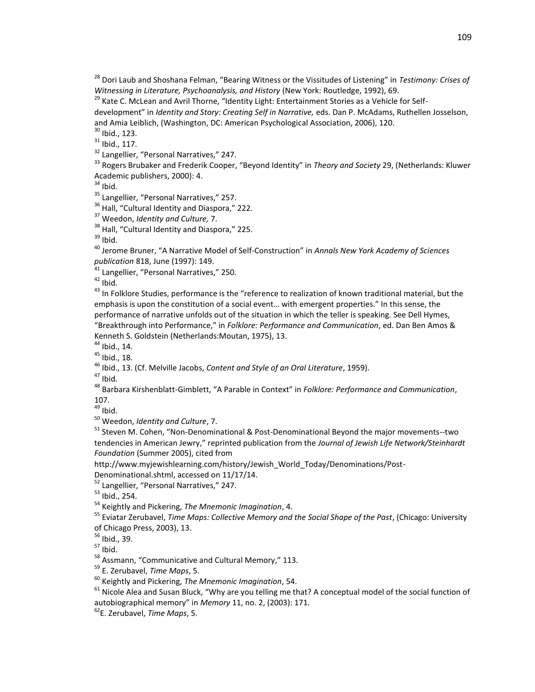<sup>28</sup> Dori Laub and Shoshana Felman, "Bearing Witness or the Vissitudes of Listening" in *Testimony: Crises of Witnessing in Literature, Psychoanalysis, and History* (New York: Routledge, 1992), 69.

<sup>29</sup> Kate C. McLean and Avril Thorne, "Identity Light: Entertainment Stories as a Vehicle for Selfdevelopment" in *Identity and Story: Creating Self in Narrative,* eds. Dan P. McAdams, Ruthellen Josselson, and Amia Leiblich, (Washington, DC: American Psychological Association, 2006), 120.

 $30$  Ibid., 123.

 $31$  Ibid., 117.

<sup>32</sup> Langellier, "Personal Narratives," 247.

<sup>33</sup> Rogers Brubaker and Frederik Cooper, "Beyond Identity" in *Theory and Society* 29, (Netherlands: Kluwer Academic publishers, 2000): 4.

 $34$  Ibid.

<sup>35</sup> Langellier, "Personal Narratives," 257.

<sup>36</sup> Hall, "Cultural Identity and Diaspora," 222.

<sup>37</sup> Weedon, *Identity and Culture,* 7.

<sup>38</sup> Hall, "Cultural Identity and Diaspora." 225.

 $39$  Ibid.

<sup>40</sup> Jerome Bruner, "A Narrative Model of Self-Construction" in *Annals New York Academy of Sciences publication* 818, June (1997): 149.

<sup>41</sup> Langellier, "Personal Narratives," 250.

 $42$  Ibid.

<sup>43</sup> In Folklore Studies, performance is the "reference to realization of known traditional material, but the emphasis is upon the constitution of a social event… with emergent properties." In this sense, the performance of narrative unfolds out of the situation in which the teller is speaking. See Dell Hymes, "Breakthrough into Performance," in *Folklore: Performance and Communication*, ed. Dan Ben Amos & Kenneth S. Goldstein (Netherlands:Moutan, 1975), 13.

<sup>44</sup> Ibid., 14.

 $45$  Ibid., 18.

<sup>46</sup> Ibid., 13. (Cf. Melville Jacobs, *Content and Style of an Oral Literature*, 1959).

 $47$  Ibid.

<sup>48</sup> Barbara Kirshenblatt-Gimblett, "A Parable in Context" in *Folklore: Performance and Communication*, 107.

 $49$  Ibid.

<sup>50</sup> Weedon, *Identity and Culture*, 7.

<sup>51</sup> Steven M. Cohen, "Non-Denominational & Post-Denominational Beyond the major movements--two tendencies in American Jewry," reprinted publication from the *Journal of Jewish Life Network/Steinhardt Foundation* (Summer 2005), cited from

http://www.myjewishlearning.com/history/Jewish\_World\_Today/Denominations/Post-

Denominational.shtml, accessed on 11/17/14.

<sup>52</sup> Langellier, "Personal Narratives," 247.

<sup>54</sup> Keightly and Pickering, *The Mnemonic Imagination*, 4.

<sup>55</sup> Eviatar Zerubavel, *Time Maps: Collective Memory and the Social Shape of the Past*, (Chicago: University of Chicago Press, 2003), 13.

 $57$  Ibid.

58 Assmann, "Communicative and Cultural Memory," 113.

<sup>59</sup> E. Zerubavel, *Time Maps*, 5.

<sup>60</sup> Keightly and Pickering, *The Mnemonic Imagination*, 54.

 $61$  Nicole Alea and Susan Bluck, "Why are you telling me that? A conceptual model of the social function of autobiographical memory" in *Memory* 11, no. 2, (2003): 171.

<sup>62</sup>E. Zerubavel, *Time Maps*, 5.

<sup>53</sup> Ibid., 254.

<sup>56</sup> Ibid., 39.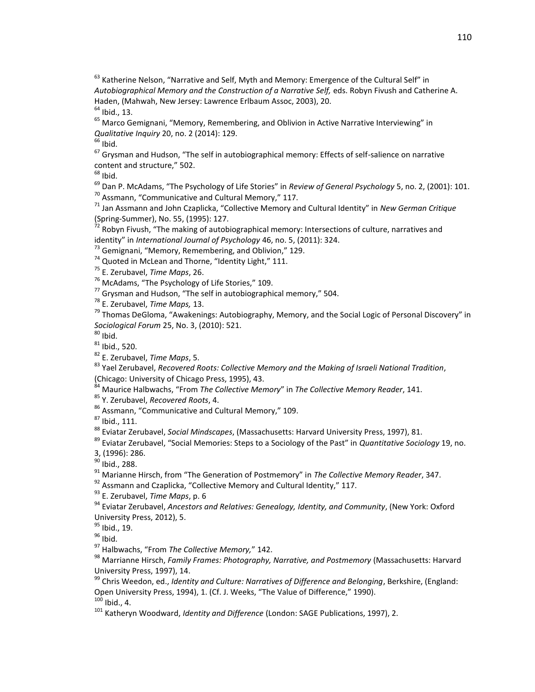Katherine Nelson, "Narrative and Self, Myth and Memory: Emergence of the Cultural Self" in *Autobiographical Memory and the Construction of a Narrative Self,* eds. Robyn Fivush and Catherine A. Haden, (Mahwah, New Jersey: Lawrence Erlbaum Assoc, 2003), 20. Ibid., 13.

<sup>65</sup> Marco Gemignani, "Memory, Remembering, and Oblivion in Active Narrative Interviewing" in *Qualitative Inquiry* 20, no. 2 (2014): 129.

Ibid.

 Grysman and Hudson, "The self in autobiographical memory: Effects of self-salience on narrative content and structure," 502.

Ibid.

 Dan P. McAdams, "The Psychology of Life Stories" in *Review of General Psychology* 5, no. 2, (2001): 101. Assmann, "Communicative and Cultural Memory," 117.

 Jan Assmann and John Czaplicka, "Collective Memory and Cultural Identity" in *New German Critique* (Spring-Summer), No. 55, (1995): 127.

 $^{72}$  Robyn Fivush, "The making of autobiographical memory: Intersections of culture, narratives and identity" in *International Journal of Psychology* 46, no. 5, (2011): 324.

Gemignani, "Memory, Remembering, and Oblivion," 129.

Quoted in McLean and Thorne, "Identity Light," 111.

E. Zerubavel, *Time Maps*, 26.

McAdams, "The Psychology of Life Stories," 109.

Grysman and Hudson, "The self in autobiographical memory," 504.

E. Zerubavel, *Time Maps,* 13.

<sup>79</sup> Thomas DeGloma, "Awakenings: Autobiography, Memory, and the Social Logic of Personal Discovery" in *Sociological Forum* 25, No. 3, (2010): 521.

Ibid.

Ibid., 520.

E. Zerubavel, *Time Maps*, 5.

 Yael Zerubavel, *Recovered Roots: Collective Memory and the Making of Israeli National Tradition*, (Chicago: University of Chicago Press, 1995), 43.

Maurice Halbwachs, "From *The Collective Memory*" in *The Collective Memory Reader*, 141.

Y. Zerubavel, *Recovered Roots*, 4.

Assmann, "Communicative and Cultural Memory," 109.

Ibid., 111.

Eviatar Zerubavel, *Social Mindscapes*, (Massachusetts: Harvard University Press, 1997), 81.

Eviatar Zerubavel, "Social Memories: Steps to a Sociology of the Past" in *Quantitative Sociology* 19, no.

3, (1996): 286.

Ibid., 288.

Marianne Hirsch, from "The Generation of Postmemory" in *The Collective Memory Reader*, 347.

Assmann and Czaplicka, "Collective Memory and Cultural Identity," 117.

E. Zerubavel, *Time Maps*, p. 6

 Eviatar Zerubavel, *Ancestors and Relatives: Genealogy, Identity, and Community*, (New York: Oxford University Press, 2012), 5.

<sup>95</sup> Ibid., 19.

Ibid.

Halbwachs, "From *The Collective Memory,*" 142.

 Marrianne Hirsch, *Family Frames: Photography, Narrative, and Postmemory* (Massachusetts: Harvard University Press, 1997), 14.

 Chris Weedon, ed., *Identity and Culture: Narratives of Difference and Belonging*, Berkshire, (England: Open University Press, 1994), 1. (Cf. J. Weeks, "The Value of Difference," 1990). Ibid., 4.

Katheryn Woodward, *Identity and Difference* (London: SAGE Publications, 1997), 2.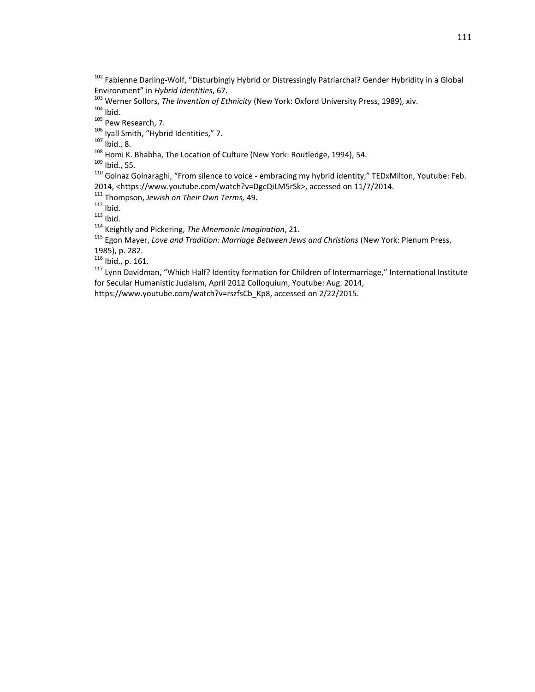<sup>102</sup> Fabienne Darling-Wolf, "Disturbingly Hybrid or Distressingly Patriarchal? Gender Hybridity in a Global Environment" in *Hybrid Identities*, 67.

<sup>103</sup> Werner Sollors, *The Invention of Ethnicity* (New York: Oxford University Press, 1989), xiv.  $104$  Ibid.

105 Pew Research, 7.

<sup>106</sup> Iyall Smith, "Hybrid Identities," 7.

 $107 \over 1$  lbid., 8.

108 Homi K. Bhabha, The Location of Culture (New York: Routledge, 1994), 54.

 $109$  Ibid., 55.

<sup>110</sup> Golnaz Golnaraghi, "From silence to voice - embracing my hybrid identity," TEDxMilton, Youtube: Feb. 2014, <https://www.youtube.com/watch?v=DgcQiLM5rSk>, accessed on 11/7/2014.

<sup>111</sup> Thompson, *Jewish on Their Own Terms,* 49.

 $112$  Ibid.

 $113$  Ibid.

<sup>114</sup> Keightly and Pickering, *The Mnemonic Imagination*, 21.

<sup>115</sup> Egon Mayer, *Love and Tradition: Marriage Between Jews and Christians* (New York: Plenum Press, 1985), p. 282.

<sup>116</sup> Ibid., p. 161.

<sup>117</sup> Lynn Davidman, "Which Half? Identity formation for Children of Intermarriage," International Institute for Secular Humanistic Judaism, April 2012 Colloquium, Youtube: Aug. 2014,

https://www.youtube.com/watch?v=rszfsCb\_Kp8, accessed on 2/22/2015.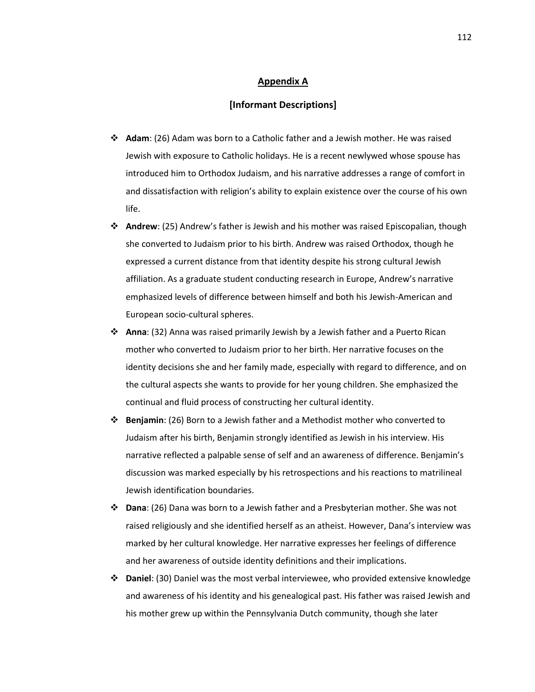#### **Appendix A**

#### **[Informant Descriptions]**

- **Adam**: (26) Adam was born to a Catholic father and a Jewish mother. He was raised Jewish with exposure to Catholic holidays. He is a recent newlywed whose spouse has introduced him to Orthodox Judaism, and his narrative addresses a range of comfort in and dissatisfaction with religion's ability to explain existence over the course of his own life.
- **Andrew**: (25) Andrew's father is Jewish and his mother was raised Episcopalian, though she converted to Judaism prior to his birth. Andrew was raised Orthodox, though he expressed a current distance from that identity despite his strong cultural Jewish affiliation. As a graduate student conducting research in Europe, Andrew's narrative emphasized levels of difference between himself and both his Jewish-American and European socio-cultural spheres.
- **Anna**: (32) Anna was raised primarily Jewish by a Jewish father and a Puerto Rican mother who converted to Judaism prior to her birth. Her narrative focuses on the identity decisions she and her family made, especially with regard to difference, and on the cultural aspects she wants to provide for her young children. She emphasized the continual and fluid process of constructing her cultural identity.
- **Benjamin**: (26) Born to a Jewish father and a Methodist mother who converted to Judaism after his birth, Benjamin strongly identified as Jewish in his interview. His narrative reflected a palpable sense of self and an awareness of difference. Benjamin's discussion was marked especially by his retrospections and his reactions to matrilineal Jewish identification boundaries.
- **Dana**: (26) Dana was born to a Jewish father and a Presbyterian mother. She was not raised religiously and she identified herself as an atheist. However, Dana's interview was marked by her cultural knowledge. Her narrative expresses her feelings of difference and her awareness of outside identity definitions and their implications.
- **Daniel**: (30) Daniel was the most verbal interviewee, who provided extensive knowledge and awareness of his identity and his genealogical past. His father was raised Jewish and his mother grew up within the Pennsylvania Dutch community, though she later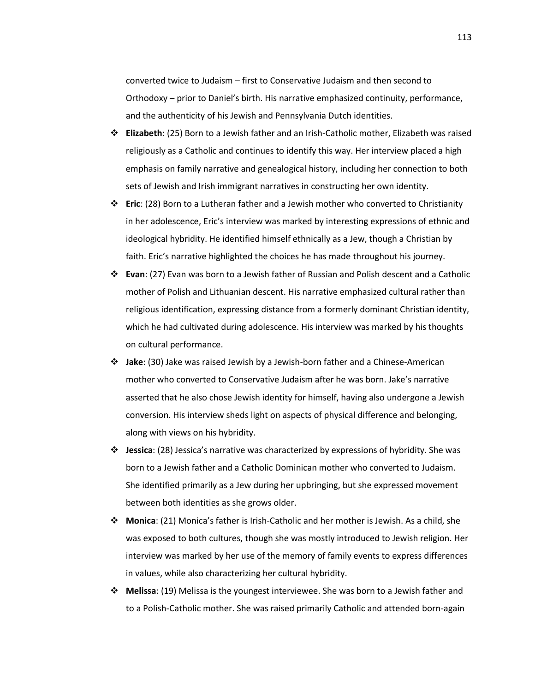converted twice to Judaism – first to Conservative Judaism and then second to Orthodoxy – prior to Daniel's birth. His narrative emphasized continuity, performance, and the authenticity of his Jewish and Pennsylvania Dutch identities.

- **Elizabeth**: (25) Born to a Jewish father and an Irish-Catholic mother, Elizabeth was raised religiously as a Catholic and continues to identify this way. Her interview placed a high emphasis on family narrative and genealogical history, including her connection to both sets of Jewish and Irish immigrant narratives in constructing her own identity.
- **Eric**: (28) Born to a Lutheran father and a Jewish mother who converted to Christianity in her adolescence, Eric's interview was marked by interesting expressions of ethnic and ideological hybridity. He identified himself ethnically as a Jew, though a Christian by faith. Eric's narrative highlighted the choices he has made throughout his journey.
- **Evan**: (27) Evan was born to a Jewish father of Russian and Polish descent and a Catholic mother of Polish and Lithuanian descent. His narrative emphasized cultural rather than religious identification, expressing distance from a formerly dominant Christian identity, which he had cultivated during adolescence. His interview was marked by his thoughts on cultural performance.
- **Jake**: (30) Jake was raised Jewish by a Jewish-born father and a Chinese-American mother who converted to Conservative Judaism after he was born. Jake's narrative asserted that he also chose Jewish identity for himself, having also undergone a Jewish conversion. His interview sheds light on aspects of physical difference and belonging, along with views on his hybridity.
- **Jessica**: (28) Jessica's narrative was characterized by expressions of hybridity. She was born to a Jewish father and a Catholic Dominican mother who converted to Judaism. She identified primarily as a Jew during her upbringing, but she expressed movement between both identities as she grows older.
- **Monica**: (21) Monica's father is Irish-Catholic and her mother is Jewish. As a child, she was exposed to both cultures, though she was mostly introduced to Jewish religion. Her interview was marked by her use of the memory of family events to express differences in values, while also characterizing her cultural hybridity.
- **Melissa**: (19) Melissa is the youngest interviewee. She was born to a Jewish father and to a Polish-Catholic mother. She was raised primarily Catholic and attended born-again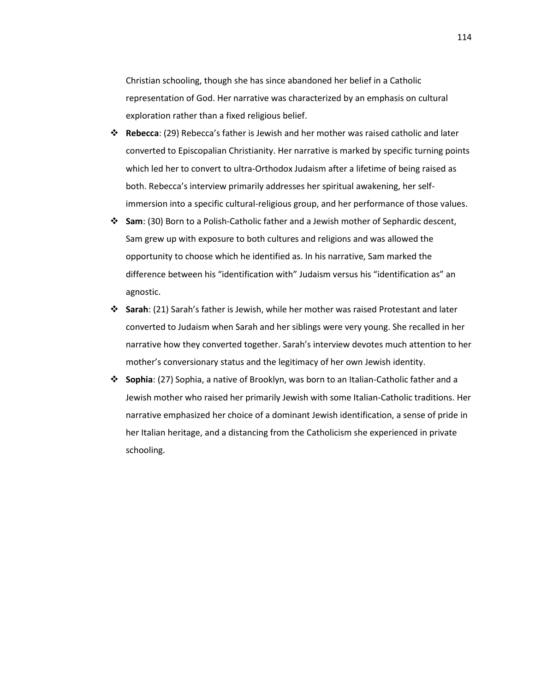Christian schooling, though she has since abandoned her belief in a Catholic representation of God. Her narrative was characterized by an emphasis on cultural exploration rather than a fixed religious belief.

- **Rebecca**: (29) Rebecca's father is Jewish and her mother was raised catholic and later converted to Episcopalian Christianity. Her narrative is marked by specific turning points which led her to convert to ultra-Orthodox Judaism after a lifetime of being raised as both. Rebecca's interview primarily addresses her spiritual awakening, her selfimmersion into a specific cultural-religious group, and her performance of those values.
- **Sam**: (30) Born to a Polish-Catholic father and a Jewish mother of Sephardic descent, Sam grew up with exposure to both cultures and religions and was allowed the opportunity to choose which he identified as. In his narrative, Sam marked the difference between his "identification with" Judaism versus his "identification as" an agnostic.
- **Sarah**: (21) Sarah's father is Jewish, while her mother was raised Protestant and later converted to Judaism when Sarah and her siblings were very young. She recalled in her narrative how they converted together. Sarah's interview devotes much attention to her mother's conversionary status and the legitimacy of her own Jewish identity.
- **Sophia**: (27) Sophia, a native of Brooklyn, was born to an Italian-Catholic father and a Jewish mother who raised her primarily Jewish with some Italian-Catholic traditions. Her narrative emphasized her choice of a dominant Jewish identification, a sense of pride in her Italian heritage, and a distancing from the Catholicism she experienced in private schooling.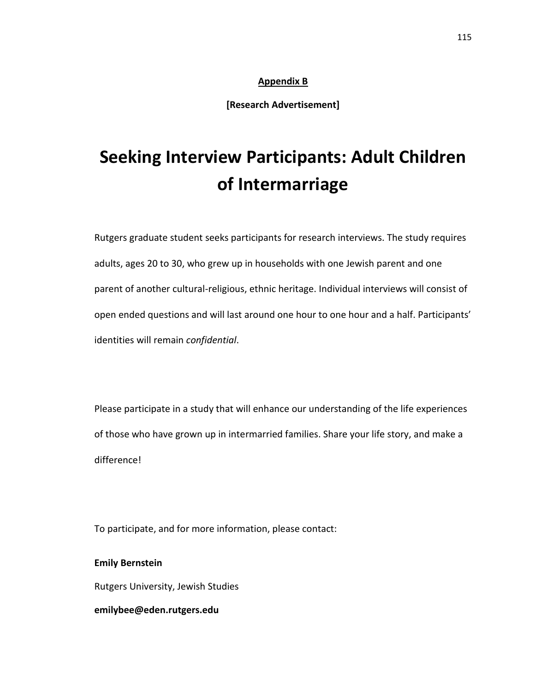## **Appendix B**

**[Research Advertisement]**

# **Seeking Interview Participants: Adult Children of Intermarriage**

Rutgers graduate student seeks participants for research interviews. The study requires adults, ages 20 to 30, who grew up in households with one Jewish parent and one parent of another cultural-religious, ethnic heritage. Individual interviews will consist of open ended questions and will last around one hour to one hour and a half. Participants' identities will remain *confidential*.

Please participate in a study that will enhance our understanding of the life experiences of those who have grown up in intermarried families. Share your life story, and make a difference!

To participate, and for more information, please contact:

**Emily Bernstein** Rutgers University, Jewish Studies **emilybee@eden.rutgers.edu**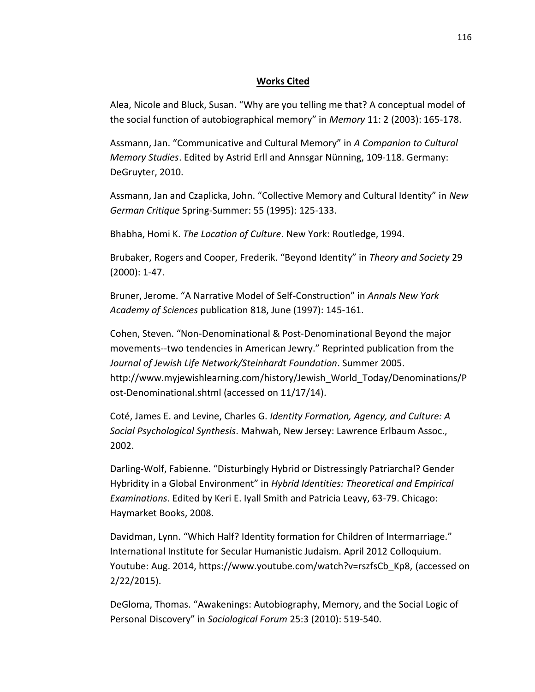## **Works Cited**

Alea, Nicole and Bluck, Susan. "Why are you telling me that? A conceptual model of the social function of autobiographical memory" in *Memory* 11: 2 (2003): 165-178.

Assmann, Jan. "Communicative and Cultural Memory" in *A Companion to Cultural Memory Studies*. Edited by Astrid Erll and Annsgar Nünning, 109-118. Germany: DeGruyter, 2010.

Assmann, Jan and Czaplicka, John. "Collective Memory and Cultural Identity" in *New German Critique* Spring-Summer: 55 (1995): 125-133.

Bhabha, Homi K. *The Location of Culture*. New York: Routledge, 1994.

Brubaker, Rogers and Cooper, Frederik. "Beyond Identity" in *Theory and Society* 29 (2000): 1-47.

Bruner, Jerome. "A Narrative Model of Self-Construction" in *Annals New York Academy of Sciences* publication 818, June (1997): 145-161.

Cohen, Steven. "Non-Denominational & Post-Denominational Beyond the major movements--two tendencies in American Jewry." Reprinted publication from the *Journal of Jewish Life Network/Steinhardt Foundation*. Summer 2005. http://www.myjewishlearning.com/history/Jewish\_World\_Today/Denominations/P ost-Denominational.shtml (accessed on 11/17/14).

Coté, James E. and Levine, Charles G. *Identity Formation, Agency, and Culture: A Social Psychological Synthesis*. Mahwah, New Jersey: Lawrence Erlbaum Assoc., 2002.

Darling-Wolf, Fabienne. "Disturbingly Hybrid or Distressingly Patriarchal? Gender Hybridity in a Global Environment" in *Hybrid Identities: Theoretical and Empirical Examinations*. Edited by Keri E. Iyall Smith and Patricia Leavy, 63-79. Chicago: Haymarket Books, 2008.

Davidman, Lynn. "Which Half? Identity formation for Children of Intermarriage." International Institute for Secular Humanistic Judaism. April 2012 Colloquium. Youtube: Aug. 2014, https://www.youtube.com/watch?v=rszfsCb\_Kp8, (accessed on 2/22/2015).

DeGloma, Thomas. "Awakenings: Autobiography, Memory, and the Social Logic of Personal Discovery" in *Sociological Forum* 25:3 (2010): 519-540.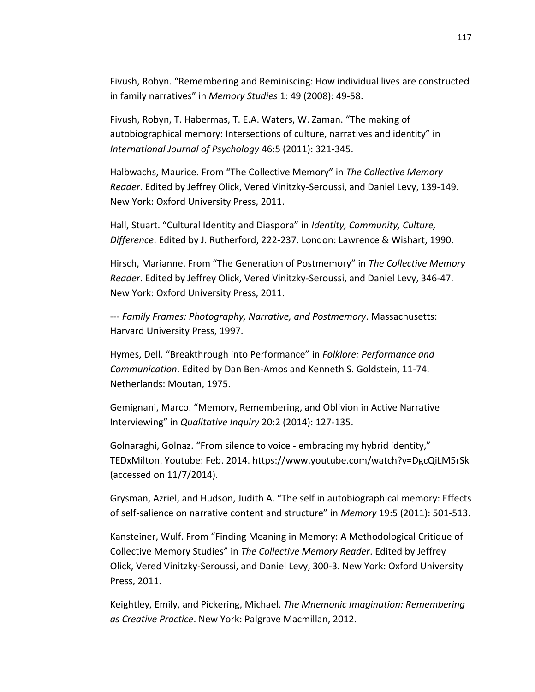Fivush, Robyn. "Remembering and Reminiscing: How individual lives are constructed in family narratives" in *Memory Studies* 1: 49 (2008): 49-58.

Fivush, Robyn, T. Habermas, T. E.A. Waters, W. Zaman. "The making of autobiographical memory: Intersections of culture, narratives and identity" in *International Journal of Psychology* 46:5 (2011): 321-345.

Halbwachs, Maurice. From "The Collective Memory" in *The Collective Memory Reader*. Edited by Jeffrey Olick, Vered Vinitzky-Seroussi, and Daniel Levy, 139-149. New York: Oxford University Press, 2011.

Hall, Stuart. "Cultural Identity and Diaspora" in *Identity, Community, Culture, Difference*. Edited by J. Rutherford, 222-237. London: Lawrence & Wishart, 1990.

Hirsch, Marianne. From "The Generation of Postmemory" in *The Collective Memory Reader*. Edited by Jeffrey Olick, Vered Vinitzky-Seroussi, and Daniel Levy, 346-47. New York: Oxford University Press, 2011.

--- *Family Frames: Photography, Narrative, and Postmemory*. Massachusetts: Harvard University Press, 1997.

Hymes, Dell. "Breakthrough into Performance" in *Folklore: Performance and Communication*. Edited by Dan Ben-Amos and Kenneth S. Goldstein, 11-74. Netherlands: Moutan, 1975.

Gemignani, Marco. "Memory, Remembering, and Oblivion in Active Narrative Interviewing" in *Qualitative Inquiry* 20:2 (2014): 127-135.

Golnaraghi, Golnaz. "From silence to voice - embracing my hybrid identity," TEDxMilton. Youtube: Feb. 2014. https://www.youtube.com/watch?v=DgcQiLM5rSk (accessed on 11/7/2014).

Grysman, Azriel, and Hudson, Judith A. "The self in autobiographical memory: Effects of self-salience on narrative content and structure" in *Memory* 19:5 (2011): 501-513.

Kansteiner, Wulf. From "Finding Meaning in Memory: A Methodological Critique of Collective Memory Studies" in *The Collective Memory Reader*. Edited by Jeffrey Olick, Vered Vinitzky-Seroussi, and Daniel Levy, 300-3. New York: Oxford University Press, 2011.

Keightley, Emily, and Pickering, Michael. *The Mnemonic Imagination: Remembering as Creative Practice*. New York: Palgrave Macmillan, 2012.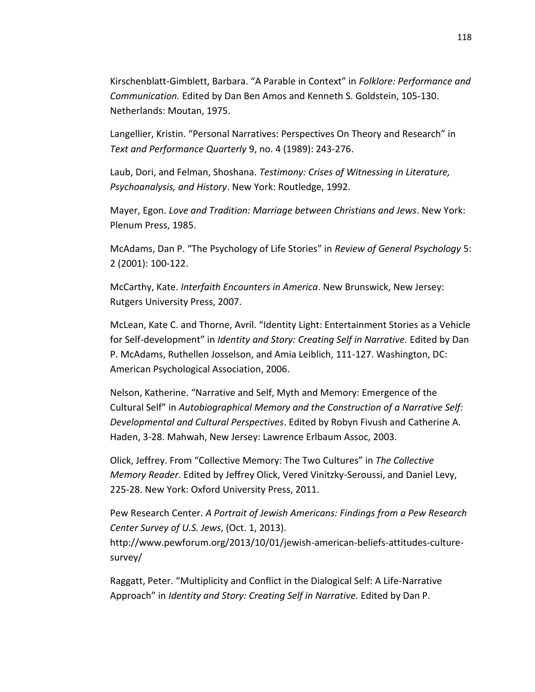Kirschenblatt-Gimblett, Barbara. "A Parable in Context" in *Folklore: Performance and Communication.* Edited by Dan Ben Amos and Kenneth S. Goldstein, 105-130. Netherlands: Moutan, 1975.

Langellier, Kristin. "Personal Narratives: Perspectives On Theory and Research" in *Text and Performance Quarterly* 9, no. 4 (1989): 243-276.

Laub, Dori, and Felman, Shoshana. *Testimony: Crises of Witnessing in Literature, Psychoanalysis, and History*. New York: Routledge, 1992.

Mayer, Egon. *Love and Tradition: Marriage between Christians and Jews*. New York: Plenum Press, 1985.

McAdams, Dan P. "The Psychology of Life Stories" in *Review of General Psychology* 5: 2 (2001): 100-122.

McCarthy, Kate. *Interfaith Encounters in America*. New Brunswick, New Jersey: Rutgers University Press, 2007.

McLean, Kate C. and Thorne, Avril. "Identity Light: Entertainment Stories as a Vehicle for Self-development" in *Identity and Story: Creating Self in Narrative.* Edited by Dan P. McAdams, Ruthellen Josselson, and Amia Leiblich, 111-127. Washington, DC: American Psychological Association, 2006.

Nelson, Katherine. "Narrative and Self, Myth and Memory: Emergence of the Cultural Self" in *Autobiographical Memory and the Construction of a Narrative Self: Developmental and Cultural Perspectives*. Edited by Robyn Fivush and Catherine A. Haden, 3-28. Mahwah, New Jersey: Lawrence Erlbaum Assoc, 2003.

Olick, Jeffrey. From "Collective Memory: The Two Cultures" in *The Collective Memory Reader*. Edited by Jeffrey Olick, Vered Vinitzky-Seroussi, and Daniel Levy, 225-28. New York: Oxford University Press, 2011.

Pew Research Center. *A Portrait of Jewish Americans: Findings from a Pew Research Center Survey of U.S. Jews*, (Oct. 1, 2013).

http://www.pewforum.org/2013/10/01/jewish-american-beliefs-attitudes-culturesurvey/

Raggatt, Peter. "Multiplicity and Conflict in the Dialogical Self: A Life-Narrative Approach" in *Identity and Story: Creating Self in Narrative.* Edited by Dan P.